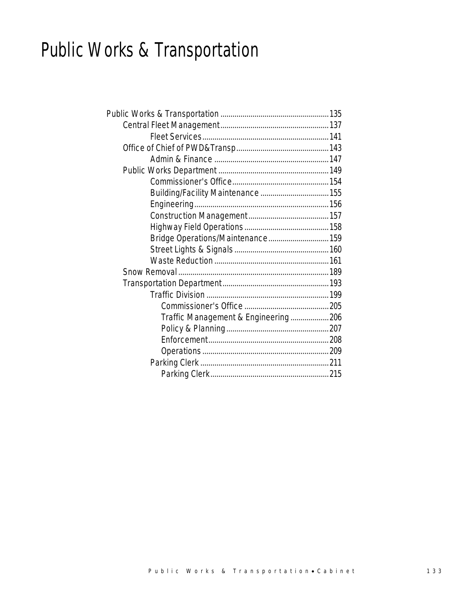# Public Works & Transportation

| Bridge Operations/Maintenance 159   |  |
|-------------------------------------|--|
|                                     |  |
|                                     |  |
|                                     |  |
|                                     |  |
|                                     |  |
|                                     |  |
| Traffic Management & Engineering206 |  |
|                                     |  |
|                                     |  |
|                                     |  |
|                                     |  |
|                                     |  |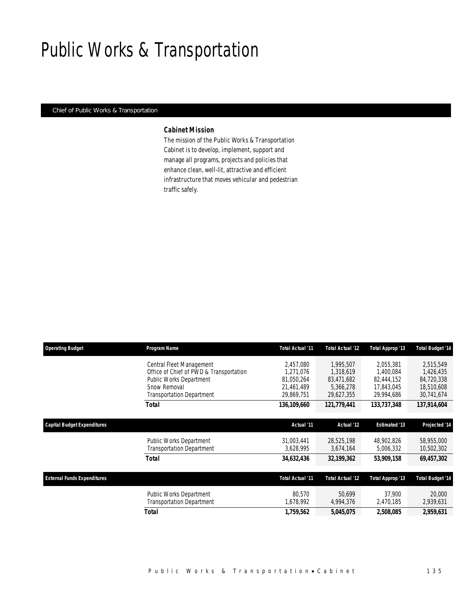# Public Works & Transportation

### *Chief of Public Works & Transportation*

### *Cabinet Mission*

The mission of the Public Works & Transportation Cabinet is to develop, implement, support and manage all programs, projects and policies that enhance clean, well-lit, attractive and efficient infrastructure that moves vehicular and pedestrian traffic safely.

| <b>Operating Budget</b>            | Program Name                            | Total Actual '11 | Total Actual '12 | Total Approp '13     | Total Budget '14 |
|------------------------------------|-----------------------------------------|------------------|------------------|----------------------|------------------|
|                                    | Central Fleet Management                | 2,457,080        | 1.995.507        | 2,055,381            | 2,515,549        |
|                                    | Office of Chief of PWD & Transportation | 1,271,076        | 1,318,619        | 1,400,084            | 1,426,435        |
|                                    | Public Works Department                 | 81.050.264       | 83,471,682       | 82,444,152           | 84,720,338       |
|                                    | Snow Removal                            | 21,461,489       | 5,366,278        | 17,843,045           | 18,510,608       |
|                                    | <b>Transportation Department</b>        | 29,869,751       | 29,627,355       | 29,994,686           | 30,741,674       |
|                                    | <b>Total</b>                            | 136,109,660      | 121,779,441      | 133,737,348          | 137,914,604      |
| <b>Capital Budget Expenditures</b> |                                         | Actual '11       | Actual '12       | <b>Estimated '13</b> | Projected '14    |
|                                    | <b>Public Works Department</b>          | 31.003.441       | 28.525.198       | 48,902,826           | 58,955,000       |
|                                    | <b>Transportation Department</b>        | 3,628,995        | 3,674,164        | 5,006,332            | 10,502,302       |
|                                    | Total                                   | 34,632,436       | 32,199,362       | 53,909,158           | 69,457,302       |
| <b>External Funds Expenditures</b> |                                         | Total Actual '11 | Total Actual '12 | Total Approp '13     | Total Budget '14 |
|                                    | Public Works Department                 | 80.570           | 50.699           | 37,900               | 20,000           |
|                                    | Transportation Department               | 1,678,992        | 4,994,376        | 2,470,185            | 2,939,631        |
|                                    | Total                                   | 1,759,562        | 5,045,075        | 2,508,085            | 2,959,631        |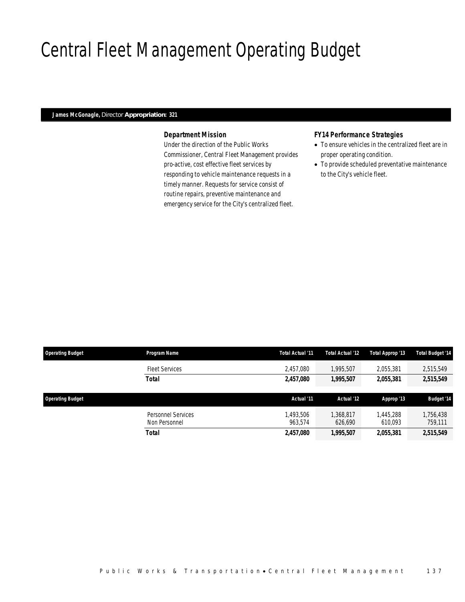# Central Fleet Management Operating Budget

### *James McGonagle, Director Appropriation: 321*

## *Department Mission*

Under the direction of the Public Works Commissioner, Central Fleet Management provides pro-active, cost effective fleet services by responding to vehicle maintenance requests in a timely manner. Requests for service consist of routine repairs, preventive maintenance and emergency service for the City's centralized fleet.

## *FY14 Performance Strategies*

- To ensure vehicles in the centralized fleet are in proper operating condition.
- To provide scheduled preventative maintenance to the City's vehicle fleet.

| <b>Operating Budget</b> | Program Name                        | Total Actual '11     | Total Actual '12     | Total Approp '13     | Total Budget '14     |
|-------------------------|-------------------------------------|----------------------|----------------------|----------------------|----------------------|
|                         | <b>Fleet Services</b>               | 2.457.080            | 1.995.507            | 2.055.381            | 2,515,549            |
|                         | <b>Total</b>                        | 2,457,080            | 1.995.507            | 2,055,381            | 2,515,549            |
| <b>Operating Budget</b> |                                     | Actual '11           | Actual '12           | Approp '13           | <b>Budget '14</b>    |
|                         | Personnel Services<br>Non Personnel | 1.493.506<br>963.574 | 1,368,817<br>626,690 | 1,445,288<br>610,093 | 1,756,438<br>759,111 |
|                         | <b>Total</b>                        | 2,457,080            | 1,995,507            | 2,055,381            | 2,515,549            |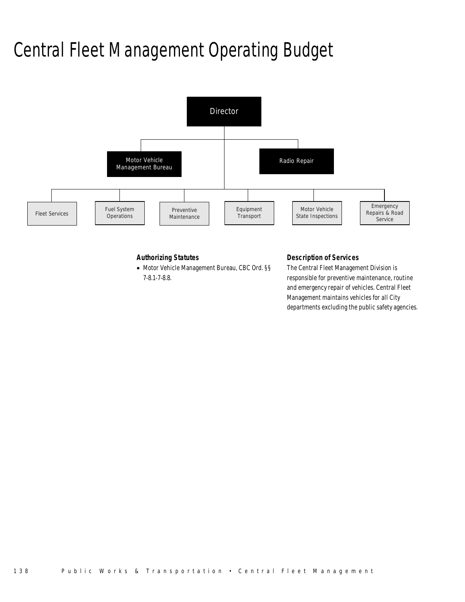# Central Fleet Management Operating Budget



## *Authorizing Statutes*

• Motor Vehicle Management Bureau, CBC Ord. §§ 7-8.1-7-8.8.

## *Description of Services*

The Central Fleet Management Division is responsible for preventive maintenance, routine and emergency repair of vehicles. Central Fleet Management maintains vehicles for all City departments excluding the public safety agencies.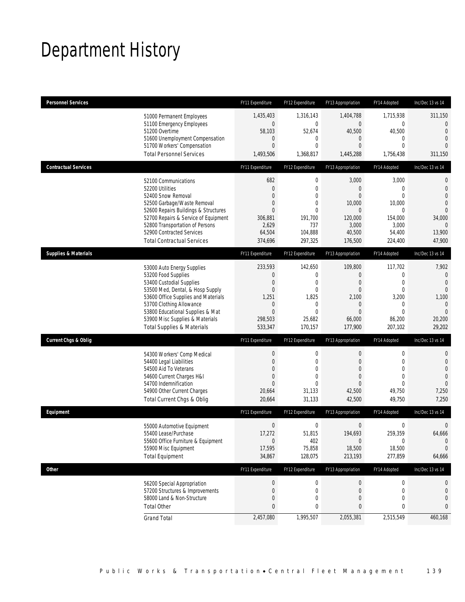# Department History

| <b>Personnel Services</b>       |                                                                                                                                                                                                                                                                                                                                                                                                                      | FY11 Expenditure                                                                                                                                                                             | FY12 Expenditure                                                                                                                                                                        | FY13 Appropriation                                                                                                                                                                  | FY14 Adopted                                                                                                                                                               | Inc/Dec 13 vs 14                                                                                                                                                                          |
|---------------------------------|----------------------------------------------------------------------------------------------------------------------------------------------------------------------------------------------------------------------------------------------------------------------------------------------------------------------------------------------------------------------------------------------------------------------|----------------------------------------------------------------------------------------------------------------------------------------------------------------------------------------------|-----------------------------------------------------------------------------------------------------------------------------------------------------------------------------------------|-------------------------------------------------------------------------------------------------------------------------------------------------------------------------------------|----------------------------------------------------------------------------------------------------------------------------------------------------------------------------|-------------------------------------------------------------------------------------------------------------------------------------------------------------------------------------------|
|                                 | 51000 Permanent Employees<br>51100 Emergency Employees<br>51200 Overtime                                                                                                                                                                                                                                                                                                                                             | 1,435,403<br>$\boldsymbol{0}$<br>58,103                                                                                                                                                      | 1,316,143<br>$\mathbf 0$<br>52,674                                                                                                                                                      | 1,404,788<br>$\mathbf 0$<br>40,500                                                                                                                                                  | 1,715,938<br>0<br>40,500                                                                                                                                                   | 311,150<br>$\overline{0}$<br>$\overline{0}$                                                                                                                                               |
|                                 | 51600 Unemployment Compensation<br>51700 Workers' Compensation                                                                                                                                                                                                                                                                                                                                                       | $\mathbf 0$<br>$\overline{0}$                                                                                                                                                                | 0<br>$\mathbf{0}$                                                                                                                                                                       | $\theta$<br>$\overline{0}$                                                                                                                                                          | 0<br>$\mathbf{0}$                                                                                                                                                          | $\overline{0}$<br>$\Omega$                                                                                                                                                                |
|                                 | <b>Total Personnel Services</b>                                                                                                                                                                                                                                                                                                                                                                                      | 1,493,506                                                                                                                                                                                    | 1,368,817                                                                                                                                                                               | 1,445,288                                                                                                                                                                           | 1,756,438                                                                                                                                                                  | 311,150                                                                                                                                                                                   |
| <b>Contractual Services</b>     |                                                                                                                                                                                                                                                                                                                                                                                                                      | FY11 Expenditure                                                                                                                                                                             | FY12 Expenditure                                                                                                                                                                        | FY13 Appropriation                                                                                                                                                                  | FY14 Adopted                                                                                                                                                               | Inc/Dec 13 vs 14                                                                                                                                                                          |
|                                 | 52100 Communications<br>52200 Utilities<br>52400 Snow Removal<br>52500 Garbage/Waste Removal<br>52600 Repairs Buildings & Structures<br>52700 Repairs & Service of Equipment<br>52800 Transportation of Persons<br>52900 Contracted Services<br><b>Total Contractual Services</b>                                                                                                                                    | 682<br>$\boldsymbol{0}$<br>$\overline{0}$<br>$\overline{0}$<br>$\Omega$<br>306,881<br>2,629<br>64,504<br>374,696                                                                             | $\mathbf 0$<br>$\mathbf 0$<br>$\mathbf{0}$<br>0<br>$\mathbf 0$<br>191,700<br>737<br>104,888<br>297,325                                                                                  | 3,000<br>$\theta$<br>$\Omega$<br>10,000<br>$\overline{0}$<br>120,000<br>3,000<br>40,500<br>176,500                                                                                  | 3,000<br>$\mathbf 0$<br>$\Omega$<br>10,000<br>$\theta$<br>154,000<br>3,000<br>54,400                                                                                       | 0<br>$\mathbf{0}$<br>$\overline{0}$<br>$\overline{0}$<br>$\overline{0}$<br>34,000<br>$\mathbf{0}$<br>13,900<br>47,900                                                                     |
| <b>Supplies &amp; Materials</b> |                                                                                                                                                                                                                                                                                                                                                                                                                      | FY11 Expenditure                                                                                                                                                                             | FY12 Expenditure                                                                                                                                                                        | FY13 Appropriation                                                                                                                                                                  | 224,400<br>FY14 Adopted                                                                                                                                                    | Inc/Dec 13 vs 14                                                                                                                                                                          |
| <b>Current Chgs &amp; Oblig</b> | 53000 Auto Energy Supplies<br>53200 Food Supplies<br>53400 Custodial Supplies<br>53500 Med, Dental, & Hosp Supply<br>53600 Office Supplies and Materials<br>53700 Clothing Allowance<br>53800 Educational Supplies & Mat<br>53900 Misc Supplies & Materials<br><b>Total Supplies &amp; Materials</b><br>54300 Workers' Comp Medical<br>54400 Legal Liabilities<br>54500 Aid To Veterans<br>54600 Current Charges H&I | 233,593<br>0<br>$\overline{0}$<br>$\mathbf{0}$<br>1,251<br>0<br>$\overline{0}$<br>298,503<br>533,347<br>FY11 Expenditure<br>$\boldsymbol{0}$<br>$\overline{0}$<br>$\Omega$<br>$\overline{0}$ | 142,650<br>$\mathbf 0$<br>$\mathbf 0$<br>$\mathbf{0}$<br>1,825<br>$\mathbf 0$<br>$\mathbf{0}$<br>25,682<br>170,157<br>FY12 Expenditure<br>0<br>$\mathbf{0}$<br>$\Omega$<br>$\mathbf{0}$ | 109,800<br>$\theta$<br>$\theta$<br>$\theta$<br>2,100<br>$\theta$<br>$\overline{0}$<br>66,000<br>177,900<br>FY13 Appropriation<br>$\theta$<br>$\overline{0}$<br>$\theta$<br>$\theta$ | 117,702<br>$\mathbf 0$<br>$\overline{0}$<br>$\overline{0}$<br>3,200<br>0<br>$\theta$<br>86,200<br>207,102<br>FY14 Adopted<br>0<br>$\mathbf{0}$<br>$\Omega$<br>$\mathbf{0}$ | 7,902<br>$\mathbf 0$<br>$\overline{0}$<br>$\overline{0}$<br>1,100<br>$\theta$<br>$\Omega$<br>20,200<br>29,202<br>Inc/Dec 13 vs 14<br>0<br>$\mathbf 0$<br>$\overline{0}$<br>$\overline{0}$ |
|                                 | 54700 Indemnification<br>54900 Other Current Charges                                                                                                                                                                                                                                                                                                                                                                 | $\Omega$<br>20,664                                                                                                                                                                           | $\Omega$<br>31,133                                                                                                                                                                      | $\overline{0}$<br>42,500                                                                                                                                                            | $\Omega$<br>49,750                                                                                                                                                         | $\overline{0}$<br>7,250                                                                                                                                                                   |
|                                 | Total Current Chgs & Oblig                                                                                                                                                                                                                                                                                                                                                                                           | 20,664                                                                                                                                                                                       | 31,133                                                                                                                                                                                  | 42,500                                                                                                                                                                              | 49,750                                                                                                                                                                     | 7,250                                                                                                                                                                                     |
| Equipment                       | 55000 Automotive Equipment<br>55400 Lease/Purchase<br>55600 Office Furniture & Equipment<br>55900 Misc Equipment<br><b>Total Equipment</b>                                                                                                                                                                                                                                                                           | FY11 Expenditure<br>0<br>17,272<br>0<br>17,595<br>34,867                                                                                                                                     | FY12 Expenditure<br>0<br>51,815<br>402<br>75,858<br>128,075                                                                                                                             | FY13 Appropriation<br>$\mathbf 0$<br>194,693<br>$\mathbf 0$<br>18,500<br>213,193                                                                                                    | FY14 Adopted<br>0<br>259,359<br>0<br>18,500<br>277,859                                                                                                                     | Inc/Dec 13 vs 14<br>$\mathbf 0$<br>64,666<br>$\theta$<br>0<br>64,666                                                                                                                      |
| Other                           |                                                                                                                                                                                                                                                                                                                                                                                                                      | FY11 Expenditure                                                                                                                                                                             | FY12 Expenditure                                                                                                                                                                        | FY13 Appropriation                                                                                                                                                                  | FY14 Adopted                                                                                                                                                               | Inc/Dec 13 vs 14                                                                                                                                                                          |
|                                 | 56200 Special Appropriation<br>57200 Structures & Improvements<br>58000 Land & Non-Structure<br><b>Total Other</b>                                                                                                                                                                                                                                                                                                   | $\boldsymbol{0}$<br>0<br>0<br>0                                                                                                                                                              | $\boldsymbol{0}$<br>0<br>0<br>0                                                                                                                                                         | $\boldsymbol{0}$<br>$\theta$<br>$\overline{0}$<br>0                                                                                                                                 | 0<br>0<br>$\mathbf 0$<br>0                                                                                                                                                 | 0<br>0<br>0<br>0                                                                                                                                                                          |
|                                 | <b>Grand Total</b>                                                                                                                                                                                                                                                                                                                                                                                                   | 2,457,080                                                                                                                                                                                    | 1,995,507                                                                                                                                                                               | 2,055,381                                                                                                                                                                           | 2,515,549                                                                                                                                                                  | 460,168                                                                                                                                                                                   |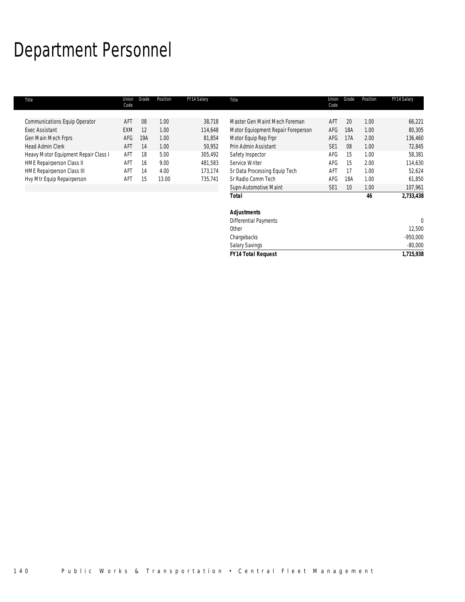# Department Personnel

| Title                                | Union<br>Code | Grade | Position | FY14 Salary | Title                              | Union<br>Code   | Grade | Position | FY14 Salary |
|--------------------------------------|---------------|-------|----------|-------------|------------------------------------|-----------------|-------|----------|-------------|
| Communications Equip Operator        | AFT           | 08    | 1.00     | 38,718      | Master Gen Maint Mech Foreman      | AFT             | 20    | 1.00     | 66,221      |
| <b>Exec Assistant</b>                | EXM           | 12    | 1.00     | 114,648     | Motor Equiopment Repair Foreperson | AFG             | 18A   | 1.00     | 80,305      |
| Gen Main Mech Frprs                  | AFG           | 19A   | 1.00     | 81,854      | Motor Equip Rep Frpr               | AFG             | 17A   | 2.00     | 136,460     |
| <b>Head Admin Clerk</b>              | AFT           | 14    | 1.00     | 50,952      | Prin Admin Assistant               | SE <sub>1</sub> | 08    | 1.00     | 72,845      |
| Heavy Motor Equipment Repair Class I | AFT           | 18    | 5.00     | 305,492     | Safety Inspector                   | AFG             | 15    | 1.00     | 58,381      |
| <b>HME Repairperson Class II</b>     | AFT           | 16    | 9.00     | 481,583     | Service Writer                     | AFG             | 15    | 2.00     | 114,630     |
| HME Repairperson Class III           | AFT           | 14    | 4.00     | 173,174     | Sr Data Processing Equip Tech      | AFT             | 17    | 1.00     | 52,624      |
| Hvy Mtr Equip Repairperson           | AFT           | 15    | 13.00    | 735,741     | Sr Radio Comm Tech                 | AFG             | 18A   | 1.00     | 61,850      |
|                                      |               |       |          |             | Supn-Automotive Maint              | SE <sub>1</sub> | 10    | 1.00     | 107,961     |
|                                      |               |       |          |             | Total                              |                 |       | 46       | 2,733,438   |
|                                      |               |       |          |             | <b>Adjustments</b>                 |                 |       |          |             |
|                                      |               |       |          |             | Differential Payments              |                 |       |          | $\theta$    |
|                                      |               |       |          |             | Other                              |                 |       |          | 12,500      |
|                                      |               |       |          |             | Chargebacks                        |                 |       |          | $-950,000$  |
|                                      |               |       |          |             | <b>Salary Savings</b>              |                 |       |          | $-80,000$   |

*FY14 Total Request 1,715,938*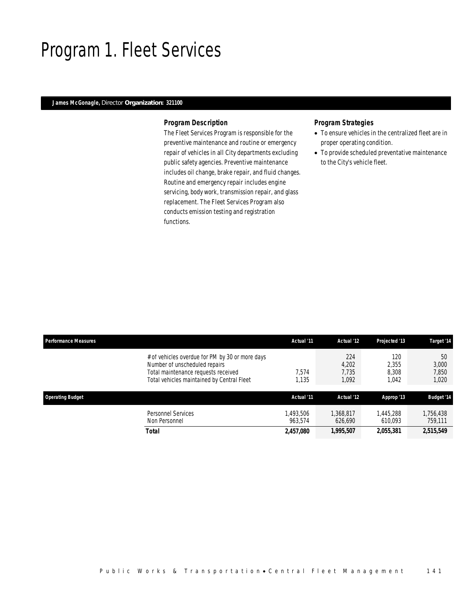# Program 1. Fleet Services

### *James McGonagle, Director Organization: 321100*

### *Program Description*

The Fleet Services Program is responsible for the preventive maintenance and routine or emergency repair of vehicles in all City departments excluding public safety agencies. Preventive maintenance includes oil change, brake repair, and fluid changes. Routine and emergency repair includes engine servicing, body work, transmission repair, and glass replacement. The Fleet Services Program also conducts emission testing and registration functions.

### *Program Strategies*

- To ensure vehicles in the centralized fleet are in proper operating condition.
- To provide scheduled preventative maintenance to the City's vehicle fleet.

| <b>Performance Measures</b>                                                                                                                                           | Actual '11          | Actual '12                     | Projected '13                  | Target '14                    |
|-----------------------------------------------------------------------------------------------------------------------------------------------------------------------|---------------------|--------------------------------|--------------------------------|-------------------------------|
| # of vehicles overdue for PM by 30 or more days<br>Number of unscheduled repairs<br>Total maintenance requests received<br>Total vehicles maintained by Central Fleet | 7.574<br>1,135      | 224<br>4,202<br>7.735<br>1,092 | 120<br>2.355<br>8.308<br>1.042 | 50<br>3,000<br>7,850<br>1,020 |
| <b>Operating Budget</b>                                                                                                                                               | Actual '11          | Actual '12                     | Approp '13                     | <b>Budget '14</b>             |
| Personnel Services<br>Non Personnel                                                                                                                                   | .493.506<br>963.574 | 1.368.817<br>626.690           | 1,445,288<br>610.093           | 1,756,438<br>759,111          |
| Total                                                                                                                                                                 | 2,457,080           | 1,995,507                      | 2,055,381                      | 2,515,549                     |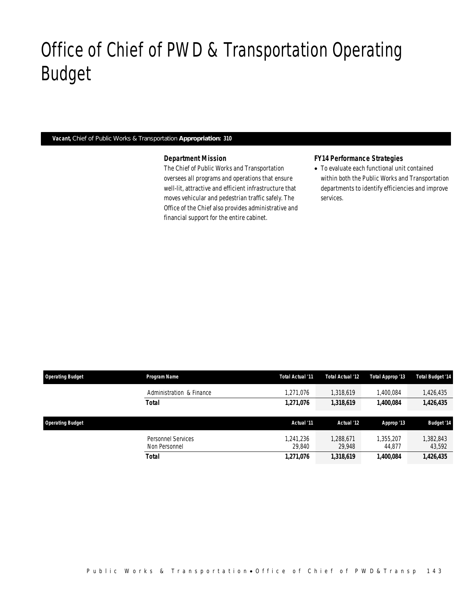# Office of Chief of PWD & Transportation Operating Budget

### *Vacant, Chief of Public Works & Transportation Appropriation: 310*

Office of Chief of PWD&Transp

### *Department Mission*

The Chief of Public Works and Transportation oversees all programs and operations that ensure well-lit, attractive and efficient infrastructure that moves vehicular and pedestrian traffic safely. The Office of the Chief also provides administrative and financial support for the entire cabinet.

## *FY14 Performance Strategies*

• To evaluate each functional unit contained within both the Public Works and Transportation departments to identify efficiencies and improve services.

| <b>Operating Budget</b> | Program Name                        | Total Actual '11    | <b>Total Actual '12</b> | Total Approp '13        | <b>Total Budget '14</b> |
|-------------------------|-------------------------------------|---------------------|-------------------------|-------------------------|-------------------------|
|                         | Administration & Finance            | 1,271,076           | 1.318.619               | 1.400.084               | 1,426,435               |
|                         | <b>Total</b>                        | 1,271,076           | 1,318,619               | 1,400,084               | 1,426,435               |
| <b>Operating Budget</b> |                                     | Actual '11          | Actual '12              | Approp '13              | <b>Budget '14</b>       |
|                         | Personnel Services<br>Non Personnel | 1.241.236<br>29.840 | 1.288.671<br>29.948     | 1.355.207<br>44.877     | 382,843<br>43,592       |
|                         | <b>Total</b>                        | 1,271,076           | 1,318,619               | <i><b>1,400,084</b></i> | 1,426,435               |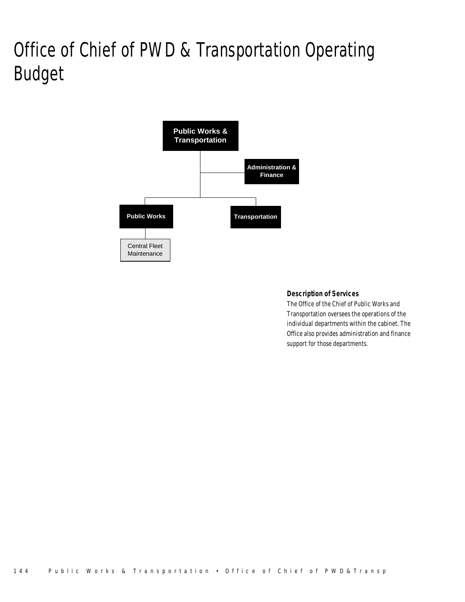# Office of Chief of PWD & Transportation Operating Budget



## *Description of Services*

The Office of the Chief of Public Works and Transportation oversees the operations of the individual departments within the cabinet. The Office also provides administration and finance support for those departments.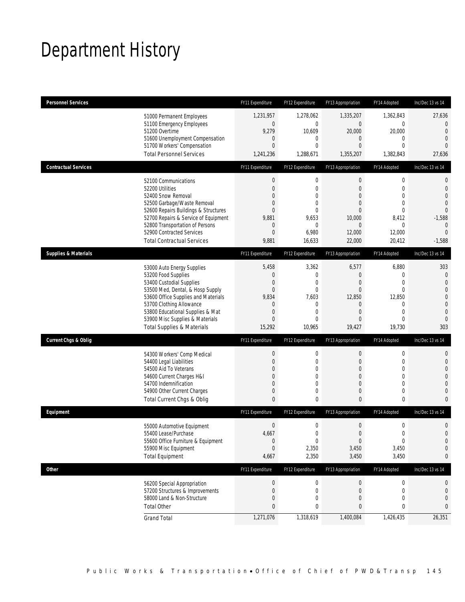# Department History

| <b>Personnel Services</b>       |                                                                     | FY11 Expenditure            | FY12 Expenditure               | FY13 Appropriation               | FY14 Adopted                 | Inc/Dec 13 vs 14                 |
|---------------------------------|---------------------------------------------------------------------|-----------------------------|--------------------------------|----------------------------------|------------------------------|----------------------------------|
|                                 | 51000 Permanent Employees                                           | 1,231,957                   | 1,278,062                      | 1,335,207                        | 1,362,843                    | 27,636                           |
|                                 | 51100 Emergency Employees                                           | $\boldsymbol{0}$            | $\mathbf 0$                    | $\boldsymbol{0}$                 | $\boldsymbol{0}$             | $\overline{0}$                   |
|                                 | 51200 Overtime<br>51600 Unemployment Compensation                   | 9,279<br>$\mathbf 0$        | 10,609<br>$\mathbf 0$          | 20,000<br>$\mathbf 0$            | 20,000<br>$\mathbf 0$        | $\overline{0}$<br>$\overline{0}$ |
|                                 | 51700 Workers' Compensation                                         | $\overline{0}$              | $\overline{0}$                 | 0                                | $\mathbf{0}$                 | $\Omega$                         |
|                                 | <b>Total Personnel Services</b>                                     | 1,241,236                   | 1,288,671                      | 1,355,207                        | 1,382,843                    | 27,636                           |
| <b>Contractual Services</b>     |                                                                     | FY11 Expenditure            | FY12 Expenditure               | FY13 Appropriation               | FY14 Adopted                 | Inc/Dec 13 vs 14                 |
|                                 | 52100 Communications                                                | $\boldsymbol{0}$            | $\boldsymbol{0}$               | $\boldsymbol{0}$                 | $\boldsymbol{0}$             | $\mathbf 0$                      |
|                                 | 52200 Utilities                                                     | $\overline{0}$              | $\mathbf 0$                    | 0                                | $\mathbf{0}$                 | $\mathbf{0}$                     |
|                                 | 52400 Snow Removal                                                  | 0<br>$\overline{0}$         | $\overline{0}$<br>$\mathbf{0}$ | 0<br>$\overline{0}$              | $\mathbf{0}$<br>$\mathbf{0}$ | $\overline{0}$<br>$\overline{0}$ |
|                                 | 52500 Garbage/Waste Removal<br>52600 Repairs Buildings & Structures | $\overline{0}$              | $\mathbf{0}$                   | $\overline{0}$                   | $\mathbf{0}$                 | $\mathbf 0$                      |
|                                 | 52700 Repairs & Service of Equipment                                | 9,881                       | 9,653                          | 10,000                           | 8,412                        | $-1,588$                         |
|                                 | 52800 Transportation of Persons                                     | 0                           | 0                              | $\overline{0}$                   | 0                            | $\overline{0}$                   |
|                                 | 52900 Contracted Services                                           | $\overline{0}$              | 6,980                          | 12,000                           | 12,000                       | $\overline{0}$                   |
|                                 | <b>Total Contractual Services</b>                                   | 9,881                       | 16,633                         | 22,000                           | 20,412                       | $-1,588$                         |
| <b>Supplies &amp; Materials</b> |                                                                     | FY11 Expenditure            | FY12 Expenditure               | FY13 Appropriation               | FY14 Adopted                 | Inc/Dec 13 vs 14                 |
|                                 | 53000 Auto Energy Supplies                                          | 5,458                       | 3,362                          | 6,577                            | 6,880                        | 303                              |
|                                 | 53200 Food Supplies                                                 | $\mathbf 0$                 | $\mathbf 0$                    | $\mathbf{0}$                     | $\mathbf{0}$                 | $\mathbf 0$                      |
|                                 | 53400 Custodial Supplies                                            | 0                           | 0                              | 0                                | $\mathbf{0}$                 | $\overline{0}$                   |
|                                 | 53500 Med, Dental, & Hosp Supply                                    | $\overline{0}$              | $\mathbf 0$                    | $\mathbf{0}$                     | $\mathbf 0$                  | $\overline{0}$                   |
|                                 | 53600 Office Supplies and Materials<br>53700 Clothing Allowance     | 9,834<br>0                  | 7,603<br>0                     | 12,850<br>$\mathbf 0$            | 12,850<br>$\mathbf{0}$       | $\mathbf 0$<br>$\mathbf{0}$      |
|                                 | 53800 Educational Supplies & Mat                                    | $\overline{0}$              | $\mathbf{0}$                   | 0                                | $\mathbf{0}$                 | $\mathbf{0}$                     |
|                                 | 53900 Misc Supplies & Materials                                     | $\overline{0}$              | $\Omega$                       | 0                                | $\mathbf{0}$                 | $\overline{0}$                   |
|                                 | <b>Total Supplies &amp; Materials</b>                               | 15,292                      | 10,965                         | 19,427                           | 19,730                       | 303                              |
| <b>Current Chgs &amp; Oblig</b> |                                                                     | FY11 Expenditure            | FY12 Expenditure               | FY13 Appropriation               | FY14 Adopted                 | Inc/Dec 13 vs 14                 |
|                                 | 54300 Workers' Comp Medical                                         | $\boldsymbol{0}$            | 0                              | $\boldsymbol{0}$                 | $\boldsymbol{0}$             | 0                                |
|                                 | 54400 Legal Liabilities                                             | $\overline{0}$              | $\mathbf 0$                    | $\mathbf 0$                      | $\mathbf 0$                  | $\mathbf 0$                      |
|                                 | 54500 Aid To Veterans                                               | $\Omega$                    | 0                              | 0                                | $\mathbf{0}$                 | $\overline{0}$                   |
|                                 | 54600 Current Charges H&I                                           | 0                           | $\overline{0}$                 | 0                                | $\mathbf{0}$                 | $\overline{0}$                   |
|                                 | 54700 Indemnification                                               | $\Omega$                    | $\mathbf{0}$                   | 0                                | $\mathbf{0}$                 | $\mathbf 0$                      |
|                                 | 54900 Other Current Charges<br>Total Current Chgs & Oblig           | $\mathbf 0$<br>$\mathbf{0}$ | 0<br>0                         | $\boldsymbol{0}$<br>$\mathbf{0}$ | $\mathbf 0$<br>$\pmb{0}$     | $\mathbf{0}$<br>$\mathbf{0}$     |
| Equipment                       |                                                                     | FY11 Expenditure            | FY12 Expenditure               | FY13 Appropriation               | FY14 Adopted                 | Inc/Dec 13 vs 14                 |
|                                 |                                                                     | $\boldsymbol{0}$            |                                | $\boldsymbol{0}$                 | $\boldsymbol{0}$             |                                  |
|                                 | 55000 Automotive Equipment                                          |                             | 0                              |                                  | $\Omega$                     | $\mathbf 0$<br>$\Omega$          |
|                                 | 55400 Lease/Purchase<br>55600 Office Furniture & Equipment          | 4,667<br>0                  | 0<br>$\boldsymbol{0}$          | $\mathbf 0$<br>$\boldsymbol{0}$  | $\boldsymbol{0}$             | $\mathbf 0$                      |
|                                 | 55900 Misc Equipment                                                | $\boldsymbol{0}$            | 2,350                          | 3,450                            | 3,450                        | $\mathbf 0$                      |
|                                 | <b>Total Equipment</b>                                              | 4,667                       | 2,350                          | 3,450                            | 3,450                        | 0                                |
| Other                           |                                                                     | FY11 Expenditure            | FY12 Expenditure               | FY13 Appropriation               | FY14 Adopted                 | Inc/Dec 13 vs 14                 |
|                                 | 56200 Special Appropriation                                         | 0                           | 0                              | $\mathbf 0$                      | 0                            | 0                                |
|                                 | 57200 Structures & Improvements                                     | 0                           | 0                              | $\mathbf 0$                      | 0                            | $\mathbf 0$                      |
|                                 | 58000 Land & Non-Structure                                          | 0                           | 0                              | 0                                | $\mathbf{0}$                 | 0                                |
|                                 | <b>Total Other</b>                                                  | 0                           | 0                              | 0                                | 0                            | 0                                |
|                                 | <b>Grand Total</b>                                                  | 1,271,076                   | 1,318,619                      | 1,400,084                        | 1,426,435                    | 26,351                           |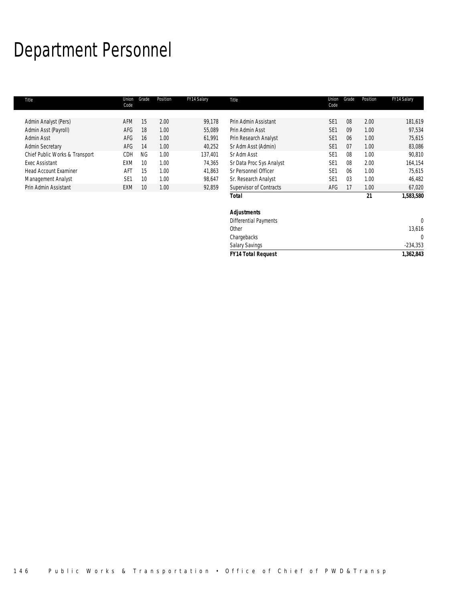# Department Personnel

I.

| Title                          | Union<br>Code   | Grade           | Position | FY14 Salary | Title                        | Union<br>Code   | Grade          | Position | FY14 Salary |
|--------------------------------|-----------------|-----------------|----------|-------------|------------------------------|-----------------|----------------|----------|-------------|
|                                |                 |                 |          |             |                              |                 |                |          |             |
| Admin Analyst (Pers)           | AFM             | 15              | 2.00     | 99,178      | Prin Admin Assistant         | SE <sub>1</sub> | 08             | 2.00     | 181,619     |
| Admin Asst (Payroll)           | AFG             | 18              | 1.00     | 55,089      | Prin Admin Asst              | SE <sub>1</sub> | 09             | 1.00     | 97,534      |
| Admin Asst                     | AFG             | 16              | 1.00     | 61,991      | Prin Research Analyst        | SE <sub>1</sub> | 06             | 1.00     | 75,615      |
| <b>Admin Secretary</b>         | AFG             | 14              | 1.00     | 40,252      | Sr Adm Asst (Admin)          | SE <sub>1</sub> | 07             | 1.00     | 83,086      |
| Chief Public Works & Transport | CDH             | <b>NG</b>       | 1.00     | 137,401     | Sr Adm Asst                  | SE <sub>1</sub> | 08             | 1.00     | 90,810      |
| <b>Exec Assistant</b>          | EXM             | 10              | 1.00     | 74,365      | Sr Data Proc Sys Analyst     | SE <sub>1</sub> | 08             | 2.00     | 164,154     |
| <b>Head Account Examiner</b>   | AFT             | 15              | 1.00     | 41,863      | Sr Personnel Officer         | SE <sub>1</sub> | 06             | 1.00     | 75,615      |
| Management Analyst             | SE <sub>1</sub> | 10 <sup>°</sup> | 1.00     | 98,647      | Sr. Research Analyst         | SE <sub>1</sub> | 0 <sub>3</sub> | 1.00     | 46,482      |
| Prin Admin Assistant           | <b>EXM</b>      | 10              | 1.00     | 92,859      | Supervisor of Contracts      | AFG             | 17             | 1.00     | 67,020      |
|                                |                 |                 |          |             | <b>Total</b>                 |                 |                | 21       | 1,583,580   |
|                                |                 |                 |          |             | <b>Adjustments</b>           |                 |                |          |             |
|                                |                 |                 |          |             | <b>Differential Payments</b> |                 |                |          | $\theta$    |
|                                |                 |                 |          |             | Other                        |                 |                |          | 13,616      |

Chargebacks 0 Salary Savings -234,353 *FY14 Total Request 1,362,843*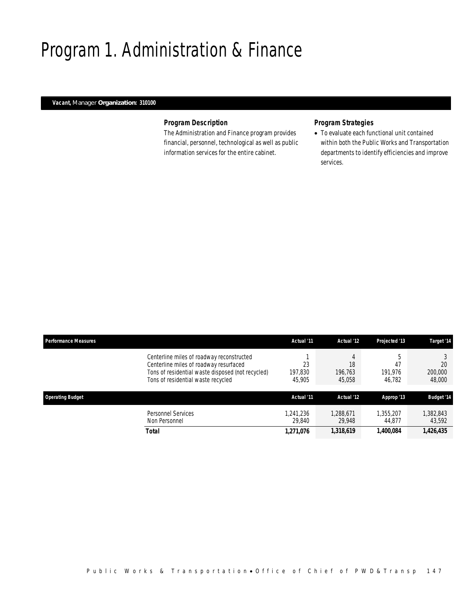# Program 1. Administration & Finance

## *Vacant, Manager Organization: 310100*

## *Program Description*

The Administration and Finance program provides financial, personnel, technological as well as public information services for the entire cabinet.

## *Program Strategies*

• To evaluate each functional unit contained within both the Public Works and Transportation departments to identify efficiencies and improve services.

| <b>Performance Measures</b>                                                                                                                                                    | Actual '11              | Actual '12                   | Projected '13           | Target '14              |
|--------------------------------------------------------------------------------------------------------------------------------------------------------------------------------|-------------------------|------------------------------|-------------------------|-------------------------|
| Centerline miles of roadway reconstructed<br>Centerline miles of roadway resurfaced<br>Tons of residential waste disposed (not recycled)<br>Tons of residential waste recycled | 23<br>197,830<br>45,905 | 4<br>18<br>196.763<br>45,058 | 47<br>191.976<br>46,782 | 20<br>200,000<br>48,000 |
| <b>Operating Budget</b>                                                                                                                                                        | Actual '11              | Actual '12                   | Approp '13              | <b>Budget '14</b>       |
| <b>Personnel Services</b><br>Non Personnel                                                                                                                                     | 1.241.236<br>29.840     | 1.288.671<br>29.948          | 1.355.207<br>44.877     | 382,843<br>43,592       |
| Total                                                                                                                                                                          | 1,271,076               | 1,318,619                    | 1,400,084               | 1,426,435               |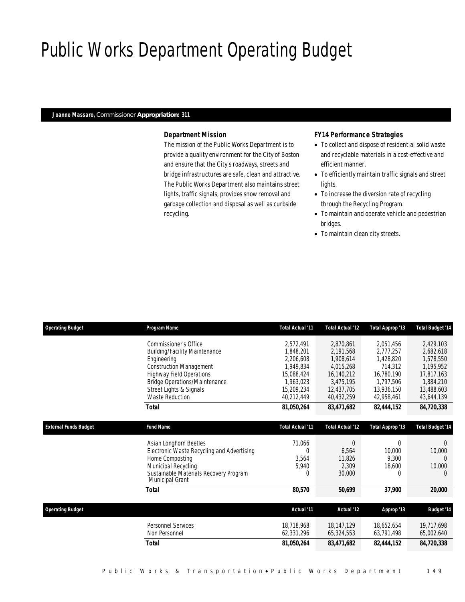# Public Works Department Operating Budget

### *Joanne Massaro, Commissioner Appropriation: 311*

## *Department Mission*

The mission of the Public Works Department is to provide a quality environment for the City of Boston and ensure that the City's roadways, streets and bridge infrastructures are safe, clean and attractive. The Public Works Department also maintains street lights, traffic signals, provides snow removal and garbage collection and disposal as well as curbside recycling.

### *FY14 Performance Strategies*

- To collect and dispose of residential solid waste and recyclable materials in a cost-effective and efficient manner.
- To efficiently maintain traffic signals and street lights.
- To increase the diversion rate of recycling through the Recycling Program.
- To maintain and operate vehicle and pedestrian bridges.
- To maintain clean city streets.

| <b>Operating Budget</b>      | Program Name                                                     | <b>Total Actual '11</b> | Total Actual '12        | Total Approp '13 | <b>Total Budget '14</b> |
|------------------------------|------------------------------------------------------------------|-------------------------|-------------------------|------------------|-------------------------|
|                              | Commissioner's Office                                            | 2,572,491               | 2,870,861               | 2,051,456        | 2,429,103               |
|                              | <b>Building/Facility Maintenance</b>                             | 1.848.201               | 2,191,568               | 2,777,257        | 2,682,618               |
|                              | Engineering                                                      | 2,206,608               | 1,908,614               | 1,428,820        | 1,578,550               |
|                              | <b>Construction Management</b>                                   | 1.949.834               | 4,015,268               | 714,312          | 1,195,952               |
|                              | <b>Highway Field Operations</b>                                  | 15.088.424              | 16,140,212              | 16,780,190       | 17,817,163              |
|                              | Bridge Operations/Maintenance                                    | 1.963.023               | 3,475,195               | 1.797.506        | 1,884,210               |
|                              | Street Lights & Signals                                          | 15,209,234              | 12,437,705              | 13,936,150       | 13,488,603              |
|                              | <b>Waste Reduction</b>                                           | 40,212,449              | 40,432,259              | 42.958.461       | 43,644,139              |
|                              | Total                                                            | 81,050,264              | 83,471,682              | 82,444,152       | 84,720,338              |
| <b>External Funds Budget</b> | <b>Fund Name</b>                                                 | <b>Total Actual '11</b> | <b>Total Actual '12</b> | Total Approp '13 | <b>Total Budget '14</b> |
|                              | Asian Longhorn Beetles                                           | 71,066                  | $\mathbf 0$             | 0                | 0                       |
|                              | Electronic Waste Recycling and Advertising                       | $\Omega$                | 6.564                   | 10,000           | 10,000                  |
|                              | Home Composting                                                  | 3,564                   | 11.826                  | 9.300            | $\Omega$                |
|                              | Municipal Recycling                                              | 5.940                   | 2,309                   | 18,600           | 10,000                  |
|                              | Sustainable Materials Recovery Program<br><b>Municipal Grant</b> | $\mathbf 0$             | 30,000                  | 0                | $\theta$                |
|                              | <b>Total</b>                                                     | 80,570                  | 50,699                  | 37,900           | 20,000                  |
|                              |                                                                  |                         |                         |                  |                         |
| <b>Operating Budget</b>      |                                                                  | Actual '11              | Actual '12              | Approp '13       | <b>Budget '14</b>       |
|                              | <b>Personnel Services</b>                                        | 18,718,968              | 18,147,129              | 18,652,654       | 19,717,698              |
|                              | Non Personnel                                                    | 62,331,296              | 65,324,553              | 63,791,498       | 65,002,640              |
|                              | Total                                                            | 81,050,264              | 83,471,682              | 82,444,152       | 84,720,338              |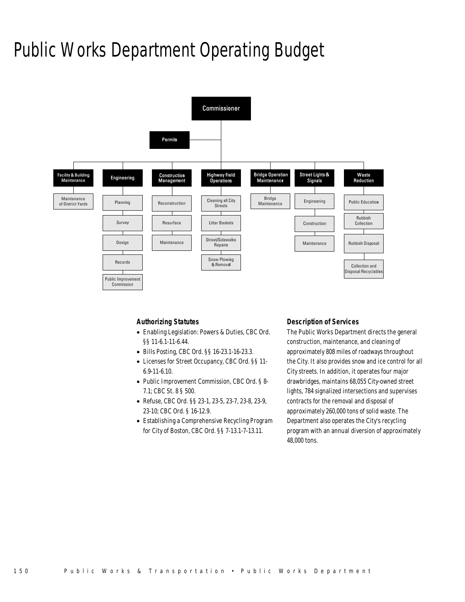# Public Works Department Operating Budget



## *Authorizing Statutes*

- Enabling Legislation: Powers & Duties, CBC Ord. §§ 11-6.1-11-6.44.
- Bills Posting, CBC Ord. §§ 16-23.1-16-23.3.
- Licenses for Street Occupancy, CBC Ord. §§ 11- 6.9-11-6.10.
- Public Improvement Commission, CBC Ord. § 8- 7.1; CBC St. 8 § 500.
- Refuse, CBC Ord. §§ 23-1, 23-5, 23-7, 23-8, 23-9, 23-10; CBC Ord. § 16-12.9.
- Establishing a Comprehensive Recycling Program for City of Boston, CBC Ord. §§ 7-13.1-7-13.11.

## *Description of Services*

The Public Works Department directs the general construction, maintenance, and cleaning of approximately 808 miles of roadways throughout the City. It also provides snow and ice control for all City streets. In addition, it operates four major drawbridges, maintains 68,055 City-owned street lights, 784 signalized intersections and supervises contracts for the removal and disposal of approximately 260,000 tons of solid waste. The Department also operates the City's recycling program with an annual diversion of approximately 48,000 tons.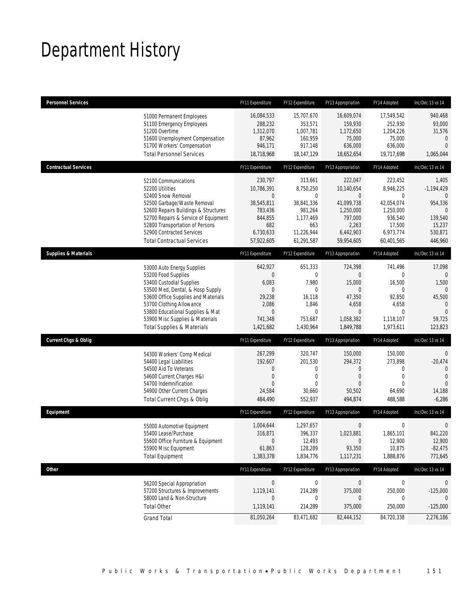# Department History

| <b>Personnel Services</b>                                                                                                                                                                                                                                                                            | FY11 Expenditure                                                                                 | FY12 Expenditure                                                                                                | FY13 Appropriation                                                                                           | FY14 Adopted                                                                                         | Inc/Dec 13 vs 14                                                                                            |
|------------------------------------------------------------------------------------------------------------------------------------------------------------------------------------------------------------------------------------------------------------------------------------------------------|--------------------------------------------------------------------------------------------------|-----------------------------------------------------------------------------------------------------------------|--------------------------------------------------------------------------------------------------------------|------------------------------------------------------------------------------------------------------|-------------------------------------------------------------------------------------------------------------|
| 51000 Permanent Employees<br>51100 Emergency Employees<br>51200 Overtime<br>51600 Unemployment Compensation<br>51700 Workers' Compensation<br><b>Total Personnel Services</b>                                                                                                                        | 16,084,533<br>288,232<br>1,312,070<br>87,962<br>946,171<br>18,718,968                            | 15,707,670<br>353,571<br>1,007,781<br>160,959<br>917,148<br>18,147,129                                          | 16,609,074<br>159,930<br>1,172,650<br>75,000<br>636,000<br>18,652,654                                        | 17,549,542<br>252,930<br>1,204,226<br>75,000<br>636,000<br>19,717,698                                | 940,468<br>93,000<br>31,576<br>$\mathbf{0}$<br>$\mathbf{0}$<br>1,065,044                                    |
| <b>Contractual Services</b>                                                                                                                                                                                                                                                                          | FY11 Expenditure                                                                                 | FY12 Expenditure                                                                                                | FY13 Appropriation                                                                                           | FY14 Adopted                                                                                         | Inc/Dec 13 vs 14                                                                                            |
| 52100 Communications<br>52200 Utilities<br>52400 Snow Removal<br>52500 Garbage/Waste Removal<br>52600 Repairs Buildings & Structures<br>52700 Repairs & Service of Equipment<br>52800 Transportation of Persons<br>52900 Contracted Services<br><b>Total Contractual Services</b>                    | 230,797<br>10,786,391<br>0<br>38,545,811<br>783,436<br>844,855<br>682<br>6,730,633<br>57,922,605 | 313,661<br>8,750,250<br>0<br>38,841,336<br>981,264<br>1,177,469<br>663<br>11,226,944<br>61,291,587              | 222,047<br>10,140,654<br>$\theta$<br>41,099,738<br>1,250,000<br>797,000<br>2,263<br>6,442,903<br>59,954,605  | 223,452<br>8,946,225<br>0<br>42,054,074<br>1,250,000<br>936,540<br>17,500<br>6,973,774<br>60,401,565 | 1,405<br>$-1,194,429$<br>$\mathbf{0}$<br>954,336<br>$\mathbf{0}$<br>139,540<br>15,237<br>530,871<br>446,960 |
| <b>Supplies &amp; Materials</b>                                                                                                                                                                                                                                                                      | FY11 Expenditure                                                                                 | FY12 Expenditure                                                                                                | FY13 Appropriation                                                                                           | FY14 Adopted                                                                                         | Inc/Dec 13 vs 14                                                                                            |
| 53000 Auto Energy Supplies<br>53200 Food Supplies<br>53400 Custodial Supplies<br>53500 Med, Dental, & Hosp Supply<br>53600 Office Supplies and Materials<br>53700 Clothing Allowance<br>53800 Educational Supplies & Mat<br>53900 Misc Supplies & Materials<br><b>Total Supplies &amp; Materials</b> | 642,927<br>0<br>6,083<br>$\boldsymbol{0}$<br>29,238<br>2,086<br>0<br>741,348<br>1,421,682        | 651,333<br>$\mathbf{0}$<br>7,980<br>$\overline{0}$<br>16,118<br>1,846<br>$\overline{0}$<br>753,687<br>1,430,964 | 724,398<br>$\overline{0}$<br>15,000<br>$\theta$<br>47,350<br>4,658<br>$\mathbf{0}$<br>1,058,382<br>1,849,788 | 741,496<br>0<br>16,500<br>0<br>92,850<br>4,658<br>0<br>1,118,107<br>1,973,611                        | 17,098<br>$\theta$<br>1,500<br>$\Omega$<br>45,500<br>$\mathbf{0}$<br>$\Omega$<br>59,725<br>123,823          |
| <b>Current Chgs &amp; Oblig</b>                                                                                                                                                                                                                                                                      | FY11 Expenditure                                                                                 | FY12 Expenditure                                                                                                | FY13 Appropriation                                                                                           | FY14 Adopted                                                                                         | Inc/Dec 13 vs 14                                                                                            |
| 54300 Workers' Comp Medical<br>54400 Legal Liabilities<br>54500 Aid To Veterans<br>54600 Current Charges H&I<br>54700 Indemnification<br>54900 Other Current Charges<br>Total Current Chgs & Oblig                                                                                                   | 267,299<br>192,607<br>0<br>0<br>$\Omega$<br>24,584<br>484,490                                    | 320,747<br>201,530<br>0<br>0<br>$\Omega$<br>30,660<br>552,937                                                   | 150,000<br>294,372<br>$\mathbf 0$<br>$\mathbf 0$<br>$\Omega$<br>50,502<br>494,874                            | 150,000<br>273,898<br>0<br>$\mathbf 0$<br>$\Omega$<br>64,690<br>488,588                              | $\mathbf 0$<br>$-20,474$<br>$\mathbf{0}$<br>$\overline{0}$<br>$\overline{0}$<br>14,188<br>$-6,286$          |
| Equipment                                                                                                                                                                                                                                                                                            | FY11 Expenditure                                                                                 | FY12 Expenditure                                                                                                | FY13 Appropriation                                                                                           | FY14 Adopted                                                                                         | Inc/Dec 13 vs 14                                                                                            |
| 55000 Automotive Equipment<br>55400 Lease/Purchase<br>55600 Office Furniture & Equipment<br>55900 Misc Equipment<br><b>Total Equipment</b>                                                                                                                                                           | 1,004,644<br>316,871<br>$\mathbf 0$<br>61,863<br>1,383,378                                       | 1,297,657<br>396,337<br>12,493<br>128,289<br>1,834,776                                                          | $\boldsymbol{0}$<br>1,023,881<br>$\mathbf 0$<br>93,350<br>1,117,231                                          | $\mathbf 0$<br>1,865,101<br>12,900<br>10,875<br>1,888,876                                            | $\mathbf 0$<br>841,220<br>12,900<br>$-82,475$<br>771,645                                                    |
| Other                                                                                                                                                                                                                                                                                                | FY11 Expenditure                                                                                 | FY12 Expenditure                                                                                                | FY13 Appropriation                                                                                           | FY14 Adopted                                                                                         | Inc/Dec 13 vs 14                                                                                            |
| 56200 Special Appropriation<br>57200 Structures & Improvements<br>58000 Land & Non-Structure<br><b>Total Other</b>                                                                                                                                                                                   | $\pmb{0}$<br>1,119,141<br>$\mathbf 0$<br>1,119,141                                               | $\boldsymbol{0}$<br>214,289<br>0<br>214,289                                                                     | $\bm{0}$<br>375,000<br>0<br>375,000                                                                          | 0<br>250,000<br>0<br>250,000                                                                         | 0<br>$-125,000$<br>$\theta$<br>$-125,000$                                                                   |
| <b>Grand Total</b>                                                                                                                                                                                                                                                                                   | 81,050,264                                                                                       | 83,471,682                                                                                                      | 82,444,152                                                                                                   | 84,720,338                                                                                           | 2,276,186                                                                                                   |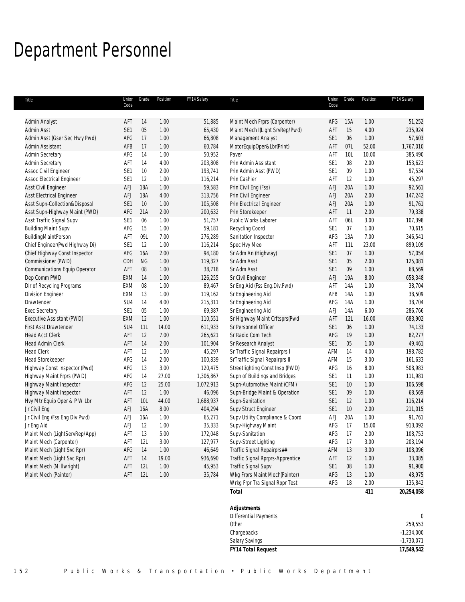# Department Personnel

| Title                                             | Code            | Union Grade | Position      | FY14 Salary        | Title                                     | Union<br>Code   | Grade           | Position     | FY14 Salary      |
|---------------------------------------------------|-----------------|-------------|---------------|--------------------|-------------------------------------------|-----------------|-----------------|--------------|------------------|
|                                                   |                 |             |               |                    |                                           |                 |                 |              |                  |
| Admin Analyst                                     | AFT             | 14          | 1.00          | 51,885             | Maint Mech Frprs (Carpenter)              | AFG             | 15A             | 1.00         | 51,252           |
| Admin Asst                                        | SE1             | 05          | 1.00          | 65,430             | Maint Mech I(Light SrvRep/Pwd)            | AFT             | 15              | 4.00         | 235,924          |
| Admin Asst (Gser Sec Hwy Pwd)                     | AFG             | 17          | 1.00          | 66,808             | Management Analyst                        | SE <sub>1</sub> | 06              | 1.00         | 57,603           |
| Admin Assistant                                   | AFB             | 17          | 1.00          | 60,784             | MotorEquipOper&Lbr(Print)                 | AFT             | 07L             | 52.00        | 1,767,010        |
| Admin Secretary                                   | AFG             | 14          | 1.00          | 50,952             | Paver                                     | AFT             | 10L             | 10.00        | 385,490          |
| Admin Secretary                                   | AFT             | 14          | 4.00          | 203,808            | Prin Admin Assistant                      | SE <sub>1</sub> | 08              | 2.00         | 153,623          |
| Assoc Civil Engineer                              | SE <sub>1</sub> | 10          | 2.00          | 193,741            | Prin Admin Asst (PWD)                     | SE1             | 09              | 1.00         | 97,534           |
| Assoc Electrical Engineer                         | SE <sub>1</sub> | 12          | 1.00          | 116,214            | Prin Cashier                              | AFT             | 12              | 1.00         | 45,297           |
| Asst Civil Engineer                               | <b>AFJ</b>      | <b>18A</b>  | 1.00          | 59,583             | Prin Civil Eng (Fss)                      | AFJ             | 20A             | 1.00         | 92,561           |
| Asst Electrical Engineer                          | <b>AFJ</b>      | <b>18A</b>  | 4.00          | 313,756            | Prin Civil Engineer                       | AFJ             | 20A             | 2.00         | 147,242          |
| Asst Supn-Collection&Disposal                     | SE <sub>1</sub> | $10$        | 1.00          | 105,508            | Prin Electrical Engineer                  | AFJ             | 20A             | 1.00         | 91,761           |
| Asst Supn-Highway Maint (PWD)                     | AFG             | 21A         | 2.00          | 200,632            | Prin Storekeeper                          | AFT             | 11              | 2.00         | 79,338           |
| Asst Traffic Signal Supv                          | SE <sub>1</sub> | 06          | 1.00          | 51,757             | Public Works Laborer                      | AFT             | 06L             | 3.00         | 107,398          |
| <b>Building Maint Supv</b>                        | AFG             | 15          | 1.00          | 59,181             | Recycling Coord                           | SE <sub>1</sub> | 07              | 1.00         | 70,615           |
| BuildingMaintPerson                               | AFT             | 09L         | 7.00          | 276,289            | Sanitation Inspector                      | AFG             | 13A             | 7.00         | 346,541          |
| Chief Engineer(Pwd Highway Di)                    | SE <sub>1</sub> | 12          | 1.00          | 116,214            | Spec Hvy Meo                              | AFT             | 11L             | 23.00        | 899,109          |
| Chief Highway Const Inspector                     | AFG             | <b>16A</b>  | 2.00          | 94,180             | Sr Adm An (Highway)                       | SE <sub>1</sub> | 07              | 1.00         | 57,054           |
| Commissioner (PWD)                                | CDH             | NG          | 1.00          | 119,327            | Sr Adm Asst                               | SE <sub>1</sub> | 05              | 2.00         | 125,081          |
| Communications Equip Operator                     | AFT             | $08\,$      | 1.00          | 38,718             | Sr Adm Asst                               | SE1             | 09              | 1.00         | 68,569           |
| Dep Comm PWD                                      | EXM             | 14          | 1.00          | 126,255            | Sr Civil Engineer                         | AFJ             | 19A             | 8.00         | 658,348          |
| Dir of Recycling Programs                         | EXM             | $08\,$      | 1.00          | 89,467             | Sr Eng Aid (Fss Eng.Div.Pwd)              | AFT             | 14A             | 1.00         | 38,704           |
| <b>Division Engineer</b>                          | <b>EXM</b>      | 13          | 1.00          | 119,162            | Sr Engineering Aid                        | AFB             | 14A             | 1.00         | 38,509           |
| Drawtender                                        | SU4             | 14          | 4.00          | 215,311            | Sr Engineering Aid                        | AFG             | 14A             | 1.00         | 38,704           |
| Exec Secretary                                    | SE1             | 05          | 1.00          | 69,387             | Sr Engineering Aid                        | AFJ             | 14A             | 6.00         | 286,766          |
| Executive Assistant (PWD)                         | EXM             | 12          | 1.00          | 110,551            | Sr Highway Maint Crftsprs(Pwd             | AFT             | 12L             | 16.00        | 683,902          |
| First Asst Drawtender                             | SU4<br>AFT      | 11L         | 14.00<br>7.00 | 611,933            | Sr Personnel Officer<br>Sr Radio Com Tech | SE1<br>AFG      | 06<br>19        | 1.00<br>1.00 | 74,133           |
| <b>Head Acct Clerk</b><br><b>Head Admin Clerk</b> | AFT             | 12<br>14    | 2.00          | 265,621<br>101,904 | Sr Research Analyst                       | SE1             | $05\,$          | 1.00         | 82,277<br>49,461 |
| <b>Head Clerk</b>                                 | AFT             | 12          | 1.00          | 45,297             | Sr Traffic Signal Repairprs I             | AFM             | 14              | 4.00         | 198,782          |
| Head Storekeeper                                  | AFG             | 14          | 2.00          | 100,839            | SrTraffic Signal Repairprs II             | AFM             | 15              | 3.00         | 161,633          |
| Highway Const Inspector (Pwd)                     | AFG             | 13          | 3.00          | 120,475            | Streetlighting Const Insp (PWD)           | AFG             | 16              | 8.00         | 508,983          |
| Highway Maint Frprs (PWD)                         | AFG             | 14          | 27.00         | 1,306,867          | Supn of Buildings and Bridges             | SE <sub>1</sub> | 11              | 1.00         | 111,981          |
| Highway Maint Inspector                           | AFG             | 12          | 25.00         | 1,072,913          | Supn-Automotive Maint (CFM)               | SE <sub>1</sub> | 10 <sup>°</sup> | 1.00         | 106,598          |
| Highway Maint Inspector                           | AFT             | 12          | 1.00          | 46,096             | Supn-Bridge Maint & Operation             | SE <sub>1</sub> | 09              | 1.00         | 68,569           |
| Hvy Mtr Equip Oper & P W Lbr                      | AFT             | 10L         | 44.00         | 1,688,937          | Supn-Sanitation                           | SE <sub>1</sub> | 12              | 1.00         | 116,214          |
| Jr Civil Eng                                      | AFJ             | <b>16A</b>  | 8.00          | 404,294            | Supv Struct Engineer                      | SE1             | 10              | 2.00         | 211,015          |
| Jr Civil Eng (Fss Eng Div Pwd)                    | AFJ             | <b>16A</b>  | 1.00          | 65,271             | Supv Utility Compliance & Coord           | AFJ             | 20A             | 1.00         | 91,761           |
| Jr Eng Aid                                        | <b>AFJ</b>      | 12          | 1.00          | 35,333             | Supv-Highway Maint                        | AFG             | 17              | 15.00        | 913,092          |
| Maint Mech (LightServRep/App)                     | AFT             | 13          | 5.00          | 172,048            | Supv-Sanitation                           | AFG             | 17              | 2.00         | 108,753          |
| Maint Mech (Carpenter)                            | AFT             | 12L         | 3.00          | 127,977            | Supv-Street Lighting                      | AFG             | 17              | 3.00         | 203,194          |
| Maint Mech (Light Svc Rpr)                        | AFG             | 14          | 1.00          | 46,649             | Traffic Signal Repairprs##                | AFM             | 13              | 3.00         | 108,096          |
| Maint Mech (Light Svc Rpr)                        | AFT             | 14          | 19.00         | 936,690            | Traffic Signal Rprprs-Apprentice          | AFT             | 12              | 1.00         | 33,085           |
| Maint Mech (Millwright)                           | AFT             | 12L         | $1.00$        | 45,953             | Traffic Signal Supv                       | SE <sub>1</sub> | $08\,$          | 1.00         | 91,900           |
| Maint Mech (Painter)                              | AFT             | 12L         | 1.00          | 35,784             | Wkg Frprs Maint Mech(Painter)             | AFG             | 13              | 1.00         | 48,975           |
|                                                   |                 |             |               |                    | Wrkg Frpr Tra Signal Rppr Test            | AFG             | 18              | 2.00         | 135,842          |
|                                                   |                 |             |               |                    | <b>Total</b>                              |                 |                 | 411          | 20,254,058       |
|                                                   |                 |             |               |                    | <b>Adjustments</b>                        |                 |                 |              |                  |
|                                                   |                 |             |               |                    | Differential Payments                     |                 |                 |              | 0                |
|                                                   |                 |             |               |                    | Other                                     |                 |                 |              | 259,553          |
|                                                   |                 |             |               |                    | Chargebacks                               |                 |                 |              | $-1,234,000$     |
|                                                   |                 |             |               |                    | Salary Savings                            |                 |                 |              | $-1,730,071$     |
|                                                   |                 |             |               |                    | <b>FY14 Total Request</b>                 |                 |                 |              | 17,549,542       |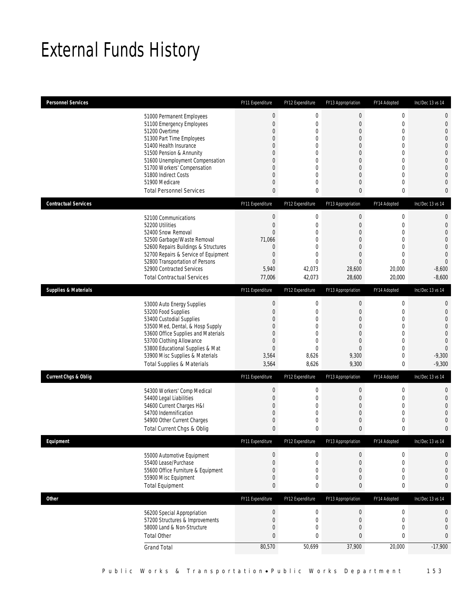# External Funds History

| <b>Personnel Services</b>       |                                                                                                                                                                                                                                                                                                            | FY11 Expenditure                                                                                                                                | FY12 Expenditure                                                                                     | FY13 Appropriation                                                                                                                                                                  | FY14 Adopted                                                                                                                                                             | Inc/Dec 13 vs 14                                                                                                                                                                  |
|---------------------------------|------------------------------------------------------------------------------------------------------------------------------------------------------------------------------------------------------------------------------------------------------------------------------------------------------------|-------------------------------------------------------------------------------------------------------------------------------------------------|------------------------------------------------------------------------------------------------------|-------------------------------------------------------------------------------------------------------------------------------------------------------------------------------------|--------------------------------------------------------------------------------------------------------------------------------------------------------------------------|-----------------------------------------------------------------------------------------------------------------------------------------------------------------------------------|
|                                 | 51000 Permanent Employees<br>51100 Emergency Employees<br>51200 Overtime<br>51300 Part Time Employees<br>51400 Health Insurance<br>51500 Pension & Annunity<br>51600 Unemployment Compensation<br>51700 Workers' Compensation<br>51800 Indirect Costs<br>51900 Medicare<br><b>Total Personnel Services</b> | $\bf 0$<br>$\boldsymbol{0}$<br>0<br>0<br>0<br>0<br>0<br>0<br>0<br>0<br>0                                                                        | $\mathbf 0$<br>0<br>0<br>0<br>0<br>$\mathbf 0$<br>0<br>0<br>$\overline{0}$<br>0<br>0                 | $\boldsymbol{0}$<br>$\boldsymbol{0}$<br>$\mathbf 0$<br>$\overline{0}$<br>$\overline{0}$<br>$\mathbf 0$<br>$\overline{0}$<br>$\overline{0}$<br>$\overline{0}$<br>$\overline{0}$<br>0 | $\boldsymbol{0}$<br>$\mathbf 0$<br>$\mathbf 0$<br>$\mathbf{0}$<br>$\mathbf{0}$<br>$\mathbf 0$<br>$\mathbf{0}$<br>$\mathbf{0}$<br>$\mathbf{0}$<br>$\mathbf 0$<br>$\bf{0}$ | $\mathbf 0$<br>$\mathbf 0$<br>$\mathbf{0}$<br>$\mathbf{0}$<br>$\overline{0}$<br>$\overline{0}$<br>$\mathbf 0$<br>$\mathbf{0}$<br>$\overline{0}$<br>$\overline{0}$<br>$\mathbf{0}$ |
| <b>Contractual Services</b>     |                                                                                                                                                                                                                                                                                                            | FY11 Expenditure                                                                                                                                | FY12 Expenditure                                                                                     | FY13 Appropriation                                                                                                                                                                  | FY14 Adopted                                                                                                                                                             | Inc/Dec 13 vs 14                                                                                                                                                                  |
| <b>Supplies &amp; Materials</b> | 52100 Communications<br>52200 Utilities<br>52400 Snow Removal<br>52500 Garbage/Waste Removal<br>52600 Repairs Buildings & Structures<br>52700 Repairs & Service of Equipment<br>52800 Transportation of Persons<br>52900 Contracted Services<br><b>Total Contractual Services</b>                          | $\boldsymbol{0}$<br>$\boldsymbol{0}$<br>0<br>71,066<br>$\mathbf 0$<br>$\boldsymbol{0}$<br>$\overline{0}$<br>5,940<br>77,006<br>FY11 Expenditure | $\boldsymbol{0}$<br>0<br>0<br>$\overline{0}$<br>$\overline{0}$<br>0<br>0<br>42,073<br>42,073         | $\boldsymbol{0}$<br>$\boldsymbol{0}$<br>$\overline{0}$<br>$\overline{0}$<br>$\overline{0}$<br>$\mathbf 0$<br>$\overline{0}$<br>28.600<br>28,600                                     | $\boldsymbol{0}$<br>$\mathbf 0$<br>$\mathbf{0}$<br>$\mathbf 0$<br>$\mathbf{0}$<br>$\mathbf 0$<br>$\mathbf{0}$<br>20,000<br>20,000                                        | $\mathbf 0$<br>$\mathbf 0$<br>$\overline{0}$<br>$\overline{0}$<br>$\mathbf 0$<br>$\mathbf{0}$<br>$\overline{0}$<br>$-8,600$<br>$-8,600$                                           |
|                                 |                                                                                                                                                                                                                                                                                                            |                                                                                                                                                 | FY12 Expenditure                                                                                     | FY13 Appropriation                                                                                                                                                                  | FY14 Adopted                                                                                                                                                             | Inc/Dec 13 vs 14                                                                                                                                                                  |
|                                 | 53000 Auto Energy Supplies<br>53200 Food Supplies<br>53400 Custodial Supplies<br>53500 Med, Dental, & Hosp Supply<br>53600 Office Supplies and Materials<br>53700 Clothing Allowance<br>53800 Educational Supplies & Mat<br>53900 Misc Supplies & Materials<br><b>Total Supplies &amp; Materials</b>       | $\theta$<br>$\boldsymbol{0}$<br>0<br>0<br>0<br>0<br>$\boldsymbol{0}$<br>3,564<br>3,564                                                          | $\boldsymbol{0}$<br>0<br>0<br>0<br>$\overline{0}$<br>$\mathbf 0$<br>$\overline{0}$<br>8,626<br>8,626 | $\boldsymbol{0}$<br>$\boldsymbol{0}$<br>$\overline{0}$<br>$\overline{0}$<br>$\overline{0}$<br>$\overline{0}$<br>$\boldsymbol{0}$<br>9,300<br>9,300                                  | $\boldsymbol{0}$<br>$\mathbf 0$<br>$\mathbf{0}$<br>$\mathbf{0}$<br>$\mathbf{0}$<br>$\mathbf 0$<br>$\mathbf 0$<br>$\mathbf 0$<br>0                                        | $\mathbf{0}$<br>$\mathbf 0$<br>$\overline{0}$<br>$\overline{0}$<br>$\mathbf 0$<br>$\mathbf{0}$<br>$\overline{0}$<br>$-9,300$<br>$-9,300$                                          |
| <b>Current Chgs &amp; Oblig</b> |                                                                                                                                                                                                                                                                                                            | FY11 Expenditure                                                                                                                                | FY12 Expenditure                                                                                     | FY13 Appropriation                                                                                                                                                                  | FY14 Adopted                                                                                                                                                             | Inc/Dec 13 vs 14                                                                                                                                                                  |
|                                 | 54300 Workers' Comp Medical<br>54400 Legal Liabilities<br>54600 Current Charges H&I<br>54700 Indemnification<br>54900 Other Current Charges<br>Total Current Chgs & Oblig                                                                                                                                  | $\theta$<br>$\boldsymbol{0}$<br>0<br>0<br>0<br>$\mathbf{0}$                                                                                     | $\boldsymbol{0}$<br>0<br>0<br>0<br>$\mathbf 0$<br>0                                                  | $\boldsymbol{0}$<br>$\boldsymbol{0}$<br>$\overline{0}$<br>$\overline{0}$<br>$\mathbf 0$<br>0                                                                                        | $\boldsymbol{0}$<br>$\mathbf 0$<br>$\mathbf{0}$<br>$\mathbf 0$<br>$\mathbf 0$<br>$\mathbf{0}$                                                                            | $\mathbf 0$<br>$\mathbf 0$<br>$\overline{0}$<br>$\overline{0}$<br>$\mathbf 0$<br>$\mathbf{0}$                                                                                     |
| Equipment                       |                                                                                                                                                                                                                                                                                                            | FY11 Expenditure                                                                                                                                | FY12 Expenditure                                                                                     | FY13 Appropriation                                                                                                                                                                  | FY14 Adopted                                                                                                                                                             | Inc/Dec 13 vs 14                                                                                                                                                                  |
|                                 | 55000 Automotive Equipment<br>55400 Lease/Purchase<br>55600 Office Furniture & Equipment<br>55900 Misc Equipment<br><b>Total Equipment</b>                                                                                                                                                                 | $\boldsymbol{0}$<br>$\boldsymbol{0}$<br>0<br>0<br>0                                                                                             | 0<br>$\boldsymbol{0}$<br>0<br>0<br>0                                                                 | 0<br>$\boldsymbol{0}$<br>0<br>0<br>0                                                                                                                                                | 0<br>$\boldsymbol{0}$<br>$\mathbf 0$<br>$\boldsymbol{0}$<br>$\boldsymbol{0}$                                                                                             | 0<br>$\mathbf 0$<br>$\mathbf 0$<br>$\mathbf 0$<br>0                                                                                                                               |
| Other                           |                                                                                                                                                                                                                                                                                                            | FY11 Expenditure                                                                                                                                | FY12 Expenditure                                                                                     | FY13 Appropriation                                                                                                                                                                  | FY14 Adopted                                                                                                                                                             | Inc/Dec 13 vs 14                                                                                                                                                                  |
|                                 | 56200 Special Appropriation<br>57200 Structures & Improvements<br>58000 Land & Non-Structure<br><b>Total Other</b>                                                                                                                                                                                         | $\boldsymbol{0}$<br>$\boldsymbol{0}$<br>0<br>0                                                                                                  | $\bf 0$<br>$\boldsymbol{0}$<br>0<br>0                                                                | $\boldsymbol{0}$<br>$\boldsymbol{0}$<br>0<br>$\bf 0$                                                                                                                                | $\boldsymbol{0}$<br>$\mathbf 0$<br>$\mathbf 0$<br>$\pmb{0}$                                                                                                              | 0<br>$\mathbf 0$<br>$\mathbf 0$<br>0<br>$-17,900$                                                                                                                                 |
|                                 | <b>Grand Total</b>                                                                                                                                                                                                                                                                                         | 80,570                                                                                                                                          | 50,699                                                                                               | 37,900                                                                                                                                                                              | 20,000                                                                                                                                                                   |                                                                                                                                                                                   |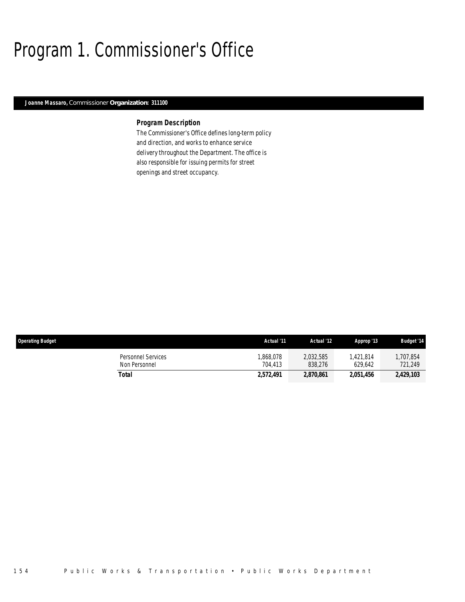# Program 1. Commissioner's Office

## *Joanne Massaro, Commissioner Organization: 311100*

## *Program Description*

The Commissioner's Office defines long-term policy and direction, and works to enhance service delivery throughout the Department. The office is also responsible for issuing permits for street openings and street occupancy.

| <b>Operating Budget</b>             | Actual '11          | Actual '12           | Approp '13           | <b>Budget '14</b>   |
|-------------------------------------|---------------------|----------------------|----------------------|---------------------|
| Personnel Services<br>Non Personnel | ,868,078<br>704.413 | 2,032,585<br>838,276 | 1.421.814<br>629.642 | .707.854<br>721,249 |
| Total                               | 2,572,491           | 2,870,861            | 2,051,456            | 2,429,103           |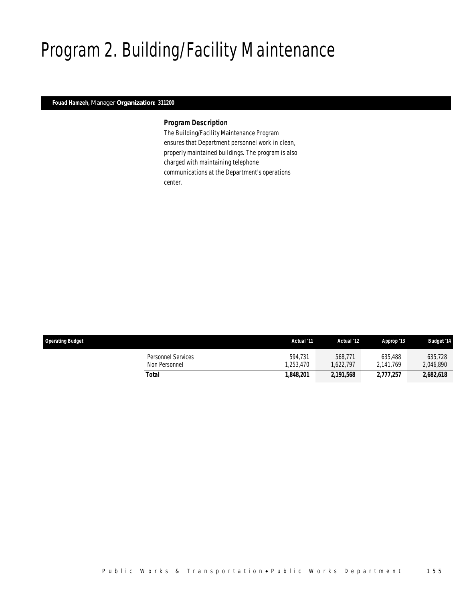# Program 2. Building/Facility Maintenance

## *Fouad Hamzeh, Manager Organization: 311200*

### *Program Description*

The Building/Facility Maintenance Program ensures that Department personnel work in clean, properly maintained buildings. The program is also charged with maintaining telephone communications at the Department's operations center.

| <b>Operating Budget</b>                    | Actual '11          | Actual '12          | Approp '13           | <b>Budget '14</b>    |
|--------------------------------------------|---------------------|---------------------|----------------------|----------------------|
| <b>Personnel Services</b><br>Non Personnel | 594.731<br>.253.470 | 568,771<br>.622.797 | 635.488<br>2.141.769 | 635,728<br>2,046,890 |
| Total                                      | 1.848.201           | 2,191,568           | 2.777.257            | 2,682,618            |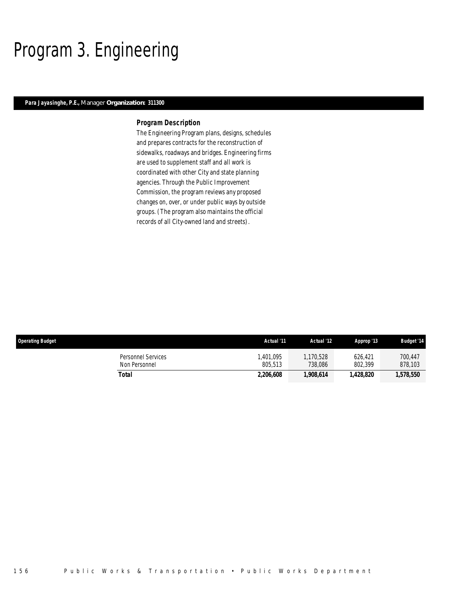# Program 3. Engineering

## *Para Jayasinghe, P.E., Manager Organization: 311300*

### *Program Description*

The Engineering Program plans, designs, schedules and prepares contracts for the reconstruction of sidewalks, roadways and bridges. Engineering firms are used to supplement staff and all work is coordinated with other City and state planning agencies. Through the Public Improvement Commission, the program reviews any proposed changes on, over, or under public ways by outside groups. (The program also maintains the official records of all City-owned land and streets).

| <b>Operating Budget</b>             | Actual '11          | Actual '12          | Approp '13         | <b>Budget '14</b>  |
|-------------------------------------|---------------------|---------------------|--------------------|--------------------|
| Personnel Services<br>Non Personnel | .401.095<br>805.513 | .170.528<br>738.086 | 626.421<br>802.399 | 700,447<br>878,103 |
| Total                               | 2,206,608           | 1,908,614           | 1.428.820          | 1,578,550          |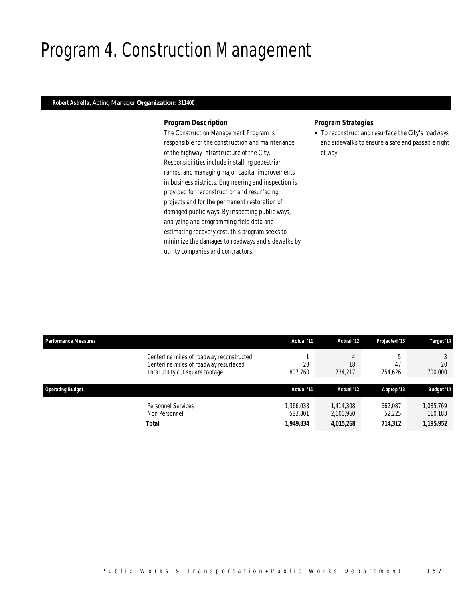# Program 4. Construction Management

### *Robert Astrella, Acting Manager Organization: 311400*

### *Program Description*

The Construction Management Program is responsible for the construction and maintenance of the highway infrastructure of the City. Responsibilities include installing pedestrian ramps, and managing major capital improvements in business districts. Engineering and inspection is provided for reconstruction and resurfacing projects and for the permanent restoration of damaged public ways. By inspecting public ways, analyzing and programming field data and estimating recovery cost, this program seeks to minimize the damages to roadways and sidewalks by utility companies and contractors.

## *Program Strategies*

• To reconstruct and resurface the City's roadways and sidewalks to ensure a safe and passable right of way.

| <b>Performance Measures</b> |                                                                                                                         | Actual '11         | Actual '12             | Projected '13     | Target '14           |
|-----------------------------|-------------------------------------------------------------------------------------------------------------------------|--------------------|------------------------|-------------------|----------------------|
|                             | Centerline miles of roadway reconstructed<br>Centerline miles of roadway resurfaced<br>Total utility cut square footage | 23<br>807,760      | 4<br>18<br>734,217     | 47<br>754.626     | 20<br>700,000        |
| <b>Operating Budget</b>     |                                                                                                                         | Actual '11         | Actual '12             | Approp '13        | <b>Budget '14</b>    |
|                             | Personnel Services<br>Non Personnel                                                                                     | 366,033<br>583,801 | 1.414.308<br>2,600,960 | 662,087<br>52,225 | 1,085,769<br>110,183 |
|                             | <b>Total</b>                                                                                                            | 1,949,834          | 4,015,268              | 714,312           | 1,195,952            |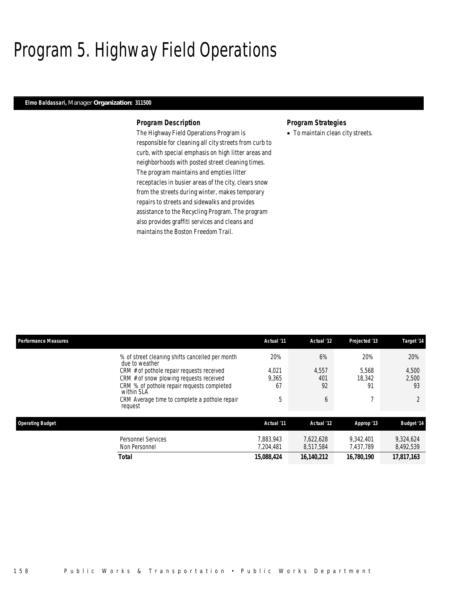# Program 5. Highway Field Operations

### *Elmo Baldassari, Manager Organization: 311500*

### *Program Description*

The Highway Field Operations Program is responsible for cleaning all city streets from curb to curb, with special emphasis on high litter areas and neighborhoods with posted street cleaning times. The program maintains and empties litter receptacles in busier areas of the city, clears snow from the streets during winter, makes temporary repairs to streets and sidewalks and provides assistance to the Recycling Program. The program also provides graffiti services and cleans and maintains the Boston Freedom Trail.

## *Program Strategies*

• To maintain clean city streets.

| <b>Performance Measures</b> |                                                                   | Actual '11             | Actual '12             | Projected '13          | Target '14             |
|-----------------------------|-------------------------------------------------------------------|------------------------|------------------------|------------------------|------------------------|
|                             | % of street cleaning shifts cancelled per month<br>due to weather | 20%                    | 6%                     | 20%                    | 20%                    |
|                             | CRM # of pothole repair requests received                         | 4.021                  | 4,557                  | 5.568                  | 4,500                  |
|                             | CRM # of snow plowing requests received                           | 9,365                  | 401                    | 18,342                 | 2,500                  |
|                             | CRM % of pothole repair requests completed<br>within SLA          | 67                     | 92                     | 91                     | 93                     |
|                             | CRM Average time to complete a pothole repair<br>request          | 5                      | 6                      |                        |                        |
| <b>Operating Budget</b>     | Actual '11                                                        | Actual '12             | Approp '13             | <b>Budget '14</b>      |                        |
|                             | Personnel Services<br>Non Personnel                               | 7.883.943<br>7.204.481 | 7.622.628<br>8,517,584 | 9.342.401<br>7.437.789 | 9,324,624<br>8,492,539 |
|                             | Total                                                             | 15,088,424             | 16.140.212             | 16,780,190             | 17.817.163             |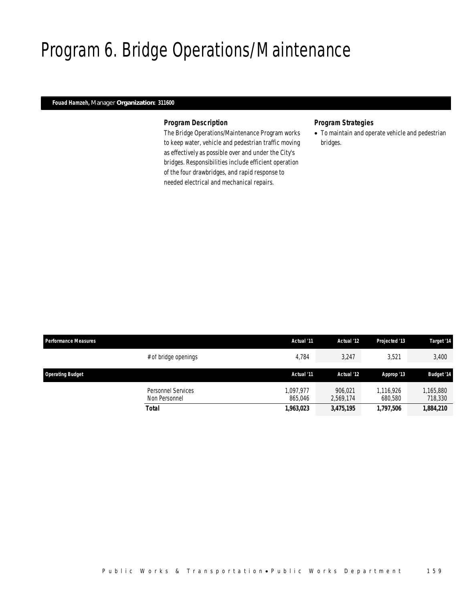# Program 6. Bridge Operations/Maintenance

## *Fouad Hamzeh, Manager Organization: 311600*

### *Program Description*

The Bridge Operations/Maintenance Program works to keep water, vehicle and pedestrian traffic moving as effectively as possible over and under the City's bridges. Responsibilities include efficient operation of the four drawbridges, and rapid response to needed electrical and mechanical repairs.

## *Program Strategies*

• To maintain and operate vehicle and pedestrian bridges.

| <b>Performance Measures</b> |                                            | Actual '11           | Actual '12           | <b>Projected '13</b> | Target '14           |
|-----------------------------|--------------------------------------------|----------------------|----------------------|----------------------|----------------------|
|                             | # of bridge openings                       | 4.784                | 3,247                | 3,521                | 3,400                |
| <b>Operating Budget</b>     |                                            | Actual '11           | Actual '12           | Approp '13           | <b>Budget '14</b>    |
|                             | <b>Personnel Services</b><br>Non Personnel | 1.097.977<br>865.046 | 906.021<br>2.569.174 | 1.116.926<br>680.580 | 1,165,880<br>718,330 |
|                             | <b>Total</b>                               | 1,963,023            | 3,475,195            | 1,797,506            | 1,884,210            |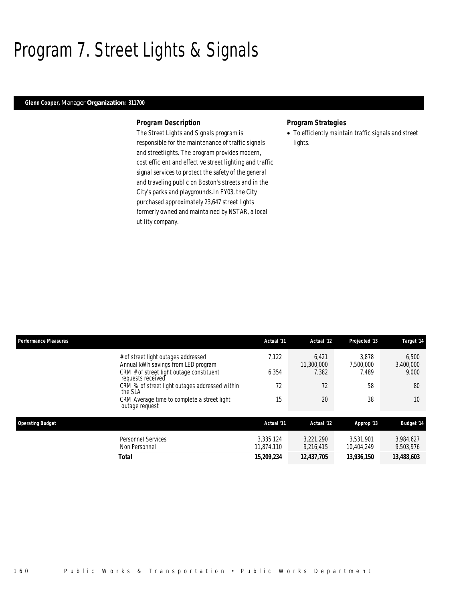# Program 7. Street Lights & Signals

### *Glenn Cooper, Manager Organization: 311700*

### *Program Description*

The Street Lights and Signals program is responsible for the maintenance of traffic signals and streetlights. The program provides modern, cost efficient and effective street lighting and traffic signal services to protect the safety of the general and traveling public on Boston's streets and in the City's parks and playgrounds.In FY03, the City purchased approximately 23,647 street lights formerly owned and maintained by NSTAR, a local utility company.

### *Program Strategies*

• To efficiently maintain traffic signals and street lights.

| <b>Performance Measures</b>                                   | Actual '11                                                                                                                                                                                                                                                                                                            | Actual '12        | Projected '13 | Target '14             |
|---------------------------------------------------------------|-----------------------------------------------------------------------------------------------------------------------------------------------------------------------------------------------------------------------------------------------------------------------------------------------------------------------|-------------------|---------------|------------------------|
| # of street light outages addressed                           | 7.122                                                                                                                                                                                                                                                                                                                 | 6,421             | 3.878         | 6,500<br>3,400,000     |
| CRM # of street light outage constituent                      | 6,354                                                                                                                                                                                                                                                                                                                 | 7.382             | 7.489         | 9,000                  |
| CRM % of street light outages addressed within<br>the SLA     | 72                                                                                                                                                                                                                                                                                                                    | 72                | 58            | 80                     |
| CRM Average time to complete a street light<br>outage request | 15                                                                                                                                                                                                                                                                                                                    | 20                | 38            | 10                     |
| <b>Operating Budget</b>                                       | Annual kWh savings from LED program<br>11,300,000<br>7,500,000<br>requests received<br>Actual '12<br>Actual '11<br>Approp '13<br>3.335.124<br><b>Personnel Services</b><br>3.221.290<br>3.531.901<br>Non Personnel<br>11.874.110<br>9.216.415<br>10.404.249<br><b>Total</b><br>15,209,234<br>12,437,705<br>13,936,150 | <b>Budget '14</b> |               |                        |
|                                                               |                                                                                                                                                                                                                                                                                                                       |                   |               | 3,984,627<br>9,503,976 |
|                                                               |                                                                                                                                                                                                                                                                                                                       |                   |               | 13,488,603             |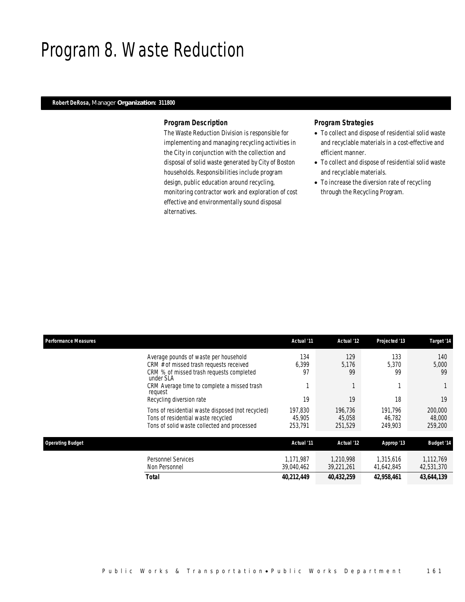# Program 8. Waste Reduction

# *Robert DeRosa, Manager Organization: 311800*

### *Program Description*

The Waste Reduction Division is responsible for implementing and managing recycling activities in the City in conjunction with the collection and disposal of solid waste generated by City of Boston households. Responsibilities include program design, public education around recycling, monitoring contractor work and exploration of cost effective and environmentally sound disposal alternatives.

## *Program Strategies*

- To collect and dispose of residential solid waste and recyclable materials in a cost-effective and efficient manner.
- To collect and dispose of residential solid waste and recyclable materials.
- To increase the diversion rate of recycling through the Recycling Program.

| <b>Performance Measures</b>                                                                                                            | Actual '11                   | Actual '12                   | Projected '13                | Target '14                   |
|----------------------------------------------------------------------------------------------------------------------------------------|------------------------------|------------------------------|------------------------------|------------------------------|
| Average pounds of waste per household<br>CRM # of missed trash requests received                                                       | 134<br>6,399                 | 129<br>5,176                 | 133<br>5.370                 | 140<br>5,000                 |
| CRM % of missed trash requests completed<br>under SLA                                                                                  | 97                           | 99                           | 99                           | 99                           |
| CRM Average time to complete a missed trash<br>request                                                                                 |                              |                              |                              |                              |
| Recycling diversion rate                                                                                                               | 19                           | 19                           | 18                           | 19                           |
| Tons of residential waste disposed (not recycled)<br>Tons of residential waste recycled<br>Tons of solid waste collected and processed | 197,830<br>45,905<br>253,791 | 196.736<br>45,058<br>251,529 | 191.796<br>46.782<br>249,903 | 200,000<br>48,000<br>259,200 |
|                                                                                                                                        |                              |                              |                              |                              |
| <b>Operating Budget</b>                                                                                                                | Actual '11                   | Actual '12                   | Approp '13                   | <b>Budget '14</b>            |
| <b>Personnel Services</b><br>Non Personnel                                                                                             | 1.171.987<br>39,040,462      | 1.210.998<br>39,221,261      | 1.315.616<br>41,642,845      | 1,112,769<br>42,531,370      |
| Total                                                                                                                                  | 40,212,449                   | 40,432,259                   | 42,958,461                   | 43,644,139                   |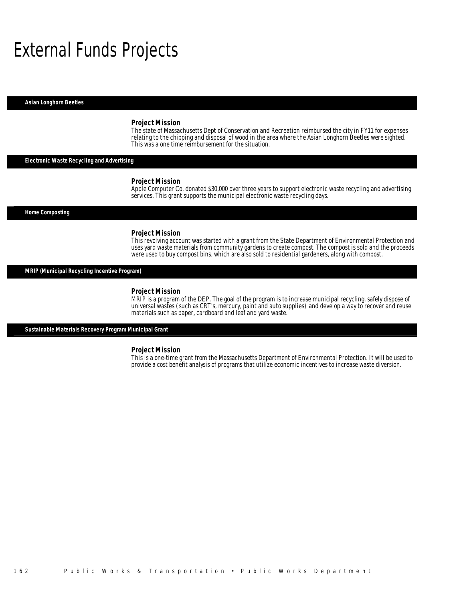# External Funds Projects

*Asian Longhorn Beetles* 

#### *Project Mission*

The state of Massachusetts Dept of Conservation and Recreation reimbursed the city in FY11 for expenses relating to the chipping and disposal of wood in the area where the Asian Longhorn Beetles were sighted. This was a one time reimbursement for the situation.

*Electronic Waste Recycling and Advertising* 

#### *Project Mission*

Apple Computer Co. donated \$30,000 over three years to support electronic waste recycling and advertising services. This grant supports the municipal electronic waste recycling days.

#### *Home Composting*

#### *Project Mission*

This revolving account was started with a grant from the State Department of Environmental Protection and uses yard waste materials from community gardens to create compost. The compost is sold and the proceeds were used to buy compost bins, which are also sold to residential gardeners, along with compost.

### *MRIP (Municipal Recycling Incentive Program)*

### *Project Mission*

MRIP is a program of the DEP. The goal of the program is to increase municipal recycling, safely dispose of universal wastes (such as CRT's, mercury, paint and auto supplies) and develop a way to recover and reuse materials such as paper, cardboard and leaf and yard waste.

*Sustainable Materials Recovery Program Municipal Grant* 

#### *Project Mission*

This is a one-time grant from the Massachusetts Department of Environmental Protection. It will be used to provide a cost benefit analysis of programs that utilize economic incentives to increase waste diversion.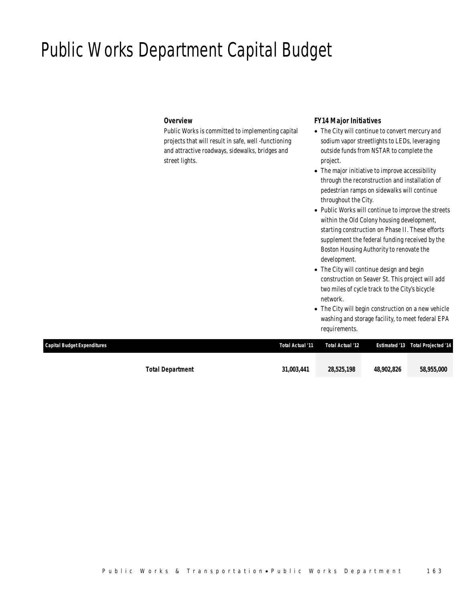# Public Works Department Capital Budget

## *Overview*

Public Works is committed to implementing capital projects that will result in safe, well -functioning and attractive roadways, sidewalks, bridges and street lights.

## *FY14 Major Initiatives*

- The City will continue to convert mercury and sodium vapor streetlights to LEDs, leveraging outside funds from NSTAR to complete the project.
- The major initiative to improve accessibility through the reconstruction and installation of pedestrian ramps on sidewalks will continue throughout the City.
- Public Works will continue to improve the streets within the Old Colony housing development, starting construction on Phase II. These efforts supplement the federal funding received by the Boston Housing Authority to renovate the development.
- The City will continue design and begin construction on Seaver St. This project will add two miles of cycle track to the City's bicycle network.
- The City will begin construction on a new vehicle washing and storage facility, to meet federal EPA requirements.

| Capital Budget Expenditures | Total Actual '11 | Total Actual '12 |            | <b>Estimated '13  Total Projected '14</b> |
|-----------------------------|------------------|------------------|------------|-------------------------------------------|
|                             |                  |                  |            |                                           |
| <b>Total Department</b>     | 31.003.441       | 28,525,198       | 48,902,826 | 58,955,000                                |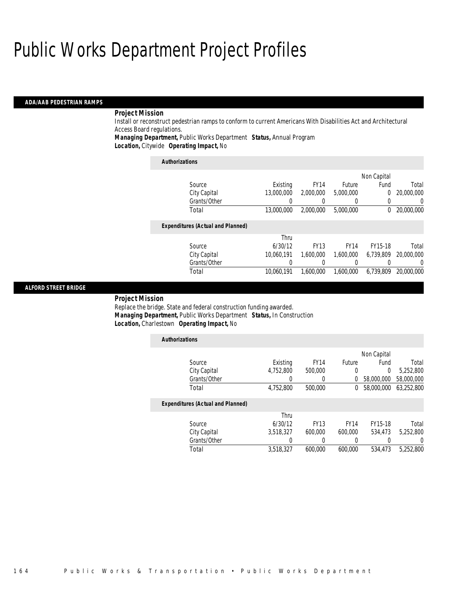### *ADA/AAB PEDESTRIAN RAMPS*

## *Project Mission*

Install or reconstruct pedestrian ramps to conform to current Americans With Disabilities Act and Architectural Access Board regulations.

*Managing Department,* Public Works Department *Status,* Annual Program

*Location,* Citywide *Operating Impact,* No

| <b>Authorizations</b>                    |            |             |             |                |            |
|------------------------------------------|------------|-------------|-------------|----------------|------------|
|                                          |            |             |             | Non Capital    |            |
| Source                                   | Existing   | <b>FY14</b> | Future      | Fund           | Total      |
| City Capital                             | 13,000,000 | 2,000,000   | 5,000,000   | $\overline{0}$ | 20,000,000 |
| Grants/Other                             |            |             | 0           | 0              | 0          |
| Total                                    | 13,000,000 | 2,000,000   | 5,000,000   | 0              | 20,000,000 |
| <b>Expenditures (Actual and Planned)</b> |            |             |             |                |            |
|                                          | Thru       |             |             |                |            |
| Source                                   | 6/30/12    | <b>FY13</b> | <b>FY14</b> | FY15-18        | Total      |
| City Capital                             | 10.060.191 | 1.600.000   | 1.600.000   | 6.739.809      | 20,000,000 |
| Grants/Other                             |            | 0           | 0           | 0              | 0          |
| Total                                    | 10.060.191 | 1.600.000   | 1.600.000   | 6.739.809      | 20,000,000 |

### *ALFORD STREET BRIDGE*

### *Project Mission*

Replace the bridge. State and federal construction funding awarded. *Managing Department,* Public Works Department *Status,* In Construction*Location,* Charlestown *Operating Impact,* No

| <b>Authorizations</b>                    |           |             |             |                |            |
|------------------------------------------|-----------|-------------|-------------|----------------|------------|
|                                          |           |             |             | Non Capital    |            |
| Source                                   | Existing  | <b>FY14</b> | Future      | Fund           | Total      |
| City Capital                             | 4,752,800 | 500,000     | 0           | $\overline{0}$ | 5,252,800  |
| Grants/Other                             | 0         |             | 0           | 58,000,000     | 58,000,000 |
| Total                                    | 4,752,800 | 500,000     | 0           | 58,000,000     | 63,252,800 |
| <b>Expenditures (Actual and Planned)</b> |           |             |             |                |            |
|                                          | Thru      |             |             |                |            |
| Source                                   | 6/30/12   | <b>FY13</b> | <b>FY14</b> | FY15-18        | Total      |
| City Capital                             | 3.518.327 | 600,000     | 600.000     | 534,473        | 5.252.800  |
| Grants/Other                             | 0         | 0           | 0           | 0              | 0          |
| Total                                    | 3.518.327 | 600.000     | 600.000     | 534,473        | 5.252.800  |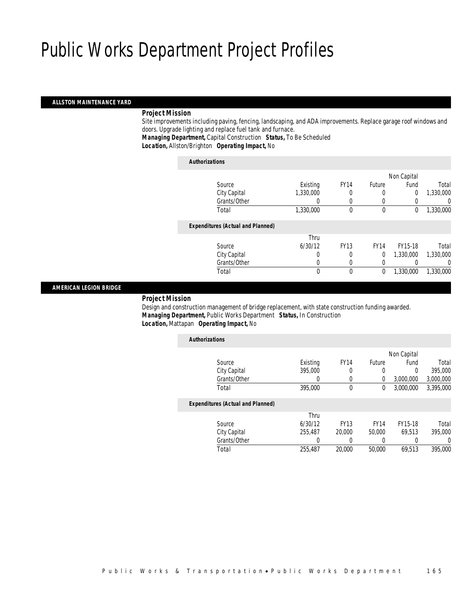### *ALLSTON MAINTENANCE YARD*

## *Project Mission*

 Site improvements including paving, fencing, landscaping, and ADA improvements. Replace garage roof windows and doors. Upgrade lighting and replace fuel tank and furnace.

*Managing Department,* Capital Construction *Status,* To Be Scheduled

*Location,* Allston/Brighton *Operating Impact,* No

| <b>Authorizations</b>                    |           |             |             |                |           |
|------------------------------------------|-----------|-------------|-------------|----------------|-----------|
|                                          |           |             |             | Non Capital    |           |
| Source                                   | Existing  | <b>FY14</b> | Future      | Fund           | Total     |
| City Capital                             | 1,330,000 |             | 0           | $\overline{0}$ | 1,330,000 |
| Grants/Other                             | 0         | 0           | 0           |                | 0         |
| Total                                    | 1,330,000 | $\theta$    | $\theta$    | 0              | 1,330,000 |
| <b>Expenditures (Actual and Planned)</b> |           |             |             |                |           |
|                                          | Thru      |             |             |                |           |
| Source                                   | 6/30/12   | <b>FY13</b> | <b>FY14</b> | FY15-18        | Total     |
| City Capital                             | 0         | 0           | $\theta$    | 1,330,000      | 1,330,000 |
| Grants/Other                             | 0         |             |             |                | 0         |
| Total                                    | 0         | $\theta$    | 0           | 1.330.000      | 1,330,000 |
|                                          |           |             |             |                |           |

### *AMERICAN LEGION BRIDGE*

*Project Mission*

 Design and construction management of bridge replacement, with state construction funding awarded. *Managing Department,* Public Works Department *Status,* In Construction*Location,* Mattapan *Operating Impact,* No

| <b>Authorizations</b>                    |          |             |               |             |           |
|------------------------------------------|----------|-------------|---------------|-------------|-----------|
|                                          |          |             |               | Non Capital |           |
| Source                                   | Existing | <b>FY14</b> | <b>Future</b> | Fund        | Total     |
| City Capital                             | 395,000  | 0           | 0             | 0           | 395,000   |
| Grants/Other                             | 0        | 0           | 0             | 3,000,000   | 3,000,000 |
| Total                                    | 395,000  | $\Omega$    | 0             | 3.000.000   | 3,395,000 |
| <b>Expenditures (Actual and Planned)</b> |          |             |               |             |           |
|                                          | Thru     |             |               |             |           |
| Source                                   | 6/30/12  | <b>FY13</b> | <b>FY14</b>   | FY15-18     | Total     |
| City Capital                             | 255,487  | 20,000      | 50,000        | 69,513      | 395,000   |
| Grants/Other                             | 0        | 0           | 0             | 0           | 0         |
| Total                                    | 255,487  | 20,000      | 50,000        | 69.513      | 395,000   |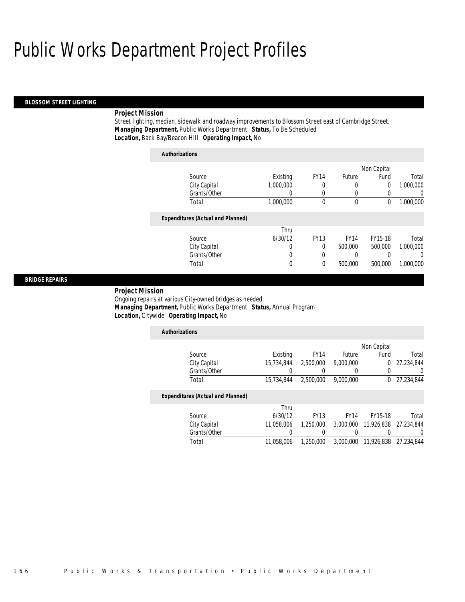### *BLOSSOM STREET LIGHTING*

### *Project Mission*

Street lighting, median, sidewalk and roadway improvements to Blossom Street east of Cambridge Street. *Managing Department,* Public Works Department *Status,* To Be Scheduled*Location,* Back Bay/Beacon Hill *Operating Impact,* No

| <b>Authorizations</b>                    |           |             |             |                |           |
|------------------------------------------|-----------|-------------|-------------|----------------|-----------|
|                                          |           |             |             | Non Capital    |           |
| Source                                   | Existing  | <b>FY14</b> | Future      | Fund           | Total     |
| City Capital                             | 1,000,000 |             | 0           | $\overline{0}$ | 1,000,000 |
| Grants/Other                             |           | 0           | 0           | 0              | 0         |
| Total                                    | 1,000,000 | $\theta$    | 0           | 0              | 1,000,000 |
| <b>Expenditures (Actual and Planned)</b> |           |             |             |                |           |
|                                          | Thru      |             |             |                |           |
| Source                                   | 6/30/12   | <b>FY13</b> | <b>FY14</b> | FY15-18        | Total     |
| City Capital                             | $\Omega$  | 0           | 500,000     | 500,000        | 1,000,000 |
| Grants/Other                             | 0         | 0           |             |                | $\Omega$  |
| Total                                    | 0         | $\mathbf 0$ | 500,000     | 500,000        | 1.000.000 |
|                                          |           |             |             |                |           |

### *BRIDGE REPAIRS*

### *Project Mission*

Ongoing repairs at various City-owned bridges as needed. *Managing Department,* Public Works Department *Status,* Annual Program*Location,* Citywide *Operating Impact,* No

| <b>Authorizations</b>                    |            |             |             |             |            |
|------------------------------------------|------------|-------------|-------------|-------------|------------|
|                                          |            |             |             | Non Capital |            |
| Source                                   | Existing   | <b>FY14</b> | Future      | Fund        | Total      |
| City Capital                             | 15.734.844 | 2,500,000   | 9.000.000   | 0           | 27.234.844 |
| Grants/Other                             |            |             | $\left($    | 0           |            |
| Total                                    | 15.734.844 | 2,500,000   | 9.000.000   | $^{0}$      | 27.234.844 |
| <b>Expenditures (Actual and Planned)</b> |            |             |             |             |            |
|                                          | Thru       |             |             |             |            |
| Source                                   | 6/30/12    | <b>FY13</b> | <b>FY14</b> | FY15-18     | Total      |
| City Capital                             | 11.058.006 | 1,250,000   | 3.000.000   | 11,926,838  | 27.234.844 |
| Grants/Other                             |            |             | 0           |             |            |
| Total                                    | 11.058.006 | 1.250.000   | 3,000,000   | 11,926,838  | 27.234.844 |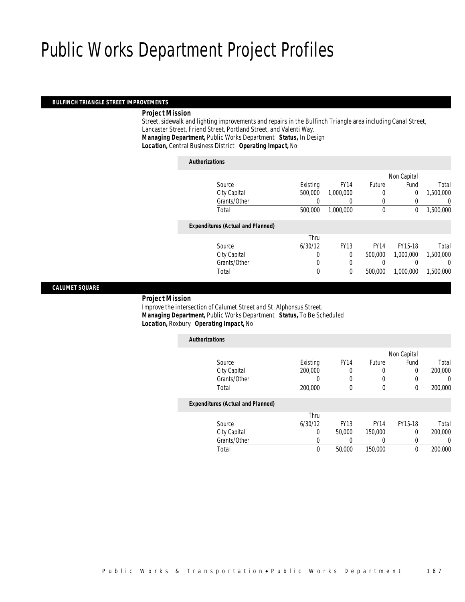### *BULFINCH TRIANGLE STREET IMPROVEMENTS*

### *Project Mission*

 Street, sidewalk and lighting improvements and repairs in the Bulfinch Triangle area including Canal Street, Lancaster Street, Friend Street, Portland Street, and Valenti Way. *Managing Department,* Public Works Department *Status,* In Design*Location,* Central Business District *Operating Impact,* No

## *Authorizations* Source **Existing** FY14 Future Non Capital Fund Total City Capital 500,000 1,000,000 0 0 1,500,000<br>
Grants/Other 0 0 0 0 0 0 Grants/Other 0 0 0 0 0 0 Total 500,000 1,000,000 0 0 1,500,000*Expenditures (Actual and Planned)* Source Thru 6/30/12 FY13 FY14 FY15-18 Total City Capital 0 0 0 500,000 1,000,000 1,500,000 Grants/Other 0 0 0 0 0 0 Total 0 0 500,000 1,000,000 1,500,000

### *CALUMET SQUARE*

#### *Project Mission*

 Improve the intersection of Calumet Street and St. Alphonsus Street. *Managing Department,* Public Works Department *Status,* To Be Scheduled*Location,* Roxbury *Operating Impact,* No

| <b>Authorizations</b>                    |          |             |             |             |          |
|------------------------------------------|----------|-------------|-------------|-------------|----------|
|                                          |          |             |             | Non Capital |          |
| Source                                   | Existing | <b>FY14</b> | Future      | Fund        | Total    |
| City Capital                             | 200,000  | 0           | 0           | 0           | 200,000  |
| Grants/Other                             | 0        | $\Omega$    | 0           | 0           | 0        |
| Total                                    | 200,000  | 0           | 0           | 0           | 200,000  |
| <b>Expenditures (Actual and Planned)</b> |          |             |             |             |          |
|                                          | Thru     |             |             |             |          |
| Source                                   | 6/30/12  | <b>FY13</b> | <b>FY14</b> | FY15-18     | Total    |
| City Capital                             | 0        | 50,000      | 150,000     | 0           | 200,000  |
| Grants/Other                             | 0        |             | 0           | 0           | $\left($ |
| Total                                    | 0        | 50,000      | 150,000     | 0           | 200,000  |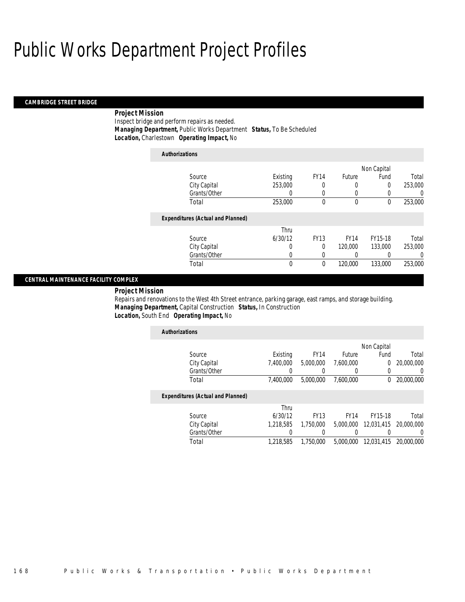### *CAMBRIDGE STREET BRIDGE*

# *Project Mission*

Inspect bridge and perform repairs as needed. *Managing Department,* Public Works Department *Status,* To Be Scheduled*Location,* Charlestown *Operating Impact,* No

| <b>Authorizations</b>                    |             |             |             |             |         |
|------------------------------------------|-------------|-------------|-------------|-------------|---------|
|                                          |             |             |             | Non Capital |         |
| Source                                   | Existing    | <b>FY14</b> | Future      | Fund        | Total   |
| City Capital                             | 253,000     | 0           | 0           | 0           | 253,000 |
| Grants/Other                             | $\left($    | 0           | 0           | 0           | 0       |
| Total                                    | 253,000     | 0           | 0           | 0           | 253,000 |
| <b>Expenditures (Actual and Planned)</b> |             |             |             |             |         |
|                                          | Thru        |             |             |             |         |
| Source                                   | 6/30/12     | <b>FY13</b> | <b>FY14</b> | FY15-18     | Total   |
| City Capital                             | 0           | $\theta$    | 120,000     | 133,000     | 253,000 |
| Grants/Other                             | 0           | 0           | 0           |             | 0       |
| Total                                    | $\mathbf 0$ | $\mathbf 0$ | 120,000     | 133,000     | 253,000 |

## *CENTRAL MAINTENANCE FACILITY COMPLEX*

*Project Mission* 

Repairs and renovations to the West 4th Street entrance, parking garage, east ramps, and storage building. *Managing Department,* Capital Construction *Status,* In Construction*Location,* South End *Operating Impact,* No

| <b>Authorizations</b>                    |           |             |               |             |                  |
|------------------------------------------|-----------|-------------|---------------|-------------|------------------|
|                                          |           |             |               | Non Capital |                  |
| Source                                   | Existing  | <b>FY14</b> | <b>Future</b> | Fund        | Total            |
| City Capital                             | 7.400.000 | 5,000,000   | 7.600.000     | 0           | 20,000,000       |
| Grants/Other                             | 0         |             | $\left($      | 0           | $\left( \right)$ |
| Total                                    | 7,400,000 | 5,000,000   | 7.600.000     | $^{0}$      | 20,000,000       |
| <b>Expenditures (Actual and Planned)</b> |           |             |               |             |                  |
|                                          | Thru      |             |               |             |                  |
| Source                                   | 6/30/12   | <b>FY13</b> | <b>FY14</b>   | FY15-18     | Total            |
| City Capital                             | 1.218.585 | 1.750.000   | 5,000,000     | 12,031,415  | 20,000,000       |
| Grants/Other                             |           |             |               |             | 0                |
| Total                                    | 1.218.585 | 1,750,000   | 5,000,000     | 12.031.415  | 20,000,000       |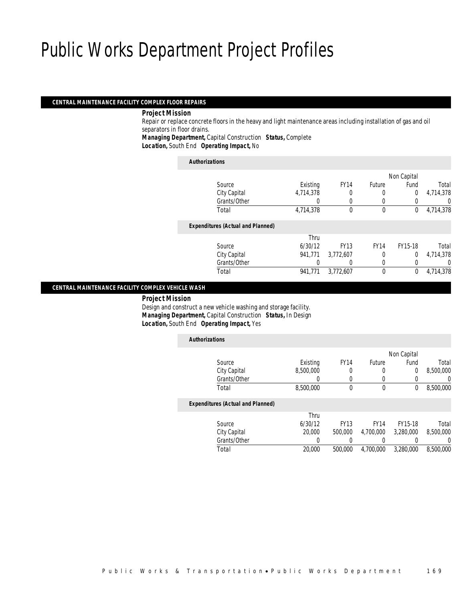#### *CENTRAL MAINTENANCE FACILITY COMPLEX FLOOR REPAIRS*

#### *Project Mission*

 Repair or replace concrete floors in the heavy and light maintenance areas including installation of gas and oil separators in floor drains.

*Managing Department,* Capital Construction *Status,* Complete

*Location,* South End *Operating Impact,* No

| <b>Authorizations</b>                    |           |             |             |                |           |
|------------------------------------------|-----------|-------------|-------------|----------------|-----------|
|                                          |           |             |             | Non Capital    |           |
| Source                                   | Existing  | <b>FY14</b> | Future      | Fund           | Total     |
| City Capital                             | 4,714,378 | 0           | 0           | $\overline{0}$ | 4,714,378 |
| Grants/Other                             | 0         | 0           |             | 0              | 0         |
| Total                                    | 4,714,378 | $\Omega$    | $\theta$    | 0              | 4,714,378 |
| <b>Expenditures (Actual and Planned)</b> |           |             |             |                |           |
|                                          | Thru      |             |             |                |           |
| Source                                   | 6/30/12   | <b>FY13</b> | <b>FY14</b> | FY15-18        | Total     |
| City Capital                             | 941.771   | 3,772,607   | 0           | $\Omega$       | 4,714,378 |
| Grants/Other                             |           |             | 0           |                | 0         |
| Total                                    | 941.771   | 3,772,607   | $\theta$    | $^{0}$         | 4,714,378 |

### *CENTRAL MAINTENANCE FACILITY COMPLEX VEHICLE WASH*

*Project Mission*

 Design and construct a new vehicle washing and storage facility. *Managing Department,* Capital Construction *Status,* In Design*Location,* South End *Operating Impact,* Yes

| <b>Authorizations</b>                    |           |             |             |                |           |
|------------------------------------------|-----------|-------------|-------------|----------------|-----------|
|                                          |           |             |             | Non Capital    |           |
| Source                                   | Existing  | <b>FY14</b> | Future      | Fund           | Total     |
| City Capital                             | 8,500,000 | 0           | 0           | $\overline{0}$ | 8,500,000 |
| Grants/Other                             | 0         | 0           | 0           | 0              | 0         |
| Total                                    | 8,500,000 | 0           | $\mathbf 0$ | 0              | 8,500,000 |
| <b>Expenditures (Actual and Planned)</b> |           |             |             |                |           |
|                                          | Thru      |             |             |                |           |
| Source                                   | 6/30/12   | <b>FY13</b> | <b>FY14</b> | FY15-18        | Total     |
| City Capital                             | 20,000    | 500,000     | 4.700.000   | 3.280.000      | 8,500,000 |
| Grants/Other                             | 0         |             |             |                | 0         |
| Total                                    | 20,000    | 500,000     | 4.700.000   | 3.280.000      | 8,500,000 |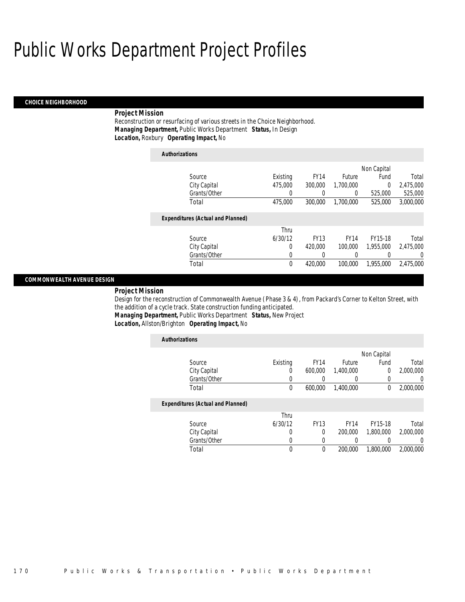#### *CHOICE NEIGHBORHOOD*

#### *Project Mission*

Reconstruction or resurfacing of various streets in the Choice Neighborhood. *Managing Department,* Public Works Department *Status,* In Design*Location,* Roxbury *Operating Impact,* No

| <b>Authorizations</b> |                                          |             |             |             |             |           |
|-----------------------|------------------------------------------|-------------|-------------|-------------|-------------|-----------|
|                       |                                          |             |             |             | Non Capital |           |
|                       | Source                                   | Existing    | <b>FY14</b> | Future      | Fund        | Total     |
|                       | City Capital                             | 475,000     | 300,000     | 1.700.000   | 0           | 2,475,000 |
|                       | Grants/Other                             | 0           |             | 0           | 525,000     | 525,000   |
|                       | Total                                    | 475,000     | 300,000     | 1,700,000   | 525,000     | 3,000,000 |
|                       | <b>Expenditures (Actual and Planned)</b> |             |             |             |             |           |
|                       |                                          | Thru        |             |             |             |           |
|                       | Source                                   | 6/30/12     | <b>FY13</b> | <b>FY14</b> | FY15-18     | Total     |
|                       | City Capital                             | 0           | 420,000     | 100,000     | 1,955,000   | 2.475.000 |
|                       | Grants/Other                             | 0           | 0           | 0           | 0           | 0         |
|                       | Total                                    | $\mathbf 0$ | 420,000     | 100,000     | 1.955.000   | 2.475.000 |

#### *COMMONWEALTH AVENUE DESIGN*

*Project Mission* 

Design for the reconstruction of Commonwealth Avenue (Phase 3 & 4), from Packard's Corner to Kelton Street, with the addition of a cycle track. State construction funding anticipated. *Managing Department,* Public Works Department *Status,* New Project

*Location,* Allston/Brighton *Operating Impact,* No

| <b>Authorizations</b>                    |          |             |             |             |                |
|------------------------------------------|----------|-------------|-------------|-------------|----------------|
|                                          |          |             |             | Non Capital |                |
| Source                                   | Existing | <b>FY14</b> | Future      | Fund        | Total          |
| City Capital                             | 0        | 600,000     | 1,400,000   | $\Omega$    | 2,000,000      |
| Grants/Other                             | 0        |             | 0           |             | $\overline{0}$ |
| Total                                    | 0        | 600,000     | 1.400.000   | $\Omega$    | 2,000,000      |
| <b>Expenditures (Actual and Planned)</b> |          |             |             |             |                |
|                                          | Thru     |             |             |             |                |
| Source                                   | 6/30/12  | <b>FY13</b> | <b>FY14</b> | FY15-18     | Total          |
| City Capital                             | 0        | $\Omega$    | 200,000     | 1.800.000   | 2.000.000      |
| Grants/Other                             | 0        |             | 0           |             | $\Omega$       |
| Total                                    | 0        | $\Omega$    | 200,000     | 1,800,000   | 2.000.000      |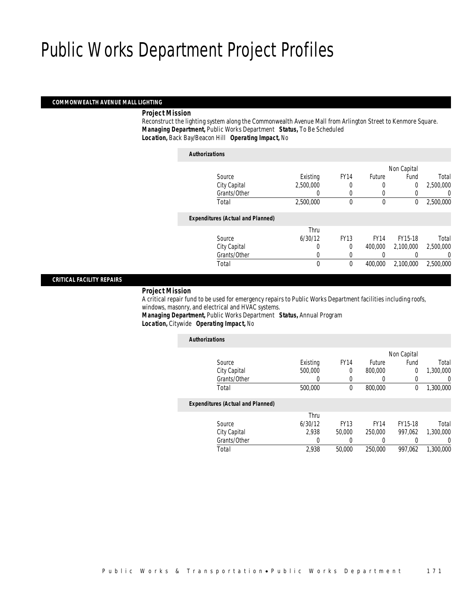#### *COMMONWEALTH AVENUE MALL LIGHTING*

### *Project Mission*

 Reconstruct the lighting system along the Commonwealth Avenue Mall from Arlington Street to Kenmore Square. *Managing Department,* Public Works Department *Status,* To Be Scheduled*Location,* Back Bay/Beacon Hill *Operating Impact,* No

| <b>Authorizations</b>                    |           |              |             |                |           |
|------------------------------------------|-----------|--------------|-------------|----------------|-----------|
|                                          |           |              |             | Non Capital    |           |
| Source                                   | Existing  | <b>FY14</b>  | Future      | Fund           | Total     |
| City Capital                             | 2,500,000 | 0            | 0           | $\overline{0}$ | 2,500,000 |
| Grants/Other                             | 0         | 0            | 0           | 0              | 0         |
| Total                                    | 2,500,000 | $\theta$     | $\theta$    | 0              | 2,500,000 |
| <b>Expenditures (Actual and Planned)</b> |           |              |             |                |           |
|                                          | Thru      |              |             |                |           |
| Source                                   | 6/30/12   | <b>FY13</b>  | <b>FY14</b> | FY15-18        | Total     |
| City Capital                             | 0         | $\theta$     | 400,000     | 2,100,000      | 2,500,000 |
| Grants/Other                             | 0         |              | $\left($    |                | 0         |
| Total                                    | 0         | $\mathbf{0}$ | 400,000     | 2,100,000      | 2,500,000 |
|                                          |           |              |             |                |           |

#### *CRITICAL FACILITY REPAIRS*

#### *Project Mission*

 A critical repair fund to be used for emergency repairs to Public Works Department facilities including roofs, windows, masonry, and electrical and HVAC systems.

*Managing Department,* Public Works Department *Status,* Annual Program*Location,* Citywide *Operating Impact,* No

| <b>Authorizations</b>                    |          |             |               |             |                |
|------------------------------------------|----------|-------------|---------------|-------------|----------------|
|                                          |          |             |               | Non Capital |                |
| Source                                   | Existing | <b>FY14</b> | <b>Future</b> | Fund        | Total          |
| City Capital                             | 500,000  | 0           | 800,000       | $\Omega$    | 1,300,000      |
| Grants/Other                             | 0        | $\left($    | 0             | 0           | $\overline{0}$ |
| Total                                    | 500,000  | 0           | 800,000       | $\Omega$    | 1,300,000      |
| <b>Expenditures (Actual and Planned)</b> |          |             |               |             |                |
|                                          | Thru     |             |               |             |                |
| Source                                   | 6/30/12  | <b>FY13</b> | <b>FY14</b>   | FY15-18     | Total          |
| City Capital                             | 2.938    | 50,000      | 250,000       | 997.062     | 1,300,000      |
| Grants/Other                             | 0        |             | 0             |             | $\Omega$       |
| Total                                    | 2,938    | 50,000      | 250,000       | 997.062     | 1,300,000      |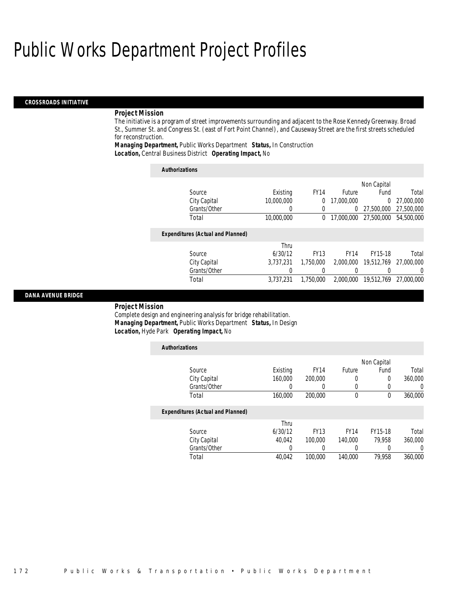#### *CROSSROADS INITIATIVE*

#### *Project Mission*

The initiative is a program of street improvements surrounding and adjacent to the Rose Kennedy Greenway. Broad St., Summer St. and Congress St. (east of Fort Point Channel), and Causeway Street are the first streets scheduled for reconstruction.

*Managing Department,* Public Works Department *Status,* In Construction*Location,* Central Business District *Operating Impact,* No

| <b>Authorizations</b>                    |            |             |             |             |            |
|------------------------------------------|------------|-------------|-------------|-------------|------------|
|                                          |            |             |             | Non Capital |            |
| Source                                   | Existing   | <b>FY14</b> | Future      | Fund        | Total      |
| City Capital                             | 10,000,000 | 0           | 17,000,000  | $\Omega$    | 27,000,000 |
| Grants/Other                             | 0          | 0           |             | 27.500.000  | 27,500,000 |
| Total                                    | 10,000,000 | $\theta$    | 17,000,000  | 27.500.000  | 54,500,000 |
| <b>Expenditures (Actual and Planned)</b> |            |             |             |             |            |
|                                          | Thru       |             |             |             |            |
| Source                                   | 6/30/12    | <b>FY13</b> | <b>FY14</b> | FY15-18     | Total      |
| City Capital                             | 3.737.231  | 1.750.000   | 2,000,000   | 19,512,769  | 27.000.000 |
| Grants/Other                             | 0          |             |             |             | $\left($   |
| Total                                    | 3,737,231  | 1,750,000   | 2.000.000   | 19,512,769  | 27,000,000 |

#### *DANA AVENUE BRIDGE*

*Project Mission* 

Complete design and engineering analysis for bridge rehabilitation. *Managing Department,* Public Works Department *Status,* In Design*Location,* Hyde Park *Operating Impact,* No

| <b>Authorizations</b>                    |          |             |             |             |         |
|------------------------------------------|----------|-------------|-------------|-------------|---------|
|                                          |          |             |             | Non Capital |         |
| Source                                   | Existing | <b>FY14</b> | Future      | Fund        | Total   |
| City Capital                             | 160,000  | 200,000     | 0           | 0           | 360,000 |
| Grants/Other                             |          |             | 0           | 0           |         |
| Total                                    | 160,000  | 200,000     | 0           | 0           | 360,000 |
| <b>Expenditures (Actual and Planned)</b> |          |             |             |             |         |
|                                          | Thru     |             |             |             |         |
| Source                                   | 6/30/12  | <b>FY13</b> | <b>FY14</b> | FY15-18     | Total   |
| City Capital                             | 40.042   | 100,000     | 140,000     | 79.958      | 360,000 |
| Grants/Other                             |          | 0           | 0           | 0           |         |
| Total                                    | 40.042   | 100,000     | 140,000     | 79.958      | 360,000 |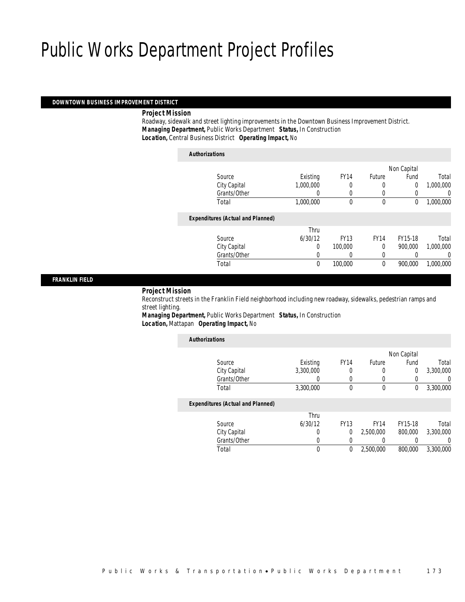#### *DOWNTOWN BUSINESS IMPROVEMENT DISTRICT*

### *Project Mission*

 Roadway, sidewalk and street lighting improvements in the Downtown Business Improvement District. *Managing Department,* Public Works Department *Status,* In Construction*Location,* Central Business District *Operating Impact,* No

| <b>Authorizations</b>                    |           |             |               |                |           |
|------------------------------------------|-----------|-------------|---------------|----------------|-----------|
|                                          |           |             |               | Non Capital    |           |
| Source                                   | Existing  | <b>FY14</b> | <b>Future</b> | Fund           | Total     |
| City Capital                             | 1,000,000 | 0           | 0             | $\overline{0}$ | 1,000,000 |
| Grants/Other                             | 0         |             | 0             | 0              | 0         |
| Total                                    | 1,000,000 | $\theta$    | $\mathbf 0$   | 0              | 1,000,000 |
| <b>Expenditures (Actual and Planned)</b> |           |             |               |                |           |
|                                          | Thru      |             |               |                |           |
| Source                                   | 6/30/12   | <b>FY13</b> | <b>FY14</b>   | FY15-18        | Total     |
| City Capital                             | 0         | 100,000     | 0             | 900.000        | 1,000,000 |
| Grants/Other                             | 0         |             | 0             |                | 0         |
| Total                                    | 0         | 100,000     | 0             | 900.000        | 1.000.000 |
|                                          |           |             |               |                |           |

#### *FRANKLIN FIELD*

#### *Project Mission*

 Reconstruct streets in the Franklin Field neighborhood including new roadway, sidewalks, pedestrian ramps and street lighting.

*Managing Department,* Public Works Department *Status,* In Construction*Location,* Mattapan *Operating Impact,* No

| <b>Authorizations</b>                    |           |             |             |                |                |
|------------------------------------------|-----------|-------------|-------------|----------------|----------------|
|                                          |           |             |             | Non Capital    |                |
| Source                                   | Existing  | <b>FY14</b> | Future      | Fund           | Total          |
| City Capital                             | 3,300,000 | 0           | 0           | $\overline{0}$ | 3,300,000      |
| Grants/Other                             | 0         |             |             |                | $\overline{0}$ |
| Total                                    | 3,300,000 | 0           | $\theta$    | 0              | 3,300,000      |
| <b>Expenditures (Actual and Planned)</b> |           |             |             |                |                |
|                                          | Thru      |             |             |                |                |
| Source                                   | 6/30/12   | <b>FY13</b> | <b>FY14</b> | FY15-18        | Total          |
| City Capital                             | 0         | $\Omega$    | 2.500.000   | 800,000        | 3,300,000      |
| Grants/Other                             | 0         | $\Omega$    | 0           |                | $\Omega$       |
| Total                                    | 0         | 0           | 2,500,000   | 800,000        | 3,300,000      |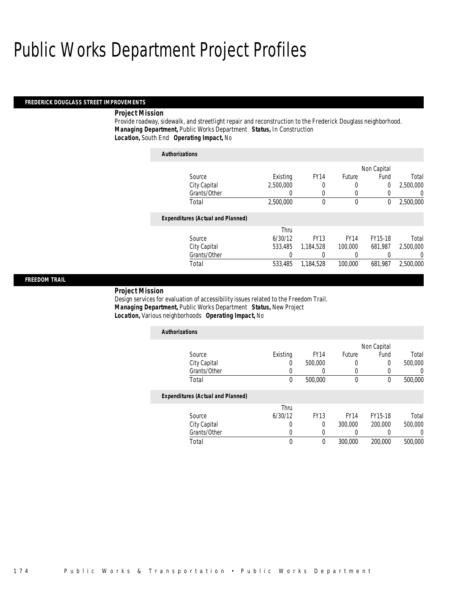#### *FREDERICK DOUGLASS STREET IMPROVEMENTS*

#### *Project Mission*

Provide roadway, sidewalk, and streetlight repair and reconstruction to the Frederick Douglass neighborhood. *Managing Department,* Public Works Department *Status,* In Construction*Location,* South End *Operating Impact,* No

| <b>Authorizations</b>                    |                  |             |               |                |           |
|------------------------------------------|------------------|-------------|---------------|----------------|-----------|
|                                          |                  |             |               | Non Capital    |           |
| Source                                   | Existing         | <b>FY14</b> | <b>Future</b> | Fund           | Total     |
| City Capital                             | 2,500,000        | 0           | 0             | $\overline{0}$ | 2,500,000 |
| Grants/Other                             | $\left( \right)$ | 0           | 0             | 0              | 0         |
| Total                                    | 2,500,000        | 0           | $\mathbf 0$   | 0              | 2,500,000 |
| <b>Expenditures (Actual and Planned)</b> |                  |             |               |                |           |
|                                          | Thru             |             |               |                |           |
| Source                                   | 6/30/12          | <b>FY13</b> | <b>FY14</b>   | FY15-18        | Total     |
| City Capital                             | 533,485          | 1.184.528   | 100,000       | 681.987        | 2,500,000 |
| Grants/Other                             | 0                |             | $\left($      |                | 0         |
| Total                                    | 533.485          | 1,184,528   | 100,000       | 681.987        | 2,500,000 |
|                                          |                  |             |               |                |           |

#### *FREEDOM TRAIL*

#### *Project Mission*

Design services for evaluation of accessibility issues related to the Freedom Trail. *Managing Department,* Public Works Department *Status,* New Project*Location,* Various neighborhoods *Operating Impact,* No

| <b>Authorizations</b>                    |          |             |             |             |         |
|------------------------------------------|----------|-------------|-------------|-------------|---------|
|                                          |          |             |             | Non Capital |         |
| Source                                   | Existing | <b>FY14</b> | Future      | Fund        | Total   |
| City Capital                             | 0        | 500,000     | 0           | $\Omega$    | 500,000 |
| Grants/Other                             |          |             | 0           | 0           |         |
| Total                                    | 0        | 500,000     | 0           | $\theta$    | 500,000 |
| <b>Expenditures (Actual and Planned)</b> |          |             |             |             |         |
|                                          | Thru     |             |             |             |         |
| Source                                   | 6/30/12  | <b>FY13</b> | <b>FY14</b> | FY15-18     | Total   |
| City Capital                             | 0        | $\Omega$    | 300,000     | 200,000     | 500,000 |
| Grants/Other                             | 0        | 0           | 0           | 0           |         |
| Total                                    | 0        | $\Omega$    | 300,000     | 200,000     | 500,000 |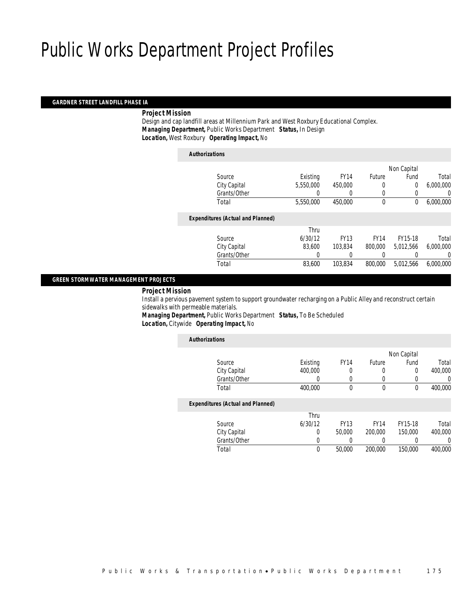#### *GARDNER STREET LANDFILL PHASE IA*

### *Project Mission*

 Design and cap landfill areas at Millennium Park and West Roxbury Educational Complex. *Managing Department,* Public Works Department *Status,* In Design*Location,* West Roxbury *Operating Impact,* No

### *Authorizations*

|                                          |           |             |               | Non Capital    |           |
|------------------------------------------|-----------|-------------|---------------|----------------|-----------|
| Source                                   | Existing  | <b>FY14</b> | <b>Future</b> | Fund           | Total     |
| City Capital                             | 5,550,000 | 450,000     | 0             | $\overline{0}$ | 6,000,000 |
| Grants/Other                             | 0         | 0           | 0             | 0              | 0         |
| Total                                    | 5,550,000 | 450,000     | $\mathbf 0$   | 0              | 6,000,000 |
|                                          |           |             |               |                |           |
| <b>Expenditures (Actual and Planned)</b> |           |             |               |                |           |
|                                          | Thru      |             |               |                |           |
| Source                                   | 6/30/12   | <b>FY13</b> | <b>FY14</b>   | FY15-18        | Total     |
| City Capital                             | 83,600    | 103.834     | 800,000       | 5.012.566      | 6,000,000 |
| Grants/Other                             | 0         |             |               |                | 0         |
| Total                                    | 83,600    | 103,834     | 800,000       | 5,012,566      | 6,000,000 |
|                                          |           |             |               |                |           |

### *GREEN STORMWATER MANAGEMENT PROJECTS*

#### *Project Mission*

 Install a pervious pavement system to support groundwater recharging on a Public Alley and reconstruct certain sidewalks with permeable materials. *Managing Department,* Public Works Department *Status,* To Be Scheduled

*Location,* Citywide *Operating Impact,* No

| <b>Authorizations</b>                    |          |             |             |             |         |
|------------------------------------------|----------|-------------|-------------|-------------|---------|
|                                          |          |             |             | Non Capital |         |
| Source                                   | Existing | <b>FY14</b> | Future      | Fund        | Total   |
| City Capital                             | 400,000  | 0           | 0           | 0           | 400,000 |
| Grants/Other                             | 0        | 0           | 0           |             | 0       |
| Total                                    | 400,000  | 0           | $\mathbf 0$ | 0           | 400,000 |
| <b>Expenditures (Actual and Planned)</b> |          |             |             |             |         |
|                                          | Thru     |             |             |             |         |
| Source                                   | 6/30/12  | <b>FY13</b> | <b>FY14</b> | FY15-18     | Total   |
| City Capital                             | 0        | 50,000      | 200,000     | 150,000     | 400,000 |
| Grants/Other                             | 0        |             | 0           |             | 0       |
| Total                                    | 0        | 50,000      | 200,000     | 150,000     | 400,000 |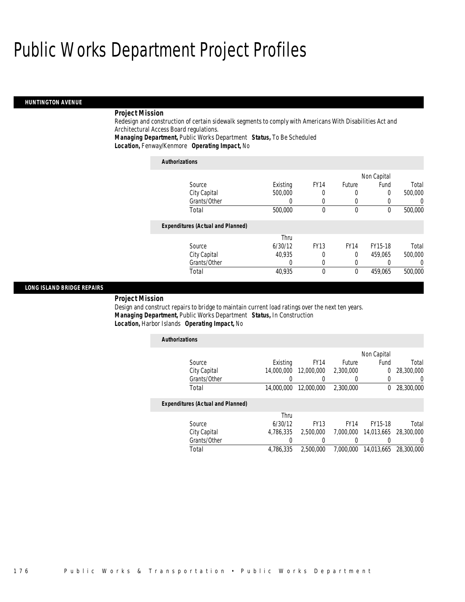#### *HUNTINGTON AVENUE*

### *Project Mission*

Redesign and construction of certain sidewalk segments to comply with Americans With Disabilities Act and Architectural Access Board regulations.

*Managing Department,* Public Works Department *Status,* To Be Scheduled*Location,* Fenway/Kenmore *Operating Impact,* No

*Authorizations*

| <b>Authorizations</b>                    |          |             |             |             |         |
|------------------------------------------|----------|-------------|-------------|-------------|---------|
|                                          |          |             |             | Non Capital |         |
| Source                                   | Existing | <b>FY14</b> | Future      | Fund        | Total   |
| City Capital                             | 500,000  | 0           | 0           | $\Omega$    | 500,000 |
| Grants/Other                             | 0        | 0           | 0           | 0           | 0       |
| Total                                    | 500,000  | $\theta$    | $\theta$    | $\theta$    | 500,000 |
| <b>Expenditures (Actual and Planned)</b> |          |             |             |             |         |
|                                          | Thru     |             |             |             |         |
| Source                                   | 6/30/12  | <b>FY13</b> | <b>FY14</b> | FY15-18     | Total   |
| City Capital                             | 40.935   | 0           | $\Omega$    | 459.065     | 500,000 |
| Grants/Other                             | 0        | 0           | 0           |             | 0       |
| Total                                    | 40.935   | $\theta$    | $\theta$    | 459.065     | 500,000 |

#### *LONG ISLAND BRIDGE REPAIRS*

#### *Project Mission*

Design and construct repairs to bridge to maintain current load ratings over the next ten years. *Managing Department,* Public Works Department *Status,* In Construction*Location,* Harbor Islands *Operating Impact,* No

| <b>Authorizations</b>                    |            |             |             |             |            |
|------------------------------------------|------------|-------------|-------------|-------------|------------|
|                                          |            |             |             | Non Capital |            |
| Source                                   | Existing   | <b>FY14</b> | Future      | Fund        | Total      |
| City Capital                             | 14,000,000 | 12,000,000  | 2,300,000   | 0           | 28,300,000 |
| Grants/Other                             |            |             | O           | 0           | O          |
| Total                                    | 14,000,000 | 12,000,000  | 2,300,000   | $^{0}$      | 28,300,000 |
|                                          |            |             |             |             |            |
| <b>Expenditures (Actual and Planned)</b> |            |             |             |             |            |
|                                          | Thru       |             |             |             |            |
| Source                                   | 6/30/12    | <b>FY13</b> | <b>FY14</b> | FY15-18     | Total      |
| City Capital                             | 4,786,335  | 2.500.000   | 7.000.000   | 14,013,665  | 28,300,000 |
| Grants/Other                             |            |             |             |             |            |
| Total                                    | 4.786.335  | 2,500,000   | 7.000.000   | 14,013,665  | 28,300,000 |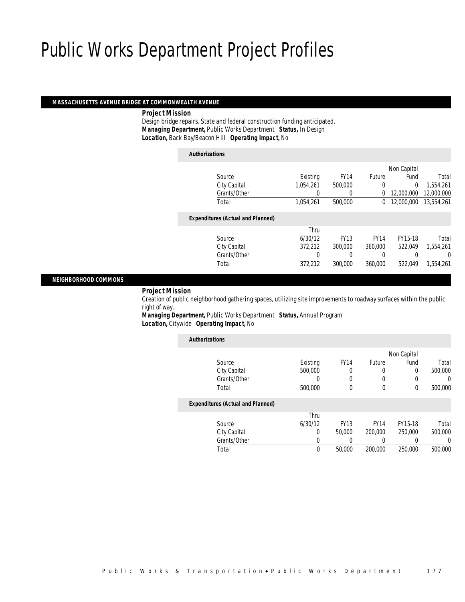*Authorizations*

#### *MASSACHUSETTS AVENUE BRIDGE AT COMMONWEALTH AVENUE*

#### *Project Mission*

 Design bridge repairs. State and federal construction funding anticipated. *Managing Department,* Public Works Department *Status,* In Design*Location,* Back Bay/Beacon Hill *Operating Impact,* No

| Authorizations                           |           |             |               |                |            |
|------------------------------------------|-----------|-------------|---------------|----------------|------------|
|                                          |           |             |               | Non Capital    |            |
| Source                                   | Existing  | <b>FY14</b> | <b>Future</b> | Fund           | Total      |
| City Capital                             | 1.054.261 | 500,000     | 0             | $\overline{0}$ | 1,554,261  |
| Grants/Other                             | 0         | 0           | 0             | 12,000,000     | 12,000,000 |
| Total                                    | 1,054,261 | 500,000     | $\Omega$      | 12,000,000     | 13,554,261 |
| <b>Expenditures (Actual and Planned)</b> |           |             |               |                |            |
|                                          | Thru      |             |               |                |            |
| Source                                   | 6/30/12   | <b>FY13</b> | <b>FY14</b>   | FY15-18        | Total      |
| City Capital                             | 372.212   | 300,000     | 360,000       | 522.049        | 1.554.261  |
| Grants/Other                             | 0         |             | 0             |                | 0          |
| Total                                    | 372.212   | 300,000     | 360,000       | 522.049        | 1.554.261  |
|                                          |           |             |               |                |            |

#### *NEIGHBORHOOD COMMONS*

#### *Project Mission*

 Creation of public neighborhood gathering spaces, utilizing site improvements to roadway surfaces within the public right of way.

*Managing Department,* Public Works Department *Status,* Annual Program*Location,* Citywide *Operating Impact,* No

| <b>Authorizations</b>                    |          |             |             |                  |          |
|------------------------------------------|----------|-------------|-------------|------------------|----------|
|                                          |          |             |             | Non Capital      |          |
| Source                                   | Existing | <b>FY14</b> | Future      | Fund             | Total    |
| City Capital                             | 500,000  | 0           | 0           | 0                | 500,000  |
| Grants/Other                             | 0        | 0           | 0           | 0                | 0        |
| Total                                    | 500,000  | 0           | $\mathbf 0$ | 0                | 500,000  |
| <b>Expenditures (Actual and Planned)</b> |          |             |             |                  |          |
|                                          | Thru     |             |             |                  |          |
| Source                                   | 6/30/12  | <b>FY13</b> | <b>FY14</b> | FY15-18          | Total    |
| City Capital                             | 0        | 50,000      | 200,000     | 250,000          | 500,000  |
| Grants/Other                             | 0        |             | 0           | $\left( \right)$ | $\left($ |
| Total                                    | 0        | 50,000      | 200,000     | 250,000          | 500,000  |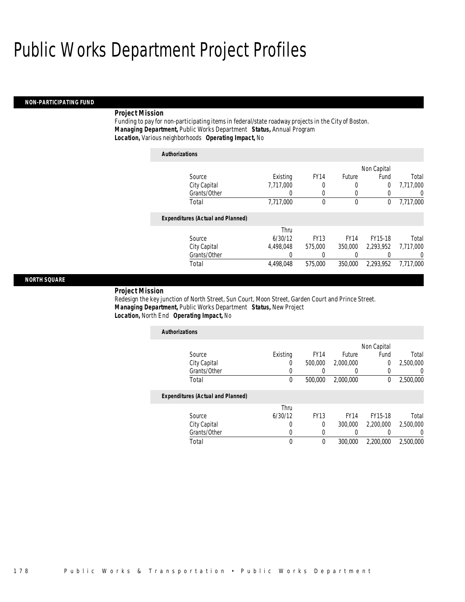#### *NON-PARTICIPATING FUND*

### *Project Mission*

Funding to pay for non-participating items in federal/state roadway projects in the City of Boston. *Managing Department,* Public Works Department *Status,* Annual Program*Location,* Various neighborhoods *Operating Impact,* No

| <b>Authorizations</b>                    |                  |                  |             |             |                |
|------------------------------------------|------------------|------------------|-------------|-------------|----------------|
|                                          |                  |                  |             | Non Capital |                |
| Source                                   | Existing         | FY <sub>14</sub> | Future      | Fund        | Total          |
| City Capital                             | 7.717.000        | 0                | 0           | 0           | 7.717.000      |
| Grants/Other                             | $\left( \right)$ | 0                | 0           |             | U              |
| Total                                    | 7,717,000        | 0                | 0           | 0           | 7,717,000      |
| <b>Expenditures (Actual and Planned)</b> |                  |                  |             |             |                |
|                                          | Thru             |                  |             |             |                |
| Source                                   | 6/30/12          | <b>FY13</b>      | <b>FY14</b> | FY15-18     | Total          |
| City Capital                             | 4.498.048        | 575,000          | 350,000     | 2.293.952   | 7.717.000      |
| Grants/Other                             | 0                | 0                | 0           |             | $\overline{0}$ |
| Total                                    | 4,498,048        | 575,000          | 350,000     | 2.293.952   | 7.717.000      |

#### *NORTH SQUARE*

#### *Project Mission*

Redesign the key junction of North Street, Sun Court, Moon Street, Garden Court and Prince Street. *Managing Department,* Public Works Department *Status,* New Project*Location,* North End *Operating Impact,* No

| <b>Authorizations</b>                    |          |             |               |             |                  |
|------------------------------------------|----------|-------------|---------------|-------------|------------------|
|                                          |          |             |               | Non Capital |                  |
| Source                                   | Existing | <b>FY14</b> | <b>Future</b> | Fund        | Total            |
| City Capital                             | U        | 500,000     | 2,000,000     | 0           | 2,500,000        |
| Grants/Other                             |          |             |               | 0           | $\left( \right)$ |
| Total                                    | 0        | 500,000     | 2,000,000     | $^{0}$      | 2,500,000        |
| <b>Expenditures (Actual and Planned)</b> |          |             |               |             |                  |
|                                          | Thru     |             |               |             |                  |
| Source                                   | 6/30/12  | <b>FY13</b> | <b>FY14</b>   | FY15-18     | Total            |
| City Capital                             | 0        | $\Omega$    | 300,000       | 2.200.000   | 2,500,000        |
| Grants/Other                             | 0        |             |               |             | $\left( \right)$ |
| Total                                    | 0        | 0           | 300,000       | 2.200.000   | 2,500,000        |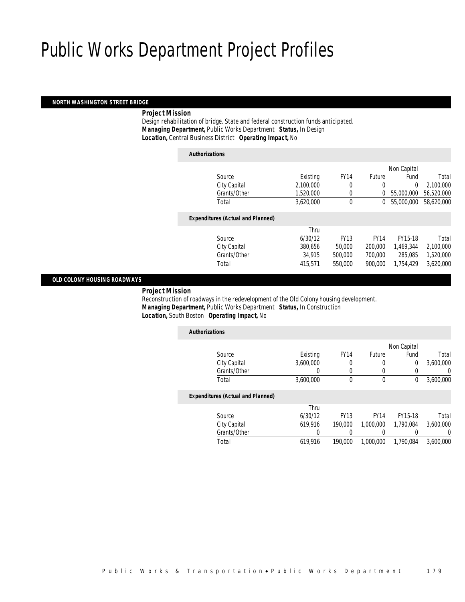#### *NORTH WASHINGTON STREET BRIDGE*

### *Project Mission*

 Design rehabilitation of bridge. State and federal construction funds anticipated. *Managing Department,* Public Works Department *Status,* In Design*Location,* Central Business District *Operating Impact,* No

| <b>Authorizations</b>                    |           |             |               |             |            |
|------------------------------------------|-----------|-------------|---------------|-------------|------------|
|                                          |           |             |               | Non Capital |            |
| Source                                   | Existing  | <b>FY14</b> | <b>Future</b> | Fund        | Total      |
| City Capital                             | 2,100,000 | 0           | 0             | $\Omega$    | 2,100,000  |
| Grants/Other                             | 1.520.000 | 0           | 0             | 55,000,000  | 56,520,000 |
| Total                                    | 3.620.000 | 0           | 0             | 55,000,000  | 58,620,000 |
|                                          |           |             |               |             |            |
| <b>Expenditures (Actual and Planned)</b> |           |             |               |             |            |
|                                          | Thru      |             |               |             |            |
| Source                                   | 6/30/12   | <b>FY13</b> | <b>FY14</b>   | FY15-18     | Total      |
| City Capital                             | 380.656   | 50,000      | 200,000       | 1.469.344   | 2,100,000  |
| Grants/Other                             | 34,915    | 500,000     | 700,000       | 285,085     | 1,520,000  |
| Total                                    | 415,571   | 550,000     | 900.000       | 1.754.429   | 3,620,000  |
|                                          |           |             |               |             |            |

#### *OLD COLONY HOUSING ROADWAYS*

#### *Project Mission*

 Reconstruction of roadways in the redevelopment of the Old Colony housing development. *Managing Department,* Public Works Department *Status,* In Construction*Location,* South Boston *Operating Impact,* No

| <b>Authorizations</b>                    |           |             |             |             |           |
|------------------------------------------|-----------|-------------|-------------|-------------|-----------|
|                                          |           |             |             | Non Capital |           |
| Source                                   | Existing  | <b>FY14</b> | Future      | Fund        | Total     |
| City Capital                             | 3.600.000 | 0           | 0           | 0           | 3,600,000 |
| Grants/Other                             |           | 0           | 0           | 0           | 0         |
| Total                                    | 3.600.000 | 0           | 0           | 0           | 3.600.000 |
| <b>Expenditures (Actual and Planned)</b> |           |             |             |             |           |
|                                          | Thru      |             |             |             |           |
| Source                                   | 6/30/12   | <b>FY13</b> | <b>FY14</b> | FY15-18     | Total     |
| City Capital                             | 619.916   | 190,000     | 1.000.000   | 1.790.084   | 3.600.000 |
| Grants/Other                             | 0         |             | 0           |             | $\left($  |
| Total                                    | 619,916   | 190,000     | 1.000.000   | 1.790.084   | 3.600.000 |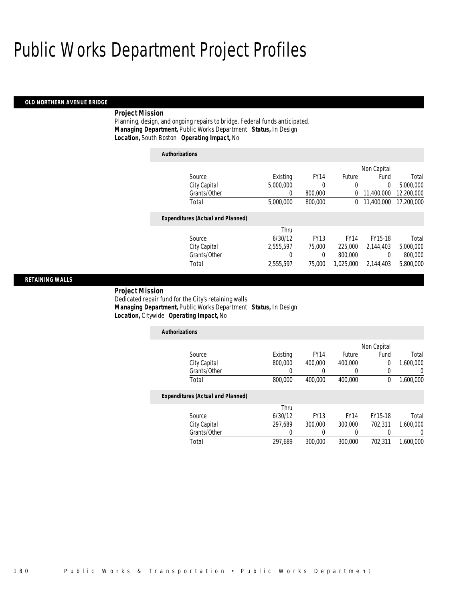*Authorizations*

#### *OLD NORTHERN AVENUE BRIDGE*

#### *Project Mission*

Planning, design, and ongoing repairs to bridge. Federal funds anticipated. *Managing Department,* Public Works Department *Status,* In Design*Location,* South Boston *Operating Impact,* No

| Authorizations                           |           |             |             |             |            |
|------------------------------------------|-----------|-------------|-------------|-------------|------------|
|                                          |           |             |             | Non Capital |            |
| Source                                   | Existing  | <b>FY14</b> | Future      | Fund        | Total      |
| City Capital                             | 5,000,000 | 0           | 0           | 0           | 5.000.000  |
| Grants/Other                             | 0         | 800,000     | 0           | 11,400,000  | 12,200,000 |
| Total                                    | 5,000,000 | 800,000     | 0           | 11,400,000  | 17,200,000 |
| <b>Expenditures (Actual and Planned)</b> |           |             |             |             |            |
|                                          | Thru      |             |             |             |            |
| Source                                   | 6/30/12   | <b>FY13</b> | <b>FY14</b> | FY15-18     | Total      |
| City Capital                             | 2.555.597 | 75,000      | 225,000     | 2.144.403   | 5,000,000  |
| Grants/Other                             | 0         | 0           | 800,000     | 0           | 800,000    |
| Total                                    | 2.555.597 | 75,000      | 1.025.000   | 2.144.403   | 5.800.000  |
|                                          |           |             |             |             |            |

#### *RETAINING WALLS*

 *Project Mission* Dedicated repair fund for the City's retaining walls. *Managing Department,* Public Works Department *Status,* In Design*Location,* Citywide *Operating Impact,* No

| <b>Authorizations</b>                    |          |             |             |                |                  |
|------------------------------------------|----------|-------------|-------------|----------------|------------------|
|                                          |          |             |             | Non Capital    |                  |
| Source                                   | Existing | <b>FY14</b> | Future      | Fund           | Total            |
| City Capital                             | 800,000  | 400,000     | 400,000     | $\overline{0}$ | 1,600,000        |
| Grants/Other                             |          |             | 0           | 0              | $\left( \right)$ |
| Total                                    | 800,000  | 400,000     | 400,000     | 0              | 1,600,000        |
| <b>Expenditures (Actual and Planned)</b> |          |             |             |                |                  |
|                                          | Thru     |             |             |                |                  |
| Source                                   | 6/30/12  | <b>FY13</b> | <b>FY14</b> | FY15-18        | Total            |
| City Capital                             | 297.689  | 300,000     | 300,000     | 702.311        | 1.600.000        |
| Grants/Other                             | $\left($ | 0           | 0           | 0              |                  |
| Total                                    | 297.689  | 300,000     | 300,000     | 702.311        | 1.600.000        |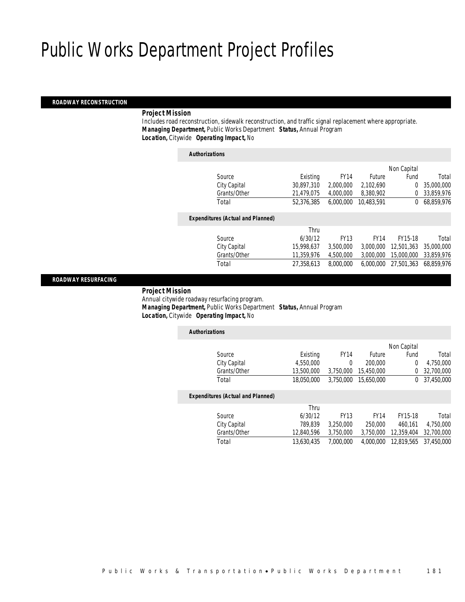#### *ROADWAY RECONSTRUCTION*

#### *Project Mission*

 Includes road reconstruction, sidewalk reconstruction, and traffic signal replacement where appropriate. *Managing Department,* Public Works Department *Status,* Annual Program*Location,* Citywide *Operating Impact,* No

*Authorizations*

|                                          |            |             |               | Non Capital |            |
|------------------------------------------|------------|-------------|---------------|-------------|------------|
| Source                                   | Existing   | <b>FY14</b> | <b>Future</b> | Fund        | Total      |
| City Capital                             | 30,897,310 | 2,000,000   | 2,102,690     | $\Omega$    | 35,000,000 |
| Grants/Other                             | 21,479,075 | 4,000,000   | 8,380,902     | 0           | 33,859,976 |
| Total                                    | 52,376,385 | 6,000,000   | 10,483,591    | $^{0}$      | 68,859,976 |
| <b>Expenditures (Actual and Planned)</b> |            |             |               |             |            |
|                                          | Thru       |             |               |             |            |
| Source                                   | 6/30/12    | <b>FY13</b> | <b>FY14</b>   | FY15-18     | Total      |
| City Capital                             | 15,998,637 | 3,500,000   | 3.000.000     | 12,501,363  | 35,000,000 |
| Grants/Other                             | 11,359,976 | 4,500,000   | 3,000,000     | 15,000,000  | 33,859,976 |
| Total                                    | 27,358,613 | 8,000,000   | 6.000.000     | 27.501.363  | 68,859,976 |
|                                          |            |             |               |             |            |

#### *ROADWAY RESURFACING*

### *Project Mission*

 Annual citywide roadway resurfacing program. *Managing Department,* Public Works Department *Status,* Annual Program*Location,* Citywide *Operating Impact,* No

| <b>Authorizations</b>                    |            |             |             |             |            |
|------------------------------------------|------------|-------------|-------------|-------------|------------|
|                                          |            |             |             | Non Capital |            |
| Source                                   | Existing   | <b>FY14</b> | Future      | Fund        | Total      |
| City Capital                             | 4.550.000  | 0           | 200,000     | 0           | 4.750.000  |
| Grants/Other                             | 13,500,000 | 3,750,000   | 15.450.000  | 0           | 32,700,000 |
| Total                                    | 18.050.000 | 3.750.000   | 15.650.000  | 0           | 37,450,000 |
| <b>Expenditures (Actual and Planned)</b> |            |             |             |             |            |
|                                          | Thru       |             |             |             |            |
| Source                                   | 6/30/12    | <b>FY13</b> | <b>FY14</b> | FY15-18     | Total      |
| City Capital                             | 789.839    | 3.250.000   | 250,000     | 460.161     | 4.750.000  |
| Grants/Other                             | 12.840.596 | 3.750.000   | 3.750.000   | 12.359.404  | 32,700,000 |
| Total                                    | 13.630.435 | 7.000.000   | 4.000.000   | 12.819.565  | 37,450,000 |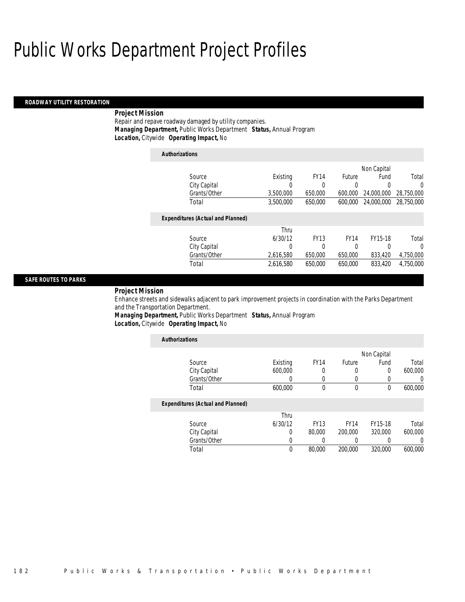#### *ROADWAY UTILITY RESTORATION*

#### *Project Mission*

Repair and repave roadway damaged by utility companies. *Managing Department,* Public Works Department *Status,* Annual Program*Location,* Citywide *Operating Impact,* No

| <b>Authorizations</b>                    |           |             |             |             |            |
|------------------------------------------|-----------|-------------|-------------|-------------|------------|
|                                          |           |             |             | Non Capital |            |
| Source                                   | Existing  | <b>FY14</b> | Future      | Fund        | Total      |
| City Capital                             | 0         | 0           | 0           | 0           | $\Omega$   |
| Grants/Other                             | 3,500,000 | 650,000     | 600.000     | 24,000,000  | 28,750,000 |
| Total                                    | 3,500,000 | 650,000     | 600,000     | 24,000,000  | 28,750,000 |
| <b>Expenditures (Actual and Planned)</b> |           |             |             |             |            |
|                                          | Thru      |             |             |             |            |
| Source                                   | 6/30/12   | <b>FY13</b> | <b>FY14</b> | FY15-18     | Total      |
| City Capital                             | 0         | 0           | 0           | 0           | $\Omega$   |
| Grants/Other                             | 2,616,580 | 650.000     | 650,000     | 833.420     | 4,750,000  |
| Total                                    | 2,616,580 | 650,000     | 650,000     | 833,420     | 4.750.000  |

### *SAFE ROUTES TO PARKS*

#### *Project Mission*

Enhance streets and sidewalks adjacent to park improvement projects in coordination with the Parks Department and the Transportation Department.

*Managing Department,* Public Works Department *Status,* Annual Program*Location,* Citywide *Operating Impact,* No

| <b>Authorizations</b>                    |          |             |              |                |         |
|------------------------------------------|----------|-------------|--------------|----------------|---------|
|                                          |          |             |              | Non Capital    |         |
| Source                                   | Existing | <b>FY14</b> | Future       | Fund           | Total   |
| City Capital                             | 600,000  | 0           | 0            | $\overline{0}$ | 600,000 |
| Grants/Other                             | 0        | 0           | 0            | 0              |         |
| Total                                    | 600,000  | $\theta$    | $\mathbf{0}$ | 0              | 600,000 |
| <b>Expenditures (Actual and Planned)</b> |          |             |              |                |         |
|                                          | Thru     |             |              |                |         |
| Source                                   | 6/30/12  | <b>FY13</b> | <b>FY14</b>  | FY15-18        | Total   |
| City Capital                             | 0        | 80,000      | 200,000      | 320,000        | 600,000 |
| Grants/Other                             | 0        | 0           | 0            | $\left($       |         |
| Total                                    | $\theta$ | 80,000      | 200,000      | 320,000        | 600,000 |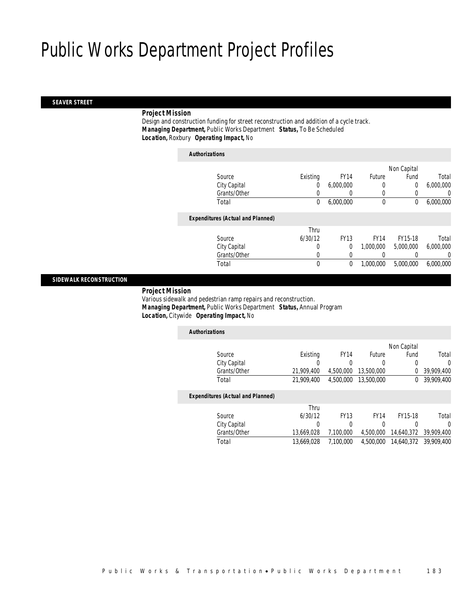### *SEAVER STREET*

### *Project Mission*

 Design and construction funding for street reconstruction and addition of a cycle track. *Managing Department,* Public Works Department *Status,* To Be Scheduled*Location,* Roxbury *Operating Impact,* No

| <b>Authorizations</b>                    |          |             |              |             |           |
|------------------------------------------|----------|-------------|--------------|-------------|-----------|
|                                          |          |             |              | Non Capital |           |
| Source                                   | Existing | <b>FY14</b> | Future       | Fund        | Total     |
| City Capital                             | 0        | 6,000,000   | 0            | $\Omega$    | 6,000,000 |
| Grants/Other                             |          | $\left($    | 0            |             | 0         |
| Total                                    | 0        | 6,000,000   | $\mathbf{0}$ | 0           | 6,000,000 |
| <b>Expenditures (Actual and Planned)</b> |          |             |              |             |           |
|                                          | Thru     |             |              |             |           |
| Source                                   | 6/30/12  | <b>FY13</b> | <b>FY14</b>  | FY15-18     | Total     |
| City Capital                             | 0        | 0           | 1,000,000    | 5.000.000   | 6.000.000 |
| Grants/Other                             | 0        | 0           | 0            |             | $\left($  |
| Total                                    | 0        | 0           | 1,000,000    | 5,000,000   | 6.000.000 |
|                                          |          |             |              |             |           |

#### *SIDEWALK RECONSTRUCTION*

#### *Project Mission*

 Various sidewalk and pedestrian ramp repairs and reconstruction. *Managing Department,* Public Works Department *Status,* Annual Program*Location,* Citywide *Operating Impact,* No

| <b>Authorizations</b>                    |            |             |             |             |            |
|------------------------------------------|------------|-------------|-------------|-------------|------------|
|                                          |            |             |             | Non Capital |            |
| Source                                   | Existina   | <b>FY14</b> | Future      | Fund        | Total      |
| City Capital                             | 0          | 0           | 0           | 0           | $\Omega$   |
| Grants/Other                             | 21,909,400 | 4.500.000   | 13,500,000  | 0           | 39,909,400 |
| Total                                    | 21,909,400 | 4.500.000   | 13,500,000  | $\Omega$    | 39,909,400 |
| <b>Expenditures (Actual and Planned)</b> |            |             |             |             |            |
|                                          | Thru       |             |             |             |            |
| Source                                   | 6/30/12    | <b>FY13</b> | <b>FY14</b> | FY15-18     | Total      |
| City Capital                             | 0          | 0           | 0           | 0           | 0          |
| Grants/Other                             | 13,669,028 | 7.100.000   | 4.500.000   | 14,640,372  | 39,909,400 |
| Total                                    | 13.669.028 | 7.100.000   | 4.500.000   | 14,640,372  | 39,909,400 |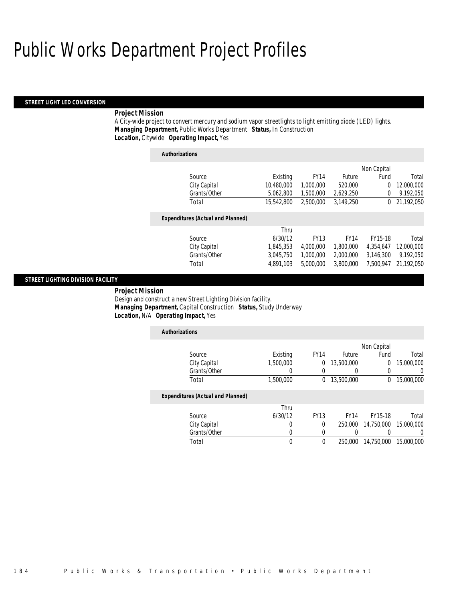*Authorizations*

#### *STREET LIGHT LED CONVERSION*

#### *Project Mission*

A City-wide project to convert mercury and sodium vapor streetlights to light emitting diode (LED) lights. *Managing Department,* Public Works Department *Status,* In Construction*Location,* Citywide *Operating Impact,* Yes

| <i><b>Authorizations</b></i>             |            |             |             |                |            |
|------------------------------------------|------------|-------------|-------------|----------------|------------|
|                                          |            |             |             | Non Capital    |            |
| Source                                   | Existing   | <b>FY14</b> | Future      | Fund           | Total      |
| City Capital                             | 10,480,000 | 1,000,000   | 520,000     | $\overline{0}$ | 12,000,000 |
| Grants/Other                             | 5,062,800  | 1,500,000   | 2,629,250   | $\Omega$       | 9,192,050  |
| Total                                    | 15,542,800 | 2.500.000   | 3.149.250   | $\Omega$       | 21,192,050 |
|                                          |            |             |             |                |            |
| <b>Expenditures (Actual and Planned)</b> |            |             |             |                |            |
|                                          | Thru       |             |             |                |            |
| Source                                   | 6/30/12    | <b>FY13</b> | <b>FY14</b> | FY15-18        | Total      |
| City Capital                             | 1,845,353  | 4.000.000   | 1,800,000   | 4,354,647      | 12,000,000 |
| Grants/Other                             | 3,045,750  | 1.000.000   | 2.000.000   | 3,146,300      | 9,192,050  |
| Total                                    | 4.891.103  | 5,000,000   | 3.800.000   | 7.500.947      | 21.192.050 |
|                                          |            |             |             |                |            |

#### *STREET LIGHTING DIVISION FACILITY*

 *Project Mission* Design and construct a new Street Lighting Division facility. *Managing Department,* Capital Construction *Status,* Study Underway*Location,* N/A *Operating Impact,* Yes

| <b>Authorizations</b>                    |           |             |                  |             |            |
|------------------------------------------|-----------|-------------|------------------|-------------|------------|
|                                          |           |             |                  | Non Capital |            |
| Source                                   | Existing  | <b>FY14</b> | <b>Future</b>    | Fund        | Total      |
| City Capital                             | 1,500,000 | 0           | 13,500,000       | 0           | 15,000,000 |
| Grants/Other                             |           | 0           | $\left( \right)$ | 0           |            |
| Total                                    | 1,500,000 | $\theta$    | 13,500,000       | 0           | 15,000,000 |
| <b>Expenditures (Actual and Planned)</b> |           |             |                  |             |            |
|                                          | Thru      |             |                  |             |            |
| Source                                   | 6/30/12   | <b>FY13</b> | <b>FY14</b>      | FY15-18     | Total      |
| City Capital                             |           | 0           | 250,000          | 14,750,000  | 15,000,000 |
| Grants/Other                             |           | $\Omega$    | 0                |             |            |
| Total                                    | $\theta$  | $\Omega$    | 250,000          | 14,750,000  | 15,000,000 |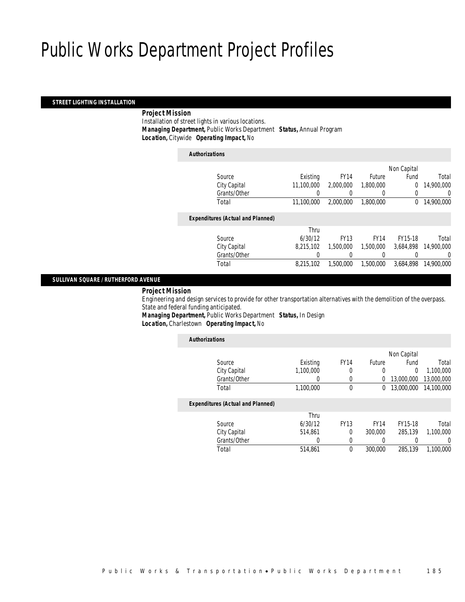#### *STREET LIGHTING INSTALLATION*

#### *Project Mission*

 Installation of street lights in various locations. *Managing Department,* Public Works Department *Status,* Annual Program*Location,* Citywide *Operating Impact,* No

| <b>Authorizations</b>                    |            |             |                  |             |            |
|------------------------------------------|------------|-------------|------------------|-------------|------------|
|                                          |            |             |                  | Non Capital |            |
| Source                                   | Existing   | <b>FY14</b> | <b>Future</b>    | Fund        | Total      |
| City Capital                             | 11.100.000 | 2,000,000   | 1,800,000        | 0           | 14,900,000 |
| Grants/Other                             | 0          |             | $\left( \right)$ | 0           | 0          |
| Total                                    | 11.100.000 | 2,000,000   | 1,800,000        | $\Omega$    | 14,900,000 |
| <b>Expenditures (Actual and Planned)</b> |            |             |                  |             |            |
|                                          | Thru       |             |                  |             |            |
| Source                                   | 6/30/12    | <b>FY13</b> | <b>FY14</b>      | FY15-18     | Total      |
| City Capital                             | 8.215.102  | 1,500,000   | 1.500.000        | 3.684.898   | 14,900,000 |
| Grants/Other                             |            |             |                  |             | 0          |
| Total                                    | 8.215.102  | 1,500,000   | 1,500,000        | 3.684.898   | 14,900,000 |
|                                          |            |             |                  |             |            |

### *SULLIVAN SQUARE / RUTHERFORD AVENUE*

#### *Project Mission*

 Engineering and design services to provide for other transportation alternatives with the demolition of the overpass. State and federal funding anticipated. *Managing Department,* Public Works Department *Status,* In Design

*Location,* Charlestown *Operating Impact,* No

| <b>Authorizations</b> |                                          |           |                  |               |             |            |
|-----------------------|------------------------------------------|-----------|------------------|---------------|-------------|------------|
|                       |                                          |           |                  |               | Non Capital |            |
|                       | Source                                   | Existing  | FY <sub>14</sub> | <b>Future</b> | Fund        | Total      |
|                       | City Capital                             | 1,100,000 | 0                | 0             | 0           | 1.100.000  |
|                       | Grants/Other                             | 0         | 0                | 0             | 13,000,000  | 13,000,000 |
|                       | Total                                    | 1,100,000 | $\Omega$         | 0             | 13,000,000  | 14,100,000 |
|                       | <b>Expenditures (Actual and Planned)</b> |           |                  |               |             |            |
|                       |                                          | Thru      |                  |               |             |            |
|                       | Source                                   | 6/30/12   | <b>FY13</b>      | <b>FY14</b>   | FY15-18     | Total      |
|                       | City Capital                             | 514.861   | $\Omega$         | 300,000       | 285.139     | 1.100.000  |
|                       | Grants/Other                             | 0         |                  | 0             |             | $\left($   |
|                       | Total                                    | 514.861   | 0                | 300,000       | 285,139     | 1.100.000  |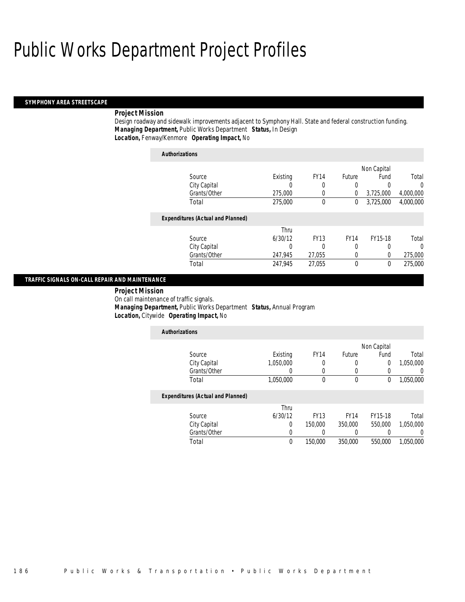#### *SYMPHONY AREA STREETSCAPE*

#### *Project Mission*

Design roadway and sidewalk improvements adjacent to Symphony Hall. State and federal construction funding. *Managing Department,* Public Works Department *Status,* In Design*Location,* Fenway/Kenmore *Operating Impact,* No

| <b>Authorizations</b> |                                          |          |             |             |             |           |
|-----------------------|------------------------------------------|----------|-------------|-------------|-------------|-----------|
|                       |                                          |          |             |             | Non Capital |           |
|                       | Source                                   | Existing | <b>FY14</b> | Future      | Fund        | Total     |
|                       | City Capital                             | 0        | 0           | 0           | 0           | 0         |
|                       | Grants/Other                             | 275,000  | 0           | 0           | 3,725,000   | 4,000,000 |
|                       | Total                                    | 275,000  | 0           | 0           | 3,725,000   | 4,000,000 |
|                       | <b>Expenditures (Actual and Planned)</b> |          |             |             |             |           |
|                       |                                          | Thru     |             |             |             |           |
|                       | Source                                   | 6/30/12  | <b>FY13</b> | <b>FY14</b> | FY15-18     | Total     |
|                       | City Capital                             | 0        | 0           | 0           | 0           | 0         |
|                       | Grants/Other                             | 247,945  | 27.055      | 0           | 0           | 275,000   |
|                       | Total                                    | 247,945  | 27,055      | 0           | 0           | 275,000   |

#### *TRAFFIC SIGNALS ON-CALL REPAIR AND MAINTENANCE*

 *Project Mission* On call maintenance of traffic signals. *Managing Department,* Public Works Department *Status,* Annual Program*Location,* Citywide *Operating Impact,* No

| <b>Authorizations</b>                    |           |             |             |             |           |
|------------------------------------------|-----------|-------------|-------------|-------------|-----------|
|                                          |           |             |             | Non Capital |           |
| Source                                   | Existing  | <b>FY14</b> | Future      | Fund        | Total     |
| City Capital                             | 1,050,000 | 0           | 0           | 0           | 1,050,000 |
| Grants/Other                             |           | 0           | 0           |             |           |
| Total                                    | 1,050,000 | 0           | 0           | 0           | 1,050,000 |
| <b>Expenditures (Actual and Planned)</b> |           |             |             |             |           |
|                                          | Thru      |             |             |             |           |
| Source                                   | 6/30/12   | <b>FY13</b> | <b>FY14</b> | FY15-18     | Total     |
| City Capital                             | $\Omega$  | 150,000     | 350,000     | 550,000     | 1,050,000 |
| Grants/Other                             | 0         | 0           | 0           |             |           |
| Total                                    | $\theta$  | 150,000     | 350,000     | 550,000     | 1.050.000 |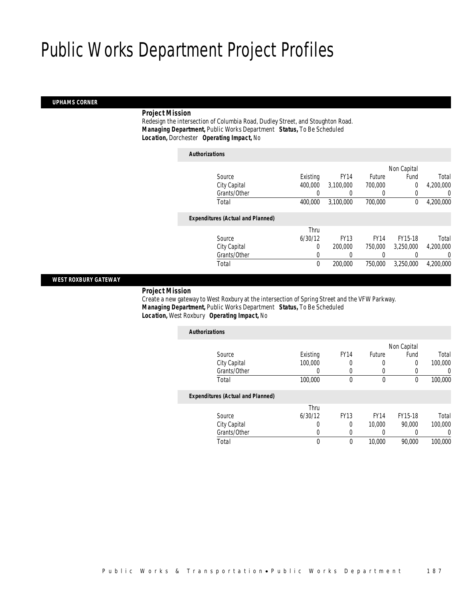#### *UPHAMS CORNER*

### *Project Mission*

 Redesign the intersection of Columbia Road, Dudley Street, and Stoughton Road. *Managing Department,* Public Works Department *Status,* To Be Scheduled*Location,* Dorchester *Operating Impact,* No

| <b>Authorizations</b>                    |          |             |             |             |           |
|------------------------------------------|----------|-------------|-------------|-------------|-----------|
|                                          |          |             |             | Non Capital |           |
| Source                                   | Existing | <b>FY14</b> | Future      | Fund        | Total     |
| City Capital                             | 400,000  | 3,100,000   | 700.000     | $\Omega$    | 4,200,000 |
| Grants/Other                             | 0        | 0           | 0           | 0           |           |
| Total                                    | 400,000  | 3,100,000   | 700,000     | 0           | 4,200,000 |
| <b>Expenditures (Actual and Planned)</b> |          |             |             |             |           |
|                                          | Thru     |             |             |             |           |
| Source                                   | 6/30/12  | <b>FY13</b> | <b>FY14</b> | FY15-18     | Total     |
| City Capital                             | $\Omega$ | 200,000     | 750,000     | 3.250.000   | 4.200.000 |
| Grants/Other                             | 0        | 0           | 0           |             |           |
| Total                                    | $\theta$ | 200,000     | 750,000     | 3,250,000   | 4,200,000 |

#### *WEST ROXBURY GATEWAY*

#### *Project Mission*

 Create a new gateway to West Roxbury at the intersection of Spring Street and the VFW Parkway. *Managing Department,* Public Works Department *Status,* To Be Scheduled*Location,* West Roxbury *Operating Impact,* No

| <b>Authorizations</b>                    |          |             |               |             |         |
|------------------------------------------|----------|-------------|---------------|-------------|---------|
|                                          |          |             |               | Non Capital |         |
| Source                                   | Existing | <b>FY14</b> | <b>Future</b> | Fund        | Total   |
| City Capital                             | 100,000  | 0           | 0             | 0           | 100,000 |
| Grants/Other                             |          | 0           | 0             |             | 0       |
| Total                                    | 100,000  | 0           | 0             | 0           | 100,000 |
| <b>Expenditures (Actual and Planned)</b> |          |             |               |             |         |
|                                          | Thru     |             |               |             |         |
| Source                                   | 6/30/12  | <b>FY13</b> | <b>FY14</b>   | FY15-18     | Total   |
| City Capital                             | 0        | 0           | 10,000        | 90,000      | 100,000 |
| Grants/Other                             | 0        | 0           | 0             |             | 0       |
| Total                                    | 0        | 0           | 10,000        | 90.000      | 100,000 |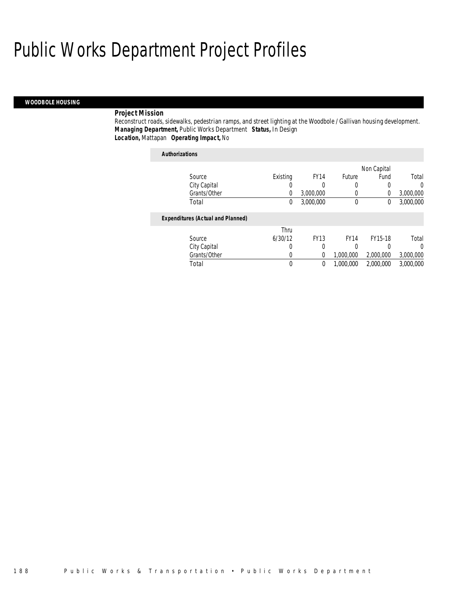#### *WOODBOLE HOUSING*

#### *Project Mission*

Reconstruct roads, sidewalks, pedestrian ramps, and street lighting at the Woodbole / Gallivan housing development. *Managing Department,* Public Works Department *Status,* In Design*Location,* Mattapan *Operating Impact,* No

### *Authorizations* Source **Existing** FY14 Future Non Capital Fund Total City Capital 0 0 0 0 0 Grants/Other 0 3,000,000 0 0 3,000,000 Total 0 3,000,000 0 0 3,000,000*Expenditures (Actual and Planned)* Source Thru 6/30/12 FY13 FY14 FY15-18 Total City Capital 0 0 0 0 0 Grants/Other 0 0 0 1,000,000 2,000,000 3,000,000 Total 0 0 1,000,000 2,000,000 3,000,000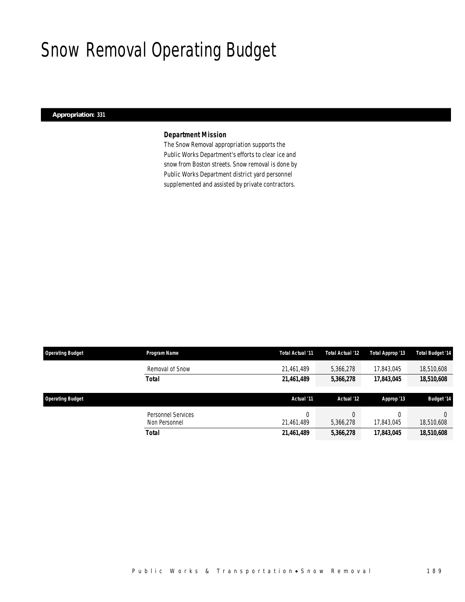# Snow Removal Operating Budget

### *Appropriation: 331*

### *Department Mission*

The Snow Removal appropriation supports the Public Works Department's efforts to clear ice and snow from Boston streets. Snow removal is done by Public Works Department district yard personnel supplemented and assisted by private contractors.

| <b>Operating Budget</b> | Program Name                        | Total Actual '11 | Total Actual '12 | Total Approp '13 | <b>Total Budget '14</b> |
|-------------------------|-------------------------------------|------------------|------------------|------------------|-------------------------|
|                         | Removal of Snow                     | 21,461,489       | 5,366,278        | 17,843,045       | 18,510,608              |
|                         | <b>Total</b>                        | 21,461,489       | 5,366,278        | 17,843,045       | 18,510,608              |
|                         |                                     |                  |                  |                  |                         |
| <b>Operating Budget</b> |                                     | Actual '11       | Actual '12       | Approp '13       | <b>Budget '14</b>       |
|                         | Personnel Services<br>Non Personnel | 21,461,489       | 5,366,278        | 17,843,045       | $\Omega$<br>18,510,608  |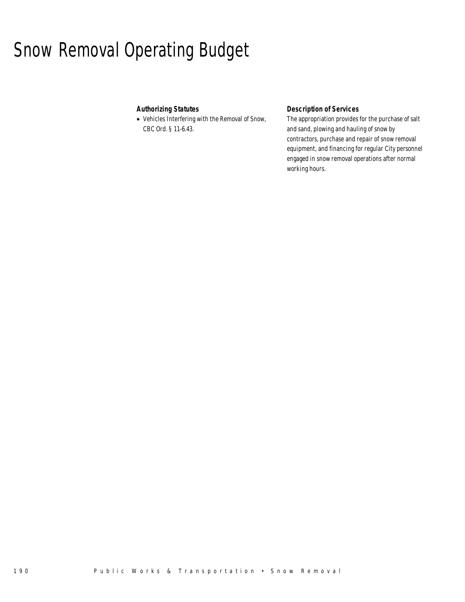# Snow Removal Operating Budget

### *Authorizing Statutes*

• Vehicles Interfering with the Removal of Snow, CBC Ord. § 11-6.43.

### *Description of Services*

The appropriation provides for the purchase of salt and sand, plowing and hauling of snow by contractors, purchase and repair of snow removal equipment, and financing for regular City personnel engaged in snow removal operations after normal working hours.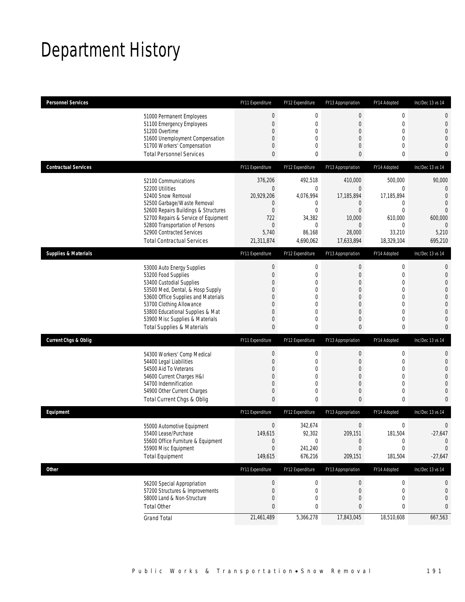# Department History

| <b>Personnel Services</b>       |                                                                         | FY11 Expenditure | FY12 Expenditure | FY13 Appropriation                 | FY14 Adopted                  | Inc/Dec 13 vs 14    |
|---------------------------------|-------------------------------------------------------------------------|------------------|------------------|------------------------------------|-------------------------------|---------------------|
|                                 | 51000 Permanent Employees                                               | $\boldsymbol{0}$ | $\boldsymbol{0}$ | $\bf 0$                            | $\boldsymbol{0}$              | 0                   |
|                                 | 51100 Emergency Employees                                               | $\overline{0}$   | 0                | $\mathbf 0$                        | $\mathbf 0$                   | 0                   |
|                                 | 51200 Overtime<br>51600 Unemployment Compensation                       | 0<br>0           | 0<br>0           | $\mathbf 0$<br>$\mathbf{0}$        | $\mathbf 0$<br>$\mathbf{0}$   | $\overline{0}$<br>0 |
|                                 | 51700 Workers' Compensation                                             | 0                | 0                | $\overline{0}$                     | $\mathbf{0}$                  | 0                   |
|                                 | <b>Total Personnel Services</b>                                         | 0                | 0                | 0                                  | $\bf{0}$                      | 0                   |
| <b>Contractual Services</b>     |                                                                         | FY11 Expenditure | FY12 Expenditure | FY13 Appropriation                 | FY14 Adopted                  | Inc/Dec 13 vs 14    |
|                                 | 52100 Communications                                                    | 376,206          | 492,518          | 410,000                            | 500.000                       | 90,000              |
|                                 | 52200 Utilities                                                         | $\overline{0}$   | $\boldsymbol{0}$ | $\bf 0$                            | 0                             | 0                   |
|                                 | 52400 Snow Removal                                                      | 20,929,206       | 4,076,994        | 17,185,894                         | 17,185,894                    | $\overline{0}$      |
|                                 | 52500 Garbage/Waste Removal<br>52600 Repairs Buildings & Structures     | 0<br>$\mathbf 0$ | 0<br>0           | $\theta$<br>$\overline{0}$         | 0<br>$\overline{0}$           | $\overline{0}$<br>0 |
|                                 | 52700 Repairs & Service of Equipment                                    | 722              | 34,382           | 10,000                             | 610,000                       | 600,000             |
|                                 | 52800 Transportation of Persons                                         | $\mathbf 0$      | $\mathbf{0}$     | $\mathbf 0$                        | 0                             | $\mathbf{0}$        |
|                                 | 52900 Contracted Services                                               | 5,740            | 86,168           | 28,000                             | 33,210                        | 5,210               |
|                                 | <b>Total Contractual Services</b>                                       | 21,311,874       | 4,690,062        | 17,633,894                         | 18,329,104                    | 695,210             |
| <b>Supplies &amp; Materials</b> |                                                                         | FY11 Expenditure | FY12 Expenditure | FY13 Appropriation                 | FY14 Adopted                  | Inc/Dec 13 vs 14    |
|                                 | 53000 Auto Energy Supplies                                              | $\boldsymbol{0}$ | $\boldsymbol{0}$ | $\mathbf 0$                        | $\boldsymbol{0}$              | 0                   |
|                                 | 53200 Food Supplies                                                     | 0                | $\mathbf{0}$     | $\mathbf 0$                        | $\mathbf 0$                   | $\mathbf 0$         |
|                                 | 53400 Custodial Supplies                                                | 0                | 0                | $\overline{0}$                     | $\overline{0}$                | 0                   |
|                                 | 53500 Med, Dental, & Hosp Supply<br>53600 Office Supplies and Materials | 0<br>$\Omega$    | $\mathbf 0$<br>0 | $\boldsymbol{0}$<br>$\overline{0}$ | $\mathbf 0$<br>$\overline{0}$ | 0<br>0              |
|                                 | 53700 Clothing Allowance                                                | 0                | 0                | $\mathbf{0}$                       | $\mathbf 0$                   | $\overline{0}$      |
|                                 | 53800 Educational Supplies & Mat                                        | 0                | $\overline{0}$   | $\overline{0}$                     | $\overline{0}$                | 0                   |
|                                 | 53900 Misc Supplies & Materials                                         | 0                | 0                | $\theta$                           | $\overline{0}$                | 0                   |
|                                 | <b>Total Supplies &amp; Materials</b>                                   | 0                | 0                | $\mathbf{0}$                       | $\mathbf 0$                   | 0                   |
| <b>Current Chgs &amp; Oblig</b> |                                                                         | FY11 Expenditure | FY12 Expenditure | FY13 Appropriation                 | FY14 Adopted                  | Inc/Dec 13 vs 14    |
|                                 | 54300 Workers' Comp Medical                                             | $\boldsymbol{0}$ | $\boldsymbol{0}$ | $\boldsymbol{0}$                   | $\boldsymbol{0}$              | 0                   |
|                                 | 54400 Legal Liabilities                                                 | $\mathbf 0$      | $\mathbf 0$      | $\mathbf{0}$                       | $\mathbf 0$                   | $\mathbf 0$         |
|                                 | 54500 Aid To Veterans                                                   | 0                | 0                | $\overline{0}$                     | $\overline{0}$                | 0<br>0              |
|                                 | 54600 Current Charges H&I<br>54700 Indemnification                      | 0<br>0           | 0<br>0           | $\mathbf{0}$<br>$\overline{0}$     | $\mathbf 0$<br>$\overline{0}$ | 0                   |
|                                 | 54900 Other Current Charges                                             | 0                | 0                | $\theta$                           | $\mathbf 0$                   | 0                   |
|                                 | Total Current Chgs & Oblig                                              | $\mathbf{0}$     | 0                | $\mathbf{0}$                       | $\mathbf{0}$                  | 0                   |
| Equipment                       |                                                                         | FY11 Expenditure | FY12 Expenditure | FY13 Appropriation                 | FY14 Adopted                  | Inc/Dec 13 vs 14    |
|                                 | 55000 Automotive Equipment                                              | $\mathbf 0$      | 342,674          | $\bf 0$                            | $\boldsymbol{0}$              | 0                   |
|                                 | 55400 Lease/Purchase                                                    | 149,615          | 92,302           | 209,151                            | 181,504                       | $-27,647$           |
|                                 | 55600 Office Furniture & Equipment                                      | $\boldsymbol{0}$ | $\mathbf 0$      | $\theta$                           | 0                             | $\theta$            |
|                                 | 55900 Misc Equipment                                                    | $\overline{0}$   | 241,240          | $\bf 0$                            | 0                             | $\mathbf 0$         |
|                                 | <b>Total Equipment</b>                                                  | 149,615          | 676,216          | 209,151                            | 181,504                       | $-27,647$           |
| <b>Other</b>                    |                                                                         | FY11 Expenditure | FY12 Expenditure | FY13 Appropriation                 | FY14 Adopted                  | Inc/Dec 13 vs 14    |
|                                 | 56200 Special Appropriation                                             | $\boldsymbol{0}$ | 0                | $\theta$                           | 0                             | 0                   |
|                                 | 57200 Structures & Improvements                                         | 0                | 0                | $\theta$                           | 0                             | 0                   |
|                                 | 58000 Land & Non-Structure                                              | 0                | 0                | $\overline{0}$                     | 0                             | 0                   |
|                                 | <b>Total Other</b>                                                      | 0                | 0                | 0                                  | 0                             | 0                   |
|                                 | <b>Grand Total</b>                                                      | 21,461,489       | 5,366,278        | 17,843,045                         | 18,510,608                    | 667,563             |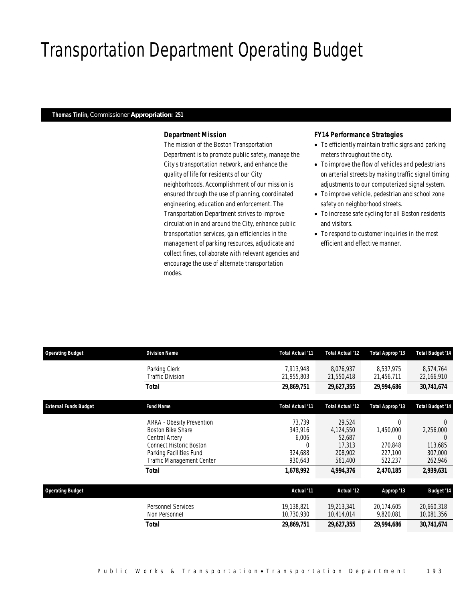# Transportation Department Operating Budget

#### *Thomas Tinlin, Commissioner Appropriation: 251*

### *Department Mission*

The mission of the Boston Transportation Department is to promote public safety, manage the City's transportation network, and enhance the quality of life for residents of our City neighborhoods. Accomplishment of our mission is ensured through the use of planning, coordinated engineering, education and enforcement. The Transportation Department strives to improve circulation in and around the City, enhance public transportation services, gain efficiencies in the management of parking resources, adjudicate and collect fines, collaborate with relevant agencies and encourage the use of alternate transportation modes.

### *FY14 Performance Strategies*

- To efficiently maintain traffic signs and parking meters throughout the city.
- To improve the flow of vehicles and pedestrians on arterial streets by making traffic signal timing adjustments to our computerized signal system.
- To improve vehicle, pedestrian and school zone safety on neighborhood streets.
- To increase safe cycling for all Boston residents and visitors.
- To respond to customer inquiries in the most efficient and effective manner.

| <b>Operating Budget</b>      | <b>Division Name</b>                                                                                                                                                       | Total Actual '11                                                   | Total Actual '12                                                           | Total Approp '13                                                                | <b>Total Budget '14</b>                                             |
|------------------------------|----------------------------------------------------------------------------------------------------------------------------------------------------------------------------|--------------------------------------------------------------------|----------------------------------------------------------------------------|---------------------------------------------------------------------------------|---------------------------------------------------------------------|
|                              | Parking Clerk<br><b>Traffic Division</b>                                                                                                                                   | 7,913,948<br>21,955,803                                            | 8,076,937<br>21,550,418                                                    | 8,537,975<br>21,456,711                                                         | 8,574,764<br>22,166,910                                             |
|                              | <b>Total</b>                                                                                                                                                               | 29,869,751                                                         | 29,627,355                                                                 | 29,994,686                                                                      | 30,741,674                                                          |
| <b>External Funds Budget</b> | <b>Fund Name</b>                                                                                                                                                           | Total Actual '11                                                   | <b>Total Actual '12</b>                                                    | Total Approp '13                                                                | Total Budget '14                                                    |
|                              | ARRA - Obesity Prevention<br><b>Boston Bike Share</b><br>Central Artery<br><b>Connect Historic Boston</b><br>Parking Facilities Fund<br>Traffic Management Center<br>Total | 73,739<br>343,916<br>6,006<br>0<br>324,688<br>930,643<br>1,678,992 | 29,524<br>4,124,550<br>52,687<br>17,313<br>208,902<br>561,400<br>4,994,376 | $\Omega$<br>1,450,000<br>$\Omega$<br>270,848<br>227,100<br>522,237<br>2,470,185 | $\Omega$<br>2,256,000<br>113,685<br>307,000<br>262,946<br>2,939,631 |
| <b>Operating Budget</b>      |                                                                                                                                                                            | Actual '11                                                         | Actual '12                                                                 | Approp '13                                                                      | <b>Budget '14</b>                                                   |
|                              | <b>Personnel Services</b><br>Non Personnel                                                                                                                                 | 19,138,821<br>10,730,930                                           | 19,213,341<br>10,414,014                                                   | 20,174,605<br>9,820,081                                                         | 20,660,318<br>10,081,356                                            |
|                              | <b>Total</b>                                                                                                                                                               | 29,869,751                                                         | 29,627,355                                                                 | 29,994,686                                                                      | 30,741,674                                                          |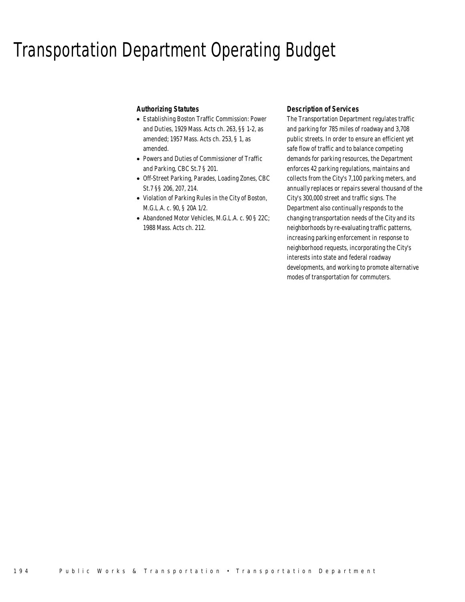### Transportation Department Operating Budget

### *Authorizing Statutes*

- Establishing Boston Traffic Commission: Power and Duties, 1929 Mass. Acts ch. 263, §§ 1-2, as amended; 1957 Mass. Acts ch. 253, § 1, as amended.
- Powers and Duties of Commissioner of Traffic and Parking, CBC St.7 § 201.
- Off-Street Parking, Parades, Loading Zones, CBC St.7 §§ 206, 207, 214.
- Violation of Parking Rules in the City of Boston, M.G.L.A. c. 90, § 20A 1/2.
- Abandoned Motor Vehicles, M.G.L.A. c. 90 § 22C; 1988 Mass. Acts ch. 212.

### *Description of Services*

The Transportation Department regulates traffic and parking for 785 miles of roadway and 3,708 public streets. In order to ensure an efficient yet safe flow of traffic and to balance competing demands for parking resources, the Department enforces 42 parking regulations, maintains and collects from the City's 7,100 parking meters, and annually replaces or repairs several thousand of the City's 300,000 street and traffic signs. The Department also continually responds to the changing transportation needs of the City and its neighborhoods by re-evaluating traffic patterns, increasing parking enforcement in response to neighborhood requests, incorporating the City's interests into state and federal roadway developments, and working to promote alternative modes of transportation for commuters.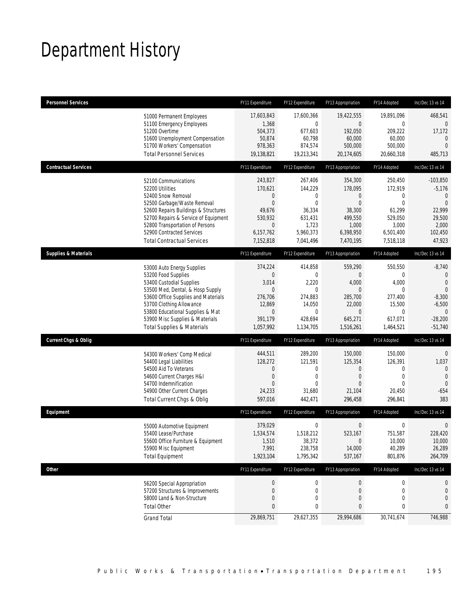# Department History

| <b>Personnel Services</b>                                                                                                                                                                                                                                                                            | FY11 Expenditure                                                                                      | FY12 Expenditure                                                                                   | FY13 Appropriation                                                                                                    | FY14 Adopted                                                                                      | Inc/Dec 13 vs 14                                                                                                  |
|------------------------------------------------------------------------------------------------------------------------------------------------------------------------------------------------------------------------------------------------------------------------------------------------------|-------------------------------------------------------------------------------------------------------|----------------------------------------------------------------------------------------------------|-----------------------------------------------------------------------------------------------------------------------|---------------------------------------------------------------------------------------------------|-------------------------------------------------------------------------------------------------------------------|
| 51000 Permanent Employees<br>51100 Emergency Employees<br>51200 Overtime<br>51600 Unemployment Compensation<br>51700 Workers' Compensation<br><b>Total Personnel Services</b>                                                                                                                        | 17,603,843<br>1,368<br>504,373<br>50,874<br>978,363<br>19,138,821                                     | 17,600,366<br>$\overline{0}$<br>677,603<br>60,798<br>874,574<br>19,213,341                         | 19,422,555<br>$\overline{0}$<br>192,050<br>60,000<br>500,000<br>20,174,605                                            | 19,891,096<br>0<br>209,222<br>60,000<br>500,000<br>20,660,318                                     | 468,541<br>0<br>17,172<br>$\theta$<br>$\overline{0}$<br>485,713                                                   |
| <b>Contractual Services</b>                                                                                                                                                                                                                                                                          | FY11 Expenditure                                                                                      | FY12 Expenditure                                                                                   | FY13 Appropriation                                                                                                    | FY14 Adopted                                                                                      | Inc/Dec 13 vs 14                                                                                                  |
| 52100 Communications<br>52200 Utilities<br>52400 Snow Removal<br>52500 Garbage/Waste Removal<br>52600 Repairs Buildings & Structures<br>52700 Repairs & Service of Equipment<br>52800 Transportation of Persons<br>52900 Contracted Services<br><b>Total Contractual Services</b>                    | 243,827<br>170,621<br>0<br>$\mathbf 0$<br>49,676<br>530,932<br>$\mathbf 0$<br>6,157,762<br>7,152,818  | 267,406<br>144,229<br>0<br>$\overline{0}$<br>36,334<br>631,431<br>1,723<br>5,960,373<br>7,041,496  | 354,300<br>178,095<br>$\theta$<br>$\mathbf{0}$<br>38,300<br>499,550<br>1,000<br>6,398,950<br>7,470,195                | 250,450<br>172,919<br>0<br>$\overline{0}$<br>61,299<br>529,050<br>3,000<br>6,501,400<br>7,518,118 | $-103,850$<br>$-5,176$<br>$\mathbf{0}$<br>$\Omega$<br>22,999<br>29,500<br>2,000<br>102,450<br>47,923              |
| <b>Supplies &amp; Materials</b>                                                                                                                                                                                                                                                                      | FY11 Expenditure                                                                                      | FY12 Expenditure                                                                                   | FY13 Appropriation                                                                                                    | FY14 Adopted                                                                                      | Inc/Dec 13 vs 14                                                                                                  |
| 53000 Auto Energy Supplies<br>53200 Food Supplies<br>53400 Custodial Supplies<br>53500 Med, Dental, & Hosp Supply<br>53600 Office Supplies and Materials<br>53700 Clothing Allowance<br>53800 Educational Supplies & Mat<br>53900 Misc Supplies & Materials<br><b>Total Supplies &amp; Materials</b> | 374,224<br>0<br>3,014<br>$\mathbf 0$<br>276,706<br>12,869<br>$\boldsymbol{0}$<br>391,179<br>1,057,992 | 414,858<br>$\mathbf{0}$<br>2,220<br>$\mathbf{0}$<br>274,883<br>14,050<br>0<br>428,694<br>1,134,705 | 559,290<br>$\overline{0}$<br>4,000<br>$\overline{0}$<br>285,700<br>22,000<br>$\boldsymbol{0}$<br>645,271<br>1,516,261 | 550,550<br>0<br>4,000<br>$\overline{0}$<br>277,400<br>15,500<br>0<br>617,071<br>1,464,521         | $-8,740$<br>$\mathbf 0$<br>$\mathbf{0}$<br>$\Omega$<br>$-8,300$<br>$-6,500$<br>$\theta$<br>$-28,200$<br>$-51,740$ |
| <b>Current Chgs &amp; Oblig</b>                                                                                                                                                                                                                                                                      | FY11 Expenditure                                                                                      | FY12 Expenditure                                                                                   | FY13 Appropriation                                                                                                    | FY14 Adopted                                                                                      | Inc/Dec 13 vs 14                                                                                                  |
| 54300 Workers' Comp Medical<br>54400 Legal Liabilities<br>54500 Aid To Veterans<br>54600 Current Charges H&I<br>54700 Indemnification<br>54900 Other Current Charges<br>Total Current Chgs & Oblig                                                                                                   | 444,511<br>128,272<br>0<br>$\mathbf 0$<br>$\Omega$<br>24,233<br>597,016                               | 289,200<br>121,591<br>0<br>$\mathbf 0$<br>$\Omega$<br>31,680<br>442,471                            | 150,000<br>125,354<br>$\theta$<br>$\theta$<br>$\Omega$<br>21,104<br>296,458                                           | 150,000<br>126,391<br>0<br>$\mathbf 0$<br>$\Omega$<br>20,450<br>296,841                           | $\mathbf 0$<br>1,037<br>$\mathbf{0}$<br>$\mathbf{0}$<br>$\mathbf{0}$<br>$-654$<br>383                             |
| Equipment                                                                                                                                                                                                                                                                                            | FY11 Expenditure                                                                                      | FY12 Expenditure                                                                                   | FY13 Appropriation                                                                                                    | FY14 Adopted                                                                                      | Inc/Dec 13 vs 14                                                                                                  |
| 55000 Automotive Equipment<br>55400 Lease/Purchase<br>55600 Office Furniture & Equipment<br>55900 Misc Equipment<br><b>Total Equipment</b>                                                                                                                                                           | 379,029<br>1,534,574<br>1,510<br>7,991<br>1,923,104                                                   | $\mathbf 0$<br>1,518,212<br>38,372<br>238,758<br>1,795,342                                         | $\boldsymbol{0}$<br>523,167<br>$\mathbf 0$<br>14,000<br>537,167                                                       | $\boldsymbol{0}$<br>751,587<br>10,000<br>40,289<br>801,876                                        | $\mathbf 0$<br>228,420<br>10,000<br>26,289<br>264,709                                                             |
| <b>Other</b>                                                                                                                                                                                                                                                                                         | FY11 Expenditure                                                                                      | FY12 Expenditure                                                                                   | FY13 Appropriation                                                                                                    | FY14 Adopted                                                                                      | Inc/Dec 13 vs 14                                                                                                  |
| 56200 Special Appropriation<br>57200 Structures & Improvements<br>58000 Land & Non-Structure<br><b>Total Other</b>                                                                                                                                                                                   | $\boldsymbol{0}$<br>0<br>0<br>0                                                                       | $\boldsymbol{0}$<br>0<br>0<br>0                                                                    | $\boldsymbol{0}$<br>$\theta$<br>$\mathbf 0$<br>0                                                                      | 0<br>0<br>$\mathbf 0$<br>0                                                                        | 0<br>0<br>0<br>0                                                                                                  |
| <b>Grand Total</b>                                                                                                                                                                                                                                                                                   | 29,869,751                                                                                            | 29,627,355                                                                                         | 29,994,686                                                                                                            | 30,741,674                                                                                        | 746,988                                                                                                           |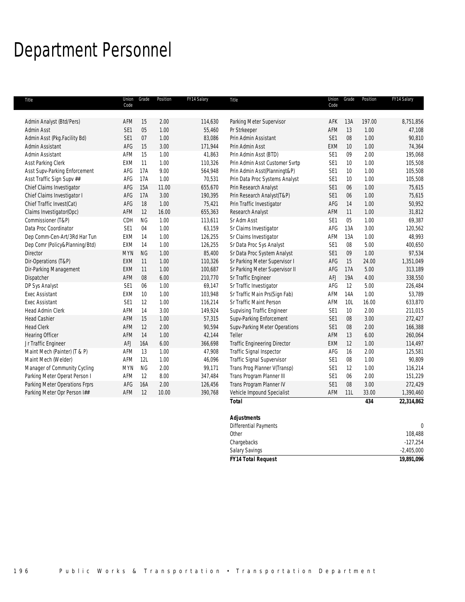# Department Personnel

| Title                          | Union<br>Code   | Grade      | Position | FY14 Salary | Title                               | Union<br>Code   | Grade           | Position | FY14 Salary      |
|--------------------------------|-----------------|------------|----------|-------------|-------------------------------------|-----------------|-----------------|----------|------------------|
|                                |                 |            |          |             |                                     |                 |                 |          |                  |
| Admin Analyst (Btd/Pers)       | AFM             | 15         | 2.00     | 114,630     | Parking Meter Supervisor            | AFK             | 13A             | 197.00   | 8,751,856        |
| Admin Asst                     | SE1             | 05         | 1.00     | 55,460      | Pr Strkeeper                        | AFM             | 13              | 1.00     | 47,108           |
| Admin Asst (Pkg.Facility Bd)   | SE1             | 07         | 1.00     | 83,086      | Prin Admin Assistant                | SE1             | 08              | 1.00     | 90,810           |
| Admin Assistant                | AFG             | 15         | 3.00     | 171,944     | Prin Admin Asst                     | <b>EXM</b>      | 10 <sup>°</sup> | 1.00     | 74,364           |
| Admin Assistant                | AFM             | 15         | 1.00     | 41,863      | Prin Admin Asst (BTD)               | SE <sub>1</sub> | 09              | 2.00     | 195,068          |
| Asst Parking Clerk             | EXM             | 11         | 1.00     | 110,326     | Prin Admin Asst Customer Svrtp      | SE1             | 10              | 1.00     | 105,508          |
| Asst Supv-Parking Enforcement  | AFG             | 17A        | 9.00     | 564,948     | Prin Admin Asst(Planningt&P)        | SE <sub>1</sub> | 10              | 1.00     | 105,508          |
| Asst Traffic Sign Supv ##      | AFG             | 17A        | 1.00     | 70,531      | Prin Data Proc Systems Analyst      | SE <sub>1</sub> | 10 <sup>°</sup> | 1.00     | 105,508          |
| Chief Claims Investigator      | AFG             | 15A        | 11.00    | 655,670     | Prin Research Analyst               | SE1             | 06              | 1.00     | 75,615           |
| Chief Claims Investigator I    | AFG             | 17A        | 3.00     | 190,395     | Prin Research Analyst(T&P)          | SE1             | 06              | 1.00     | 75,615           |
| Chief Traffic Invest(Cat)      | AFG             | 18         | 1.00     | 75,421      | Prin Traffic Investigator           | AFG             | 14              | 1.00     | 50,952           |
| Claims Investigator(Opc)       | AFM             | 12         | 16.00    | 655,363     | Research Analyst                    | AFM             | 11              | 1.00     | 31,812           |
| Commissioner (T&P)             | CDH             | <b>NG</b>  | 1.00     | 113,611     | Sr Adm Asst                         | SE <sub>1</sub> | 05              | 1.00     | 69,387           |
| Data Proc Coordinator          | SE1             | 04         | 1.00     | 63,159      | Sr Claims Investigator              | AFG             | 13A             | 3.00     | 120,562          |
| Dep Comm-Cen-Art/3Rd Har Tun   | <b>EXM</b>      | 14         | 1.00     | 126,255     | Sr Claims Investigator              | AFM             | 13A             | 1.00     | 48,993           |
| Dep Comr (Policy&Planning/Btd) | EXM             | 14         | 1.00     | 126,255     | Sr Data Proc Sys Analyst            | SE <sub>1</sub> | $08\,$          | 5.00     | 400,650          |
| Director                       | <b>MYN</b>      | <b>NG</b>  | 1.00     | 85,400      | Sr Data Proc System Analyst         | SE1             | 09              | 1.00     | 97,534           |
| Dir-Operations (T&P)           | EXM             | 11         | 1.00     | 110,326     | Sr Parking Meter Supervisor I       | AFG             | 15              | 24.00    | 1,351,049        |
| Dir-Parking Management         | EXM             | 11         | 1.00     | 100,687     | Sr Parking Meter Supervisor II      | AFG             | 17A             | 5.00     | 313,189          |
| Dispatcher                     | AFM             | 08         | 6.00     | 210,770     | Sr Traffic Engineer                 | AFJ             | 19A             | 4.00     | 338,550          |
| DP Sys Analyst                 | SE1             | 06         | 1.00     | 69,147      | Sr Traffic Investigator             | AFG             | 12              | 5.00     | 226,484          |
| <b>Exec Assistant</b>          | EXM             | 10         | 1.00     | 103,948     | Sr Traffic Main Prs(Sign Fab)       | AFM             | 14A             | 1.00     | 53,789           |
| <b>Exec Assistant</b>          | SE <sub>1</sub> | 12         | 1.00     | 116,214     | Sr Traffic Maint Person             | AFM             | 10L             | 16.00    | 633,870          |
| Head Admin Clerk               | AFM             | 14         | 3.00     | 149,924     | Supvising Traffic Engineer          | SE <sub>1</sub> | 10              | 2.00     | 211,015          |
| <b>Head Cashier</b>            | AFM             | 15         | 1.00     | 57,315      | Supv-Parking Enforcement            | SE1             | $08\,$          | 3.00     | 272,427          |
| <b>Head Clerk</b>              | AFM             | 12         | 2.00     | 90,594      | Supv-Parking Meter Operations       | SE1             | $08\,$          | 2.00     | 166,388          |
| <b>Hearing Officer</b>         | AFM             | 14         | 1.00     | 42,144      | Teller                              | AFM             | 13              | 6.00     | 260,064          |
| Jr Traffic Engineer            | AFJ             | 16A        | 6.00     | 366,698     | <b>Traffic Engineering Director</b> | EXM             | 12              | 1.00     | 114,497          |
| Maint Mech (Painter) (T & P)   | AFM             | 13         | 1.00     | 47,908      | Traffic Signal Inspector            | AFG             | 16              | 2.00     | 125,581          |
| Maint Mech (Welder)            | AFM             | 12L        | 1.00     | 46,096      | Traffic Signal Supvervisor          | SE <sub>1</sub> | 08              | 1.00     | 90,809           |
| Manager of Community Cycling   | <b>MYN</b>      | <b>NG</b>  | 2.00     | 99,171      | Trans Prog Planner V(Transp)        | SE <sub>1</sub> | 12              | 1.00     | 116,214          |
| Parking Meter Operat Person I  | AFM             | 12         | 8.00     | 347,484     | Trans Program Planner III           | SE <sub>1</sub> | 06              | 2.00     | 151,229          |
| Parking Meter Operations Frprs | AFG             | <b>16A</b> | 2.00     | 126,456     | Trans Program Planner IV            | SE1             | 08              | 3.00     | 272,429          |
| Parking Meter Opr Person I##   | AFM             | 12         | 10.00    | 390,768     | Vehicle Impound Specialist          | AFM             | 11L             | 33.00    | 1,390,460        |
|                                |                 |            |          |             | <b>Total</b>                        |                 |                 | 434      | 22,314,862       |
|                                |                 |            |          |             | <b>Adjustments</b>                  |                 |                 |          |                  |
|                                |                 |            |          |             | Differential Payments               |                 |                 |          | $\boldsymbol{0}$ |
|                                |                 |            |          |             | Other                               |                 |                 |          | 108.488          |

| <b>FY14 Total Request</b> | 19,891,096   |
|---------------------------|--------------|
| <b>Salary Savings</b>     | $-2.405.000$ |
| Chargebacks               | $-127.254$   |
| 0ther                     | 108.488      |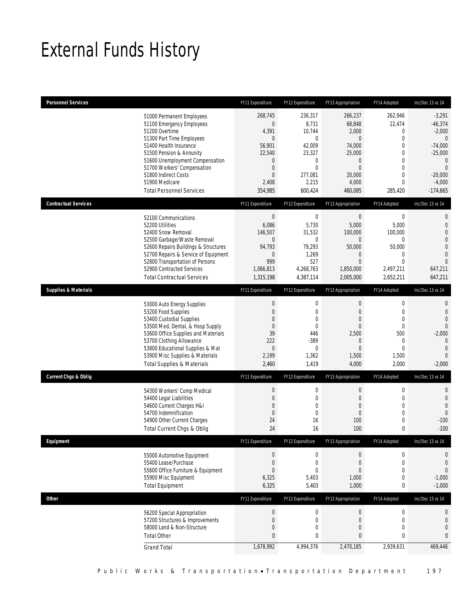# External Funds History

| <b>Personnel Services</b>       |                                                                                                                                                                                                                                                                                                            | FY11 Expenditure                                                                                                                        | FY12 Expenditure                                                                                                                 | FY13 Appropriation                                                                                                              | FY14 Adopted                                                                                                                                      | Inc/Dec 13 vs 14                                                                                                                               |
|---------------------------------|------------------------------------------------------------------------------------------------------------------------------------------------------------------------------------------------------------------------------------------------------------------------------------------------------------|-----------------------------------------------------------------------------------------------------------------------------------------|----------------------------------------------------------------------------------------------------------------------------------|---------------------------------------------------------------------------------------------------------------------------------|---------------------------------------------------------------------------------------------------------------------------------------------------|------------------------------------------------------------------------------------------------------------------------------------------------|
|                                 | 51000 Permanent Employees<br>51100 Emergency Employees<br>51200 Overtime<br>51300 Part Time Employees<br>51400 Health Insurance<br>51500 Pension & Annunity<br>51600 Unemployment Compensation<br>51700 Workers' Compensation<br>51800 Indirect Costs<br>51900 Medicare<br><b>Total Personnel Services</b> | 268,745<br>$\overline{0}$<br>4,391<br>$\overline{0}$<br>56,901<br>22,540<br>0<br>$\boldsymbol{0}$<br>$\overline{0}$<br>2,408<br>354,985 | 236,317<br>8,731<br>10,744<br>$\mathbf 0$<br>42,009<br>23,327<br>$\boldsymbol{0}$<br>$\mathbf{0}$<br>277,081<br>2,215<br>600,424 | 266,237<br>68,848<br>2,000<br>$\overline{0}$<br>74,000<br>25,000<br>$\mathbf 0$<br>$\overline{0}$<br>20,000<br>4,000<br>460,085 | 262,946<br>22,474<br>0<br>$\overline{0}$<br>$\mathbf{0}$<br>$\mathbf 0$<br>$\mathbf{0}$<br>$\mathbf 0$<br>$\mathbf{0}$<br>$\mathbf{0}$<br>285,420 | $-3,291$<br>$-46,374$<br>$-2,000$<br>$\theta$<br>$-74,000$<br>$-25,000$<br>$\mathbf{0}$<br>$\mathbf{0}$<br>$-20,000$<br>$-4,000$<br>$-174,665$ |
| <b>Contractual Services</b>     |                                                                                                                                                                                                                                                                                                            | FY11 Expenditure                                                                                                                        | FY12 Expenditure                                                                                                                 | FY13 Appropriation                                                                                                              | FY14 Adopted                                                                                                                                      | Inc/Dec 13 vs 14                                                                                                                               |
|                                 | 52100 Communications<br>52200 Utilities<br>52400 Snow Removal<br>52500 Garbage/Waste Removal<br>52600 Repairs Buildings & Structures<br>52700 Repairs & Service of Equipment<br>52800 Transportation of Persons<br>52900 Contracted Services<br><b>Total Contractual Services</b>                          | $\boldsymbol{0}$<br>6,086<br>146,507<br>$\mathbf{0}$<br>94,793<br>$\mathbf 0$<br>999<br>1,066,813<br>1,315,198                          | $\boldsymbol{0}$<br>5,730<br>31,532<br>$\mathbf{0}$<br>79,293<br>1,269<br>527<br>4,268,763<br>4,387,114                          | $\boldsymbol{0}$<br>5,000<br>100,000<br>$\overline{0}$<br>50,000<br>$\theta$<br>$\overline{0}$<br>1,850,000<br>2,005,000        | $\boldsymbol{0}$<br>5,000<br>100,000<br>$\overline{0}$<br>50,000<br>0<br>$\overline{0}$<br>2,497,211<br>2,652,211                                 | $\mathbf 0$<br>$\mathbf 0$<br>$\overline{0}$<br>$\overline{0}$<br>$\overline{0}$<br>$\overline{0}$<br>$\overline{0}$<br>647,211<br>647,211     |
| <b>Supplies &amp; Materials</b> |                                                                                                                                                                                                                                                                                                            | FY11 Expenditure                                                                                                                        | FY12 Expenditure                                                                                                                 | FY13 Appropriation                                                                                                              | FY14 Adopted                                                                                                                                      | Inc/Dec 13 vs 14                                                                                                                               |
|                                 | 53000 Auto Energy Supplies<br>53200 Food Supplies<br>53400 Custodial Supplies<br>53500 Med, Dental, & Hosp Supply<br>53600 Office Supplies and Materials<br>53700 Clothing Allowance<br>53800 Educational Supplies & Mat<br>53900 Misc Supplies & Materials<br><b>Total Supplies &amp; Materials</b>       | $\boldsymbol{0}$<br>$\boldsymbol{0}$<br>0<br>$\boldsymbol{0}$<br>39<br>222<br>0<br>2,199<br>2,460                                       | $\mathbf 0$<br>$\mathbf 0$<br>$\mathbf 0$<br>$\mathbf 0$<br>446<br>$-389$<br>$\mathbf{0}$<br>1,362<br>1,419                      | $\boldsymbol{0}$<br>$\overline{0}$<br>$\theta$<br>$\overline{0}$<br>2,500<br>$\theta$<br>$\overline{0}$<br>1,500<br>4,000       | $\boldsymbol{0}$<br>$\mathbf 0$<br>$\overline{0}$<br>$\mathbf 0$<br>500<br>0<br>$\overline{0}$<br>1,500<br>2,000                                  | $\mathbf{0}$<br>$\mathbf 0$<br>$\overline{0}$<br>$\Omega$<br>$-2,000$<br>$\mathbf{0}$<br>$\overline{0}$<br>$\overline{0}$<br>$-2,000$          |
| <b>Current Chgs &amp; Oblig</b> |                                                                                                                                                                                                                                                                                                            | FY11 Expenditure                                                                                                                        | FY12 Expenditure                                                                                                                 | FY13 Appropriation                                                                                                              | FY14 Adopted                                                                                                                                      | Inc/Dec 13 vs 14                                                                                                                               |
|                                 | 54300 Workers' Comp Medical<br>54400 Legal Liabilities<br>54600 Current Charges H&I<br>54700 Indemnification<br>54900 Other Current Charges<br>Total Current Chgs & Oblig                                                                                                                                  | $\boldsymbol{0}$<br>$\boldsymbol{0}$<br>$\overline{0}$<br>$\boldsymbol{0}$<br>24<br>24                                                  | $\boldsymbol{0}$<br>$\mathbf 0$<br>$\mathbf 0$<br>$\mathbf 0$<br>16<br>16                                                        | $\boldsymbol{0}$<br>$\mathbf 0$<br>$\theta$<br>$\mathbf 0$<br>100<br>100                                                        | $\boldsymbol{0}$<br>$\mathbf 0$<br>$\mathbf{0}$<br>$\mathbf 0$<br>$\mathbf 0$<br>$\mathbf 0$                                                      | $\mathbf 0$<br>$\mathbf 0$<br>$\overline{0}$<br>$\overline{0}$<br>$-100$<br>$-100$                                                             |
| Equipment                       |                                                                                                                                                                                                                                                                                                            | FY11 Expenditure                                                                                                                        | FY12 Expenditure                                                                                                                 | FY13 Appropriation                                                                                                              | FY14 Adopted                                                                                                                                      | Inc/Dec 13 vs 14                                                                                                                               |
|                                 | 55000 Automotive Equipment<br>55400 Lease/Purchase<br>55600 Office Furniture & Equipment<br>55900 Misc Equipment<br><b>Total Equipment</b>                                                                                                                                                                 | $\boldsymbol{0}$<br>$\boldsymbol{0}$<br>$\boldsymbol{0}$<br>6,325<br>6,325                                                              | $\boldsymbol{0}$<br>$\mathbf 0$<br>$\mathbf 0$<br>5,403<br>5,403                                                                 | $\boldsymbol{0}$<br>$\mathbf 0$<br>$\theta$<br>1,000<br>1,000                                                                   | 0<br>$\boldsymbol{0}$<br>$\mathbf 0$<br>0<br>0                                                                                                    | 0<br>$\mathbf 0$<br>$\mathbf 0$<br>$-1,000$<br>$-1,000$                                                                                        |
| <b>Other</b>                    |                                                                                                                                                                                                                                                                                                            | FY11 Expenditure                                                                                                                        | FY12 Expenditure                                                                                                                 | FY13 Appropriation                                                                                                              | FY14 Adopted                                                                                                                                      | Inc/Dec 13 vs 14                                                                                                                               |
|                                 | 56200 Special Appropriation<br>57200 Structures & Improvements<br>58000 Land & Non-Structure<br><b>Total Other</b>                                                                                                                                                                                         | $\boldsymbol{0}$<br>$\boldsymbol{0}$<br>$\boldsymbol{0}$<br>$\bf{0}$                                                                    | $\boldsymbol{0}$<br>$\mathbf 0$<br>0<br>$\bf{0}$                                                                                 | $\boldsymbol{0}$<br>$\mathbf 0$<br>$\theta$<br>$\pmb{0}$                                                                        | $\boldsymbol{0}$<br>$\mathbf 0$<br>0<br>$\mathbf 0$                                                                                               | 0<br>0<br>$\mathbf 0$<br>$\mathbf{0}$                                                                                                          |
|                                 | <b>Grand Total</b>                                                                                                                                                                                                                                                                                         | 1,678,992                                                                                                                               | 4,994,376                                                                                                                        | 2,470,185                                                                                                                       | 2,939,631                                                                                                                                         | 469,446                                                                                                                                        |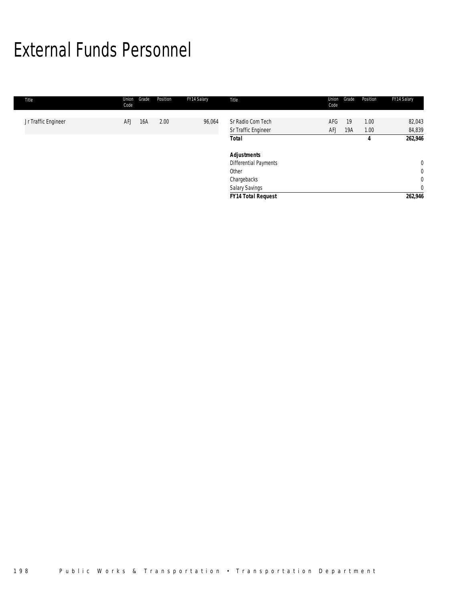# External Funds Personnel

| Title               | Grade<br>Union<br>Code | Position | FY14 Salary | Title                                    | Union<br>Code | Grade     | Position     | FY14 Salary      |
|---------------------|------------------------|----------|-------------|------------------------------------------|---------------|-----------|--------------|------------------|
| Jr Traffic Engineer | <b>AFJ</b><br>16A      | 2.00     | 96,064      | Sr Radio Com Tech<br>Sr Traffic Engineer | AFG<br>AFJ    | 19<br>19A | 1.00<br>1.00 | 82,043<br>84,839 |
|                     |                        |          |             | <b>Total</b>                             |               |           | 4            | 262,946          |
|                     |                        |          |             | <b>Adjustments</b>                       |               |           |              |                  |
|                     |                        |          |             | <b>Differential Payments</b>             |               |           |              | $\overline{0}$   |
|                     |                        |          |             | Other                                    |               |           |              | $\mathbf 0$      |
|                     |                        |          |             | Chargebacks                              |               |           |              | $\mathbf{0}$     |
|                     |                        |          |             | <b>Salary Savings</b>                    |               |           |              | $\overline{0}$   |
|                     |                        |          |             | <b>FY14 Total Request</b>                |               |           |              | 262,946          |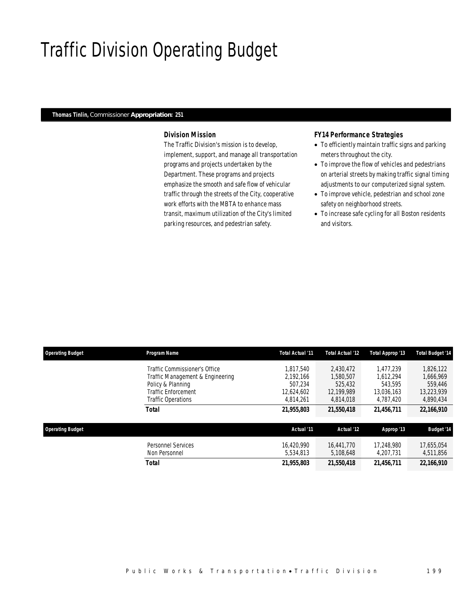# Traffic Division Operating Budget

#### *Thomas Tinlin, Commissioner Appropriation: 251*

### *Division Mission*

The Traffic Division's mission is to develop, implement, support, and manage all transportation programs and projects undertaken by the Department. These programs and projects emphasize the smooth and safe flow of vehicular traffic through the streets of the City, cooperative work efforts with the MBTA to enhance mass transit, maximum utilization of the City's limited parking resources, and pedestrian safety.

### *FY14 Performance Strategies*

- To efficiently maintain traffic signs and parking meters throughout the city.
- To improve the flow of vehicles and pedestrians on arterial streets by making traffic signal timing adjustments to our computerized signal system.
- To improve vehicle, pedestrian and school zone safety on neighborhood streets.
- To increase safe cycling for all Boston residents and visitors.

| <b>Operating Budget</b> | Program Name                               | Total Actual '11        | Total Actual '12        | Total Approp '13        | <b>Total Budget '14</b> |
|-------------------------|--------------------------------------------|-------------------------|-------------------------|-------------------------|-------------------------|
|                         | Traffic Commissioner's Office              | 1.817.540               | 2.430.472               | 1.477.239               | 1,826,122               |
|                         | Traffic Management & Engineering           | 2.192.166               | 1.580.507               | 1.612.294               | 1.666.969               |
|                         | Policy & Planning                          | 507.234                 | 525,432                 | 543.595                 | 559,446                 |
|                         | <b>Traffic Enforcement</b>                 | 12,624,602              | 12.199.989              | 13.036.163              | 13,223,939              |
|                         | Traffic Operations                         | 4.814.261               | 4.814.018               | 4.787.420               | 4,890,434               |
|                         | <b>Total</b>                               | 21,955,803              | 21,550,418              | 21,456,711              | 22,166,910              |
| <b>Operating Budget</b> |                                            | Actual '11              | Actual '12              | Approp '13              | <b>Budget '14</b>       |
|                         | <b>Personnel Services</b><br>Non Personnel | 16.420.990<br>5.534.813 | 16.441.770<br>5.108.648 | 17,248,980<br>4.207.731 | 17,655,054<br>4,511,856 |
|                         | <b>Total</b>                               | 21,955,803              | 21,550,418              | 21,456,711              | 22,166,910              |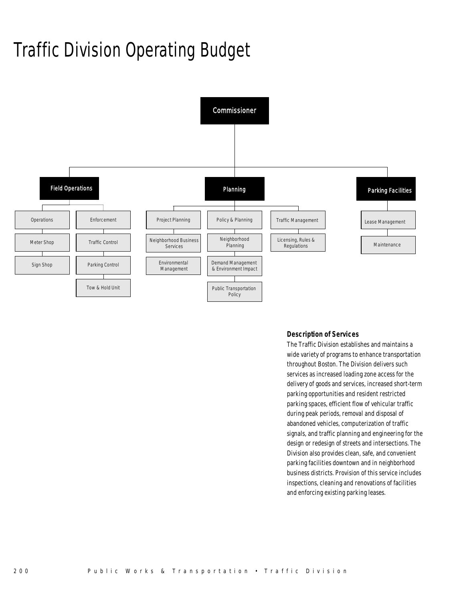# Traffic Division Operating Budget



### *Description of Services*

The Traffic Division establishes and maintains a wide variety of programs to enhance transportation throughout Boston. The Division delivers such services as increased loading zone access for the delivery of goods and services, increased short-term parking opportunities and resident restricted parking spaces, efficient flow of vehicular traffic during peak periods, removal and disposal of abandoned vehicles, computerization of traffic signals, and traffic planning and engineering for the design or redesign of streets and intersections. The Division also provides clean, safe, and convenient parking facilities downtown and in neighborhood business districts. Provision of this service includes inspections, cleaning and renovations of facilities and enforcing existing parking leases.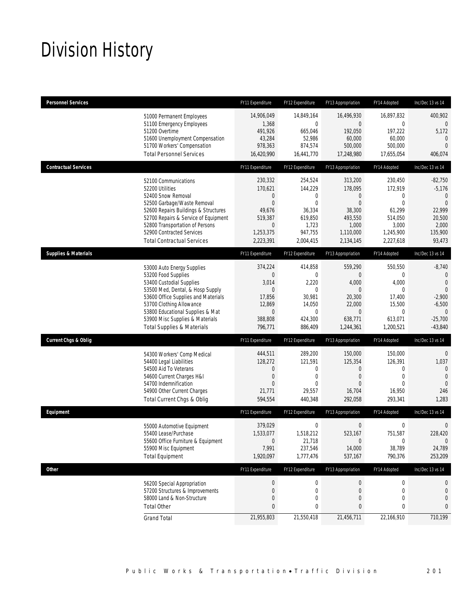# Division History

| <b>Personnel Services</b>       |                                                                                                                                                                                                                                                                                                      | FY11 Expenditure                                                                                             | FY12 Expenditure                                                                                          | FY13 Appropriation                                                                                             | FY14 Adopted                                                                                    | Inc/Dec 13 vs 14                                                                                                      |
|---------------------------------|------------------------------------------------------------------------------------------------------------------------------------------------------------------------------------------------------------------------------------------------------------------------------------------------------|--------------------------------------------------------------------------------------------------------------|-----------------------------------------------------------------------------------------------------------|----------------------------------------------------------------------------------------------------------------|-------------------------------------------------------------------------------------------------|-----------------------------------------------------------------------------------------------------------------------|
|                                 | 51000 Permanent Employees<br>51100 Emergency Employees<br>51200 Overtime<br>51600 Unemployment Compensation<br>51700 Workers' Compensation<br><b>Total Personnel Services</b>                                                                                                                        | 14,906,049<br>1,368<br>491,926<br>43,284<br>978,363<br>16,420,990                                            | 14,849,164<br>0<br>665,046<br>52,986<br>874,574<br>16,441,770                                             | 16,496,930<br>$\overline{0}$<br>192,050<br>60,000<br>500,000<br>17,248,980                                     | 16,897,832<br>0<br>197,222<br>60,000<br>500,000<br>17,655,054                                   | 400,902<br>0<br>5,172<br>0<br>$\overline{0}$<br>406,074                                                               |
| <b>Contractual Services</b>     |                                                                                                                                                                                                                                                                                                      | FY11 Expenditure                                                                                             | FY12 Expenditure                                                                                          | FY13 Appropriation                                                                                             | FY14 Adopted                                                                                    | Inc/Dec 13 vs 14                                                                                                      |
|                                 | 52100 Communications<br>52200 Utilities<br>52400 Snow Removal<br>52500 Garbage/Waste Removal<br>52600 Repairs Buildings & Structures<br>52700 Repairs & Service of Equipment<br>52800 Transportation of Persons<br>52900 Contracted Services<br><b>Total Contractual Services</b>                    | 230,332<br>170,621<br>0<br>$\overline{0}$<br>49,676<br>519,387<br>$\boldsymbol{0}$<br>1,253,375<br>2,223,391 | 254,524<br>144,229<br>0<br>$\mathbf{0}$<br>36,334<br>619,850<br>1,723<br>947,755<br>2,004,415             | 313,200<br>178,095<br>$\theta$<br>$\overline{0}$<br>38,300<br>493,550<br>1,000<br>1,110,000<br>2,134,145       | 230,450<br>172,919<br>0<br>$\mathbf{0}$<br>61,299<br>514,050<br>3,000<br>1,245,900<br>2,227,618 | $-82,750$<br>$-5,176$<br>$\mathbf{0}$<br>$\mathbf{0}$<br>22,999<br>20,500<br>2,000<br>135,900<br>93,473               |
| <b>Supplies &amp; Materials</b> |                                                                                                                                                                                                                                                                                                      | FY11 Expenditure                                                                                             | FY12 Expenditure                                                                                          | FY13 Appropriation                                                                                             | FY14 Adopted                                                                                    | Inc/Dec 13 vs 14                                                                                                      |
|                                 | 53000 Auto Energy Supplies<br>53200 Food Supplies<br>53400 Custodial Supplies<br>53500 Med, Dental, & Hosp Supply<br>53600 Office Supplies and Materials<br>53700 Clothing Allowance<br>53800 Educational Supplies & Mat<br>53900 Misc Supplies & Materials<br><b>Total Supplies &amp; Materials</b> | 374,224<br>0<br>3,014<br>$\overline{0}$<br>17,856<br>12,869<br>$\boldsymbol{0}$<br>388,808<br>796,771        | 414,858<br>$\mathbf{0}$<br>2,220<br>$\mathbf{0}$<br>30,981<br>14,050<br>$\mathbf 0$<br>424,300<br>886,409 | 559,290<br>$\overline{0}$<br>4,000<br>$\theta$<br>20,300<br>22,000<br>$\boldsymbol{0}$<br>638,771<br>1,244,361 | 550,550<br>0<br>4,000<br>$\mathbf 0$<br>17,400<br>15,500<br>0<br>613,071<br>1,200,521           | $-8,740$<br>$\mathbf 0$<br>$\mathbf{0}$<br>$\mathbf{0}$<br>$-2,900$<br>$-6,500$<br>$\theta$<br>$-25,700$<br>$-43,840$ |
| <b>Current Chgs &amp; Oblig</b> |                                                                                                                                                                                                                                                                                                      | FY11 Expenditure                                                                                             | FY12 Expenditure                                                                                          | FY13 Appropriation                                                                                             | FY14 Adopted                                                                                    | Inc/Dec 13 vs 14                                                                                                      |
|                                 | 54300 Workers' Comp Medical<br>54400 Legal Liabilities<br>54500 Aid To Veterans<br>54600 Current Charges H&I<br>54700 Indemnification<br>54900 Other Current Charges<br>Total Current Chgs & Oblig                                                                                                   | 444,511<br>128,272<br>0<br>0<br>$\Omega$<br>21,771<br>594,554                                                | 289,200<br>121,591<br>0<br>$\mathbf{0}$<br>$\Omega$<br>29,557<br>440,348                                  | 150,000<br>125,354<br>$\theta$<br>$\theta$<br>$\Omega$<br>16,704<br>292,058                                    | 150,000<br>126,391<br>0<br>$\mathbf{0}$<br>$\Omega$<br>16,950<br>293,341                        | $\mathbf 0$<br>1,037<br>$\theta$<br>$\mathbf{0}$<br>$\Omega$<br>246<br>1,283                                          |
| Equipment                       |                                                                                                                                                                                                                                                                                                      | FY11 Expenditure                                                                                             | FY12 Expenditure                                                                                          | FY13 Appropriation                                                                                             | FY14 Adopted                                                                                    | Inc/Dec 13 vs 14                                                                                                      |
|                                 | 55000 Automotive Equipment<br>55400 Lease/Purchase<br>55600 Office Furniture & Equipment<br>55900 Misc Equipment<br><b>Total Equipment</b>                                                                                                                                                           | 379,029<br>1,533,077<br>$\mathbf 0$<br>7,991<br>1,920,097                                                    | $\boldsymbol{0}$<br>1,518,212<br>21,718<br>237,546<br>1,777,476                                           | $\boldsymbol{0}$<br>523,167<br>$\overline{0}$<br>14,000<br>537,167                                             | $\boldsymbol{0}$<br>751,587<br>0<br>38,789<br>790,376                                           | $\mathbf 0$<br>228,420<br>$\mathbf 0$<br>24,789<br>253,209                                                            |
| <b>Other</b>                    |                                                                                                                                                                                                                                                                                                      | FY11 Expenditure                                                                                             | FY12 Expenditure                                                                                          | FY13 Appropriation                                                                                             | FY14 Adopted                                                                                    | Inc/Dec 13 vs 14                                                                                                      |
|                                 | 56200 Special Appropriation<br>57200 Structures & Improvements<br>58000 Land & Non-Structure<br><b>Total Other</b>                                                                                                                                                                                   | $\boldsymbol{0}$<br>0<br>0<br>0                                                                              | $\boldsymbol{0}$<br>$\mathbf 0$<br>0<br>0                                                                 | $\boldsymbol{0}$<br>0<br>$\theta$<br>$\pmb{0}$                                                                 | 0<br>0<br>$\mathbf 0$<br>0                                                                      | 0<br>0<br>0<br>0                                                                                                      |
|                                 | <b>Grand Total</b>                                                                                                                                                                                                                                                                                   | 21,955,803                                                                                                   | 21,550,418                                                                                                | 21,456,711                                                                                                     | 22,166,910                                                                                      | 710,199                                                                                                               |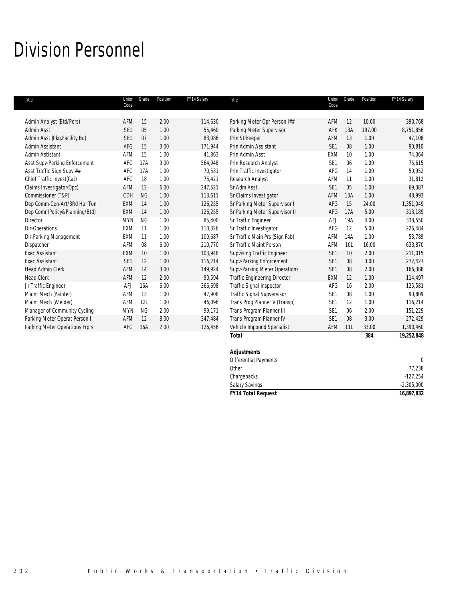## Division Personnel

| Title                          | Union<br>Code   | Grade     | Position | FY14 Salary | Title                               | Union<br>Code   | Grade | Position | FY14 Salary |
|--------------------------------|-----------------|-----------|----------|-------------|-------------------------------------|-----------------|-------|----------|-------------|
|                                |                 |           |          |             |                                     |                 |       |          |             |
| Admin Analyst (Btd/Pers)       | AFM             | 15        | 2.00     | 114,630     | Parking Meter Opr Person I##        | AFM             | 12    | 10.00    | 390,768     |
| Admin Asst                     | SE <sub>1</sub> | 05        | 1.00     | 55,460      | Parking Meter Supervisor            | AFK             | 13A   | 197.00   | 8,751,856   |
| Admin Asst (Pkg.Facility Bd)   | SE <sub>1</sub> | 07        | 1.00     | 83,086      | Prin Strkeeper                      | AFM             | 13    | 1.00     | 47,108      |
| Admin Assistant                | AFG             | 15        | 3.00     | 171,944     | Prin Admin Assistant                | SE <sub>1</sub> | 08    | 1.00     | 90,810      |
| Admin Astistant                | AFM             | 15        | 1.00     | 41,863      | Prin Admin Asst                     | EXM             | 10    | 1.00     | 74,364      |
| Asst Supv-Parking Enforcement  | AFG             | 17A       | 9.00     | 564,948     | Prin Research Analyst               | SE <sub>1</sub> | 06    | 1.00     | 75,615      |
| Asst Traffic Sign Supv ##      | AFG             | 17A       | 1.00     | 70.531      | Prin Traffic Investigator           | AFG             | 14    | 1.00     | 50,952      |
| Chief Traffic Invest(Cat)      | AFG             | 18        | 1.00     | 75,421      | Research Analyst                    | AFM             | 11    | 1.00     | 31,812      |
| Claims Investigator(Opc)       | AFM             | 12        | 6.00     | 247,521     | Sr Adm Asst                         | SE <sub>1</sub> | 05    | 1.00     | 69,387      |
| Commissioner (T&P)             | CDH             | <b>NG</b> | 1.00     | 113,611     | Sr Claims Investigator              | AFM             | 13A   | 1.00     | 48,993      |
| Dep Comm-Cen-Art/3Rd Har Tun   | <b>EXM</b>      | 14        | 1.00     | 126,255     | Sr Parking Meter Supervisor I       | AFG             | 15    | 24.00    | 1,351,049   |
| Dep Comr (Policy&Planning/Btd) | <b>EXM</b>      | 14        | 1.00     | 126,255     | Sr Parking Meter Supervisor II      | AFG             | 17A   | 5.00     | 313,189     |
| Director                       | <b>MYN</b>      | <b>NG</b> | 1.00     | 85,400      | Sr Traffic Engineer                 | <b>AFJ</b>      | 19A   | 4.00     | 338,550     |
| Dir-Operations                 | <b>EXM</b>      | 11        | 1.00     | 110,326     | Sr Traffic Investigator             | AFG             | 12    | 5.00     | 226,484     |
| Dir-Parking Management         | <b>EXM</b>      | 11        | 1.00     | 100,687     | Sr Traffic Main Prs (Sign Fab)      | AFM             | 14A   | 1.00     | 53,789      |
| Dispatcher                     | AFM             | 08        | 6.00     | 210,770     | Sr Traffic Maint Person             | AFM             | 10L   | 16.00    | 633,870     |
| <b>Exec Assistant</b>          | <b>EXM</b>      | 10        | 1.00     | 103,948     | <b>Supvising Traffic Engineer</b>   | SE <sub>1</sub> | 10    | 2.00     | 211,015     |
| <b>Exec Assistant</b>          | SE1             | 12        | 1.00     | 116,214     | Supv-Parking Enforcement            | SE <sub>1</sub> | 08    | 3.00     | 272,427     |
| <b>Head Admin Clerk</b>        | <b>AFM</b>      | 14        | 3.00     | 149,924     | Supv-Parking Meter Operations       | SE <sub>1</sub> | 08    | 2.00     | 166,388     |
| <b>Head Clerk</b>              | AFM             | 12        | 2.00     | 90,594      | <b>Traffic Engineering Director</b> | EXM             | 12    | 1.00     | 114,497     |
| Jr Traffic Engineer            | <b>AFJ</b>      | 16A       | 6.00     | 366,698     | <b>Traffic Signal Inspector</b>     | AFG             | 16    | 2.00     | 125,581     |
| Maint Mech (Painter)           | AFM             | 13        | 1.00     | 47,908      | Traffic Signal Supvervisor          | SE <sub>1</sub> | 08    | 1.00     | 90,809      |
| Maint Mech (Welder)            | AFM             | 12L       | 1.00     | 46.096      | Trans Prog Planner V (Transp)       | SE <sub>1</sub> | 12    | 1.00     | 116,214     |
| Manager of Community Cycling   | <b>MYN</b>      | <b>NG</b> | 2.00     | 99,171      | Trans Program Planner III           | SE <sub>1</sub> | 06    | 2.00     | 151,229     |
| Parking Meter Operat Person I  | AFM             | 12        | 8.00     | 347,484     | Trans Program Planner IV            | SE <sub>1</sub> | 08    | 3.00     | 272,429     |
| Parking Meter Operations Frprs | AFG             | 16A       | 2.00     | 126,456     | Vehicle Impound Specialist          | AFM             | 11L   | 33.00    | 1,390,460   |
|                                |                 |           |          |             | <b>Total</b>                        |                 |       | 384      | 19,252,848  |
|                                |                 |           |          |             | <b>Adiustments</b>                  |                 |       |          |             |

| <b>FY14 Total Request</b> | 16,897,832   |
|---------------------------|--------------|
| <b>Salary Savings</b>     | $-2,305,000$ |
| Chargebacks               | $-127.254$   |
| Other                     | 77.238       |
| Differential Payments     | $\Omega$     |
| <b>Adjustments</b>        |              |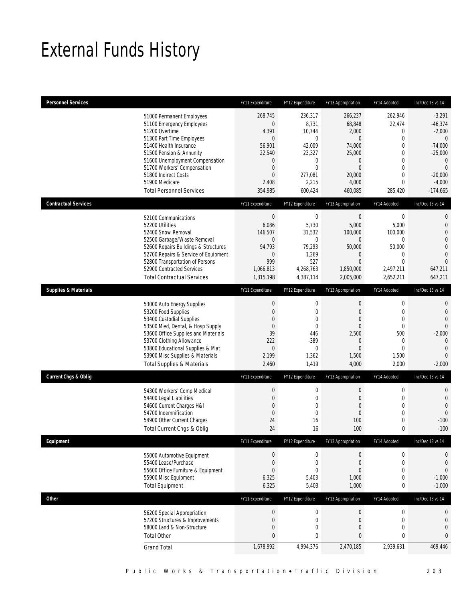# External Funds History

| <b>Personnel Services</b>       |                                                                                                                                                                                                                                                                                                            | FY11 Expenditure                                                                                                                                  | FY12 Expenditure                                                                                        | FY13 Appropriation                                                                                                          | FY14 Adopted                                                                                                                                               | Inc/Dec 13 vs 14                                                                                                                                       |
|---------------------------------|------------------------------------------------------------------------------------------------------------------------------------------------------------------------------------------------------------------------------------------------------------------------------------------------------------|---------------------------------------------------------------------------------------------------------------------------------------------------|---------------------------------------------------------------------------------------------------------|-----------------------------------------------------------------------------------------------------------------------------|------------------------------------------------------------------------------------------------------------------------------------------------------------|--------------------------------------------------------------------------------------------------------------------------------------------------------|
|                                 | 51000 Permanent Employees<br>51100 Emergency Employees<br>51200 Overtime<br>51300 Part Time Employees<br>51400 Health Insurance<br>51500 Pension & Annunity<br>51600 Unemployment Compensation<br>51700 Workers' Compensation<br>51800 Indirect Costs<br>51900 Medicare<br><b>Total Personnel Services</b> | 268,745<br>$\boldsymbol{0}$<br>4,391<br>$\overline{0}$<br>56,901<br>22,540<br>$\mathbf 0$<br>$\boldsymbol{0}$<br>$\mathbf{0}$<br>2,408<br>354,985 | 236,317<br>8,731<br>10,744<br>0<br>42,009<br>23,327<br>0<br>$\mathbf{0}$<br>277,081<br>2,215<br>600,424 | 266,237<br>68,848<br>2,000<br>$\mathbf{0}$<br>74,000<br>25,000<br>$\mathbf 0$<br>$\mathbf{0}$<br>20,000<br>4,000<br>460,085 | 262,946<br>22,474<br>$\mathbf 0$<br>$\mathbf{0}$<br>$\mathbf{0}$<br>$\mathbf 0$<br>$\mathbf{0}$<br>$\mathbf{0}$<br>$\mathbf{0}$<br>$\mathbf{0}$<br>285,420 | $-3,291$<br>$-46,374$<br>$-2,000$<br>$\overline{0}$<br>$-74,000$<br>$-25,000$<br>$\mathbf{0}$<br>$\overline{0}$<br>$-20,000$<br>$-4,000$<br>$-174,665$ |
| <b>Contractual Services</b>     |                                                                                                                                                                                                                                                                                                            | FY11 Expenditure                                                                                                                                  | FY12 Expenditure                                                                                        | FY13 Appropriation                                                                                                          | FY14 Adopted                                                                                                                                               | Inc/Dec 13 vs 14                                                                                                                                       |
|                                 | 52100 Communications<br>52200 Utilities<br>52400 Snow Removal<br>52500 Garbage/Waste Removal<br>52600 Repairs Buildings & Structures<br>52700 Repairs & Service of Equipment<br>52800 Transportation of Persons<br>52900 Contracted Services<br><b>Total Contractual Services</b>                          | $\boldsymbol{0}$<br>6,086<br>146,507<br>$\boldsymbol{0}$<br>94,793<br>$\mathbf 0$<br>999<br>1,066,813<br>1,315,198                                | $\mathbf 0$<br>5,730<br>31,532<br>0<br>79,293<br>1,269<br>527<br>4,268,763<br>4,387,114                 | $\boldsymbol{0}$<br>5,000<br>100,000<br>$\mathbf 0$<br>50,000<br>0<br>$\mathbf{0}$<br>1,850,000<br>2,005,000                | $\boldsymbol{0}$<br>5,000<br>100,000<br>$\boldsymbol{0}$<br>50,000<br>$\mathbf 0$<br>$\overline{0}$<br>2,497,211<br>2,652,211                              | $\mathbf 0$<br>$\mathbf 0$<br>$\overline{0}$<br>$\overline{0}$<br>$\mathbf 0$<br>$\overline{0}$<br>$\overline{0}$<br>647,211<br>647,211                |
| <b>Supplies &amp; Materials</b> |                                                                                                                                                                                                                                                                                                            | FY11 Expenditure                                                                                                                                  | FY12 Expenditure                                                                                        | FY13 Appropriation                                                                                                          | FY14 Adopted                                                                                                                                               | Inc/Dec 13 vs 14                                                                                                                                       |
|                                 | 53000 Auto Energy Supplies<br>53200 Food Supplies<br>53400 Custodial Supplies<br>53500 Med, Dental, & Hosp Supply<br>53600 Office Supplies and Materials<br>53700 Clothing Allowance<br>53800 Educational Supplies & Mat<br>53900 Misc Supplies & Materials<br><b>Total Supplies &amp; Materials</b>       | $\boldsymbol{0}$<br>$\boldsymbol{0}$<br>$\overline{0}$<br>$\boldsymbol{0}$<br>39<br>222<br>$\mathbf 0$<br>2,199<br>2,460                          | $\boldsymbol{0}$<br>0<br>$\mathbf 0$<br>$\mathbf{0}$<br>446<br>$-389$<br>$\mathbf 0$<br>1,362<br>1,419  | $\boldsymbol{0}$<br>$\mathbf{0}$<br>$\mathbf{0}$<br>$\mathbf{0}$<br>2,500<br>$\mathbf{0}$<br>$\mathbf{0}$<br>1,500<br>4,000 | $\boldsymbol{0}$<br>$\mathbf 0$<br>$\overline{0}$<br>$\mathbf 0$<br>500<br>$\mathbf 0$<br>$\mathbf{0}$<br>1,500<br>2,000                                   | $\mathbf{0}$<br>$\mathbf 0$<br>$\overline{0}$<br>$\Omega$<br>$-2,000$<br>$\mathbf{0}$<br>$\mathbf{0}$<br>$\overline{0}$<br>$-2,000$                    |
| <b>Current Chgs &amp; Oblig</b> |                                                                                                                                                                                                                                                                                                            | FY11 Expenditure                                                                                                                                  | FY12 Expenditure                                                                                        | FY13 Appropriation                                                                                                          | FY14 Adopted                                                                                                                                               | Inc/Dec 13 vs 14                                                                                                                                       |
|                                 | 54300 Workers' Comp Medical<br>54400 Legal Liabilities<br>54600 Current Charges H&I<br>54700 Indemnification<br>54900 Other Current Charges<br>Total Current Chgs & Oblig                                                                                                                                  | $\boldsymbol{0}$<br>$\boldsymbol{0}$<br>$\overline{0}$<br>$\boldsymbol{0}$<br>24<br>24                                                            | $\boldsymbol{0}$<br>$\mathbf 0$<br>$\mathbf 0$<br>$\mathbf 0$<br>16<br>16                               | $\boldsymbol{0}$<br>$\mathbf{0}$<br>$\mathbf{0}$<br>$\boldsymbol{0}$<br>100<br>100                                          | $\boldsymbol{0}$<br>$\mathbf 0$<br>$\mathbf{0}$<br>$\mathbf 0$<br>$\mathbf 0$<br>$\mathbf{0}$                                                              | $\mathbf 0$<br>$\mathbf{0}$<br>$\mathbf{0}$<br>$\overline{0}$<br>$-100$<br>$-100$                                                                      |
| Equipment                       |                                                                                                                                                                                                                                                                                                            | FY11 Expenditure                                                                                                                                  | FY12 Expenditure                                                                                        | FY13 Appropriation                                                                                                          | FY14 Adopted                                                                                                                                               | Inc/Dec 13 vs 14                                                                                                                                       |
|                                 | 55000 Automotive Equipment<br>55400 Lease/Purchase<br>55600 Office Furniture & Equipment<br>55900 Misc Equipment<br><b>Total Equipment</b>                                                                                                                                                                 | $\boldsymbol{0}$<br>$\boldsymbol{0}$<br>$\boldsymbol{0}$<br>6,325<br>6,325                                                                        | 0<br>$\mathbf 0$<br>$\mathbf 0$<br>5,403<br>5,403                                                       | $\boldsymbol{0}$<br>$\boldsymbol{0}$<br>0<br>1,000<br>1,000                                                                 | $\boldsymbol{0}$<br>$\boldsymbol{0}$<br>$\mathbf 0$<br>$\boldsymbol{0}$<br>0                                                                               | 0<br>$\mathbf 0$<br>$\mathbf 0$<br>$-1,000$<br>$-1,000$                                                                                                |
| Other                           |                                                                                                                                                                                                                                                                                                            | FY11 Expenditure                                                                                                                                  | FY12 Expenditure                                                                                        | FY13 Appropriation                                                                                                          | FY14 Adopted                                                                                                                                               | Inc/Dec 13 vs 14                                                                                                                                       |
|                                 | 56200 Special Appropriation<br>57200 Structures & Improvements<br>58000 Land & Non-Structure<br><b>Total Other</b>                                                                                                                                                                                         | $\boldsymbol{0}$<br>$\boldsymbol{0}$<br>$\boldsymbol{0}$<br>$\pmb{0}$                                                                             | $\boldsymbol{0}$<br>$\mathbf 0$<br>0<br>0                                                               | $\boldsymbol{0}$<br>$\boldsymbol{0}$<br>$\boldsymbol{0}$<br>$\bf{0}$                                                        | $\boldsymbol{0}$<br>$\mathbf 0$<br>$\mathbf 0$<br>$\mathbf 0$                                                                                              | 0<br>0<br>$\mathbf 0$<br>$\mathbf{0}$                                                                                                                  |
|                                 | <b>Grand Total</b>                                                                                                                                                                                                                                                                                         | 1,678,992                                                                                                                                         | 4,994,376                                                                                               | 2,470,185                                                                                                                   | 2,939,631                                                                                                                                                  | 469,446                                                                                                                                                |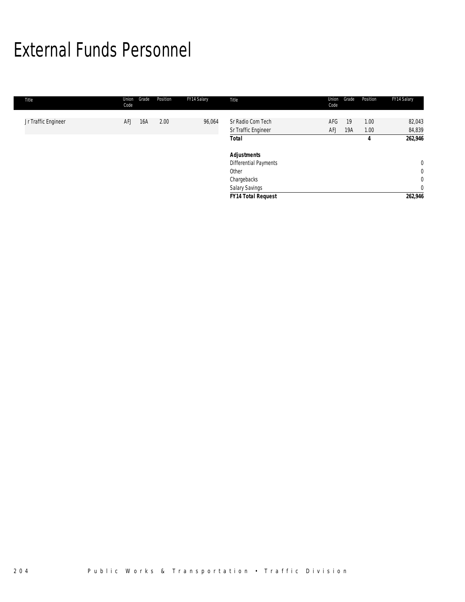# External Funds Personnel

| Title               | Union<br>Code | Position<br>Grade | FY14 Salary | Title                                    | Union<br>Code | Grade     | Position     | FY14 Salary      |
|---------------------|---------------|-------------------|-------------|------------------------------------------|---------------|-----------|--------------|------------------|
| Jr Traffic Engineer | <b>AFJ</b>    | 2.00<br>16A       | 96,064      | Sr Radio Com Tech<br>Sr Traffic Engineer | AFG<br>AFJ    | 19<br>19A | 1.00<br>1.00 | 82,043<br>84,839 |
|                     |               |                   |             | <b>Total</b>                             |               |           | 4            | 262,946          |
|                     |               |                   |             | <b>Adjustments</b>                       |               |           |              |                  |
|                     |               |                   |             | <b>Differential Payments</b>             |               |           |              | $\mathbf 0$      |
|                     |               |                   |             | Other                                    |               |           |              | $\mathbf 0$      |
|                     |               |                   |             | Chargebacks                              |               |           |              | $\overline{0}$   |
|                     |               |                   |             | <b>Salary Savings</b>                    |               |           |              | $\mathbf{0}$     |
|                     |               |                   |             | <b>FY14 Total Request</b>                |               |           |              | 262,946          |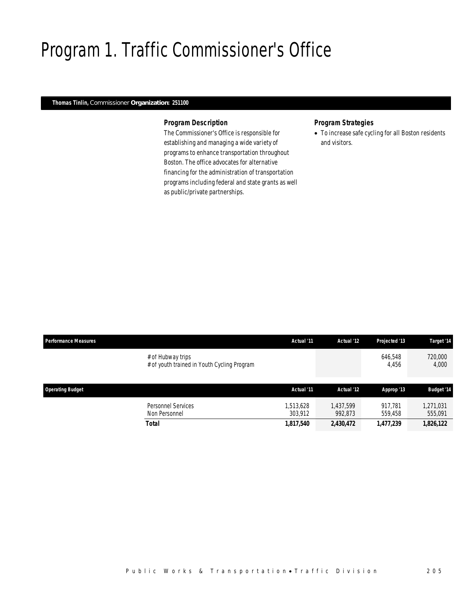# Program 1. Traffic Commissioner's Office

### *Thomas Tinlin, Commissioner Organization: 251100*

### *Program Description*

The Commissioner's Office is responsible for establishing and managing a wide variety of programs to enhance transportation throughout Boston. The office advocates for alternative financing for the administration of transportation programs including federal and state grants as well as public/private partnerships.

### *Program Strategies*

• To increase safe cycling for all Boston residents and visitors.

| <b>Performance Measures</b> |                                                                  | Actual '11           | Actual '12           | Projected '13      | Target '14           |
|-----------------------------|------------------------------------------------------------------|----------------------|----------------------|--------------------|----------------------|
|                             | # of Hubway trips<br># of youth trained in Youth Cycling Program |                      |                      | 646,548<br>4,456   | 720,000<br>4,000     |
| <b>Operating Budget</b>     |                                                                  | Actual '11           | Actual '12           | Approp '13         | <b>Budget '14</b>    |
|                             | Personnel Services<br>Non Personnel                              | 1,513,628<br>303,912 | 1.437.599<br>992.873 | 917.781<br>559,458 | 1,271,031<br>555,091 |
|                             | <b>Total</b>                                                     | 1,817,540            | 2,430,472            | 1,477,239          | 1,826,122            |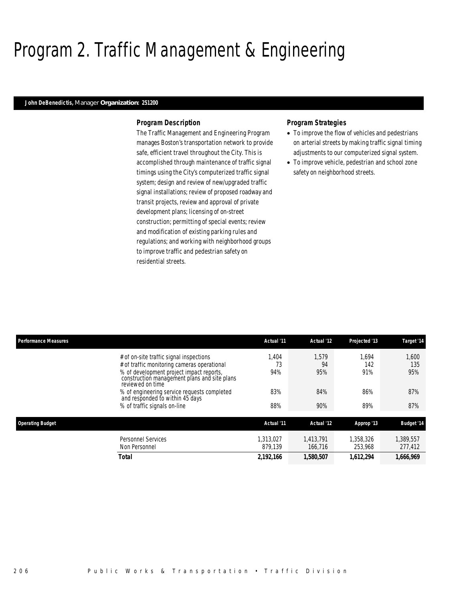# Program 2. Traffic Management & Engineering

### *John DeBenedictis, Manager Organization: 251200*

### *Program Description*

The Traffic Management and Engineering Program manages Boston's transportation network to provide safe, efficient travel throughout the City. This is accomplished through maintenance of traffic signal timings using the City's computerized traffic signal system; design and review of new/upgraded traffic signal installations; review of proposed roadway and transit projects, review and approval of private development plans; licensing of on-street construction; permitting of special events; review and modification of existing parking rules and regulations; and working with neighborhood groups to improve traffic and pedestrian safety on residential streets.

### *Program Strategies*

- To improve the flow of vehicles and pedestrians on arterial streets by making traffic signal timing adjustments to our computerized signal system.
- To improve vehicle, pedestrian and school zone safety on neighborhood streets.

| <b>Performance Measures</b>                                                                                                                                                                                                                                                              | Actual '11               | Actual '12                | Projected '13              | Target '14                 |
|------------------------------------------------------------------------------------------------------------------------------------------------------------------------------------------------------------------------------------------------------------------------------------------|--------------------------|---------------------------|----------------------------|----------------------------|
| # of on-site traffic signal inspections<br># of traffic monitoring cameras operational<br>% of development project impact reports,<br>construction management plans and site plans<br>reviewed on time<br>% of engineering service requests completed<br>and responded to within 45 days | .404<br>73<br>94%<br>83% | 1.579<br>94<br>95%<br>84% | 1.694<br>142<br>91%<br>86% | 1.600<br>135<br>95%<br>87% |
| % of traffic signals on-line                                                                                                                                                                                                                                                             | 88%                      | 90%                       | 89%                        | 87%                        |
| <b>Operating Budget</b>                                                                                                                                                                                                                                                                  | Actual '11               | Actual '12                | Approp '13                 | <b>Budget '14</b>          |
| Personnel Services<br>Non Personnel                                                                                                                                                                                                                                                      | 1,313,027<br>879.139     | 1.413.791<br>166.716      | 1.358.326<br>253,968       | .389.557<br>277,412        |
| <b>Total</b>                                                                                                                                                                                                                                                                             | 2,192,166                | 1,580,507                 | 1,612,294                  | 1,666,969                  |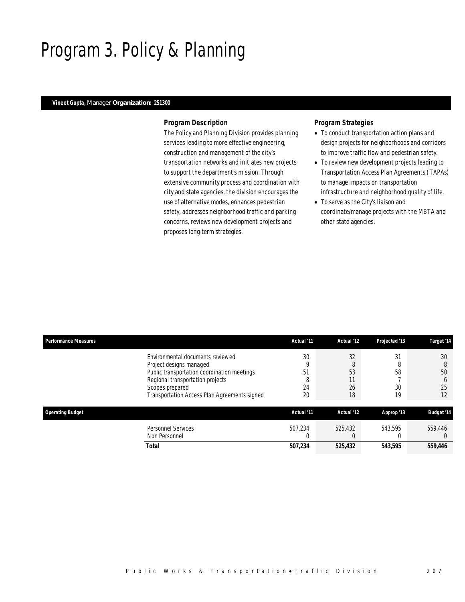# Program 3. Policy & Planning

### *Vineet Gupta, Manager Organization: 251300*

### *Program Description*

The Policy and Planning Division provides planning services leading to more effective engineering, construction and management of the city's transportation networks and initiates new projects to support the department's mission. Through extensive community process and coordination with city and state agencies, the division encourages the use of alternative modes, enhances pedestrian safety, addresses neighborhood traffic and parking concerns, reviews new development projects and proposes long-term strategies.

### *Program Strategies*

- To conduct transportation action plans and design projects for neighborhoods and corridors to improve traffic flow and pedestrian safety.
- To review new development projects leading to Transportation Access Plan Agreements (TAPAs) to manage impacts on transportation infrastructure and neighborhood quality of life.
- To serve as the City's liaison and coordinate/manage projects with the MBTA and other state agencies.

| <b>Performance Measures</b> |                                                                                                                                                                                                                   | Actual '11                | Actual '12                      | Projected '13        | Target '14                                |
|-----------------------------|-------------------------------------------------------------------------------------------------------------------------------------------------------------------------------------------------------------------|---------------------------|---------------------------------|----------------------|-------------------------------------------|
|                             | Environmental documents reviewed<br>Project designs managed<br>Public transportation coordination meetings<br>Regional transportation projects<br>Scopes prepared<br>Transportation Access Plan Agreements signed | 30<br>51<br>O<br>24<br>20 | 32<br>8<br>53<br>11<br>26<br>18 | 31<br>58<br>30<br>19 | 30<br>8<br>50<br><sub>0</sub><br>25<br>12 |
| <b>Operating Budget</b>     |                                                                                                                                                                                                                   | Actual '11                | Actual '12                      | Approp '13           | <b>Budget '14</b>                         |
|                             | <b>Personnel Services</b><br>Non Personnel                                                                                                                                                                        | 507.234                   | 525,432                         | 543.595              | 559,446                                   |
|                             | Total                                                                                                                                                                                                             | 507,234                   | 525,432                         | 543.595              | 559,446                                   |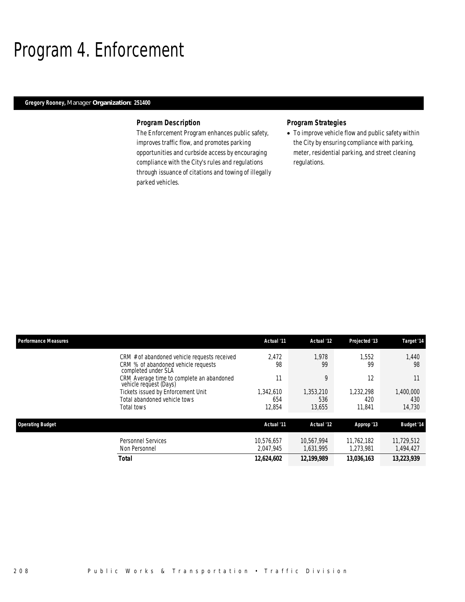# Program 4. Enforcement

### *Gregory Rooney, Manager Organization: 251400*

### *Program Description*

The Enforcement Program enhances public safety, improves traffic flow, and promotes parking opportunities and curbside access by encouraging compliance with the City's rules and regulations through issuance of citations and towing of illegally parked vehicles.

## *Program Strategies*

• To improve vehicle flow and public safety within the City by ensuring compliance with parking, meter, residential parking, and street cleaning regulations.

| <b>Performance Measures</b> |                                                                                            | Actual '11              | Actual '12              | Projected '13           | Target '14              |
|-----------------------------|--------------------------------------------------------------------------------------------|-------------------------|-------------------------|-------------------------|-------------------------|
|                             | CRM # of abandoned vehicle requests received<br>CRM % of abandoned vehicle requests        | 2.472<br>98             | 1.978<br>99             | 1.552<br>99             | 1.440<br>98             |
|                             | completed under SLA<br>CRM Average time to complete an abandoned<br>vehicle request (Days) | 11                      | 9                       | 12                      | 11                      |
|                             | Tickets issued by Enforcement Unit<br>Total abandoned vehicle tows                         | .342.610<br>654         | 1,353,210<br>536        | 1.232.298<br>420        | 1,400,000<br>430        |
|                             | Total tows                                                                                 | 12,854                  | 13,655                  | 11.841                  | 14,730                  |
| <b>Operating Budget</b>     |                                                                                            | Actual '11              | Actual '12              | Approp '13              | <b>Budget '14</b>       |
|                             | Personnel Services<br>Non Personnel                                                        | 10.576.657<br>2.047.945 | 10.567.994<br>1.631.995 | 11.762.182<br>1.273.981 | 11,729,512<br>1,494,427 |
|                             | <b>Total</b>                                                                               | 12,624,602              | 12,199,989              | 13,036,163              | 13,223,939              |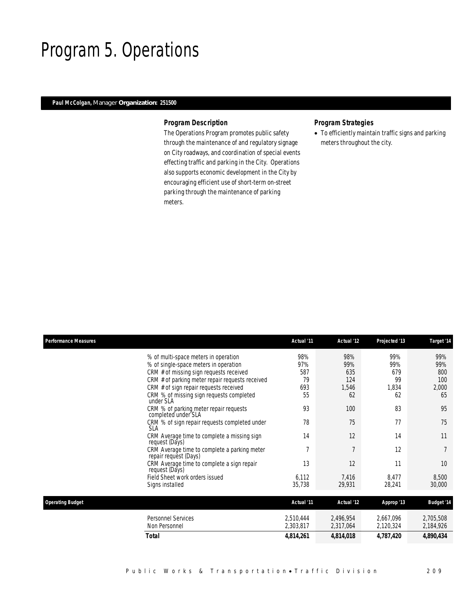## Program 5. Operations

## *Paul McColgan, Manager Organization: 251500*

### *Program Description*

The Operations Program promotes public safety through the maintenance of and regulatory signage on City roadways, and coordination of special events effecting traffic and parking in the City. Operations also supports economic development in the City by encouraging efficient use of short-term on-street parking through the maintenance of parking meters.

## *Program Strategies*

• To efficiently maintain traffic signs and parking meters throughout the city.

| <b>Performance Measures</b> |                                                                                           | Actual '11 | Actual '12 | Projected '13 | Target '14        |
|-----------------------------|-------------------------------------------------------------------------------------------|------------|------------|---------------|-------------------|
|                             | % of multi-space meters in operation                                                      | 98%        | 98%        | 99%           | 99%               |
|                             | % of single-space meters in operation                                                     | 97%        | 99%        | 99%           | 99%               |
|                             | CRM # of missing sign requests received                                                   | 587<br>79  | 635<br>124 | 679<br>99     | 800<br>100        |
|                             | CRM # of parking meter repair requests received<br>CRM # of sign repair requests received | 693        | 1,546      | 1,834         | 2,000             |
|                             | CRM % of missing sign requests completed<br>under SLA                                     | 55         | 62         | 62            | 65                |
|                             | CRM % of parking meter repair requests<br>completed under SLA                             | 93         | 100        | 83            | 95                |
|                             | CRM % of sign repair requests completed under<br><b>SLA</b>                               | 78         | 75         | 77            | 75                |
|                             | CRM Average time to complete a missing sign<br>request (Days)                             | 14         | 12         | 14            | 11                |
|                             | CRM Average time to complete a parking meter<br>repair request (Days)                     | 7          | 7          | 12            |                   |
|                             | CRM Average time to complete a sign repair<br>request (Days)                              | 13         | 12         | 11            | 10                |
|                             | Field Sheet work orders issued                                                            | 6,112      | 7,416      | 8,477         | 8,500             |
|                             | Signs installed                                                                           | 35,738     | 29,931     | 28,241        | 30,000            |
| <b>Operating Budget</b>     |                                                                                           | Actual '11 | Actual '12 | Approp '13    | <b>Budget '14</b> |
|                             | <b>Personnel Services</b>                                                                 | 2,510,444  | 2,496,954  | 2,667,096     | 2,705,508         |
|                             | Non Personnel                                                                             | 2,303,817  | 2,317,064  | 2,120,324     | 2,184,926         |
|                             | <b>Total</b>                                                                              | 4,814,261  | 4,814,018  | 4,787,420     | 4,890,434         |
|                             |                                                                                           |            |            |               |                   |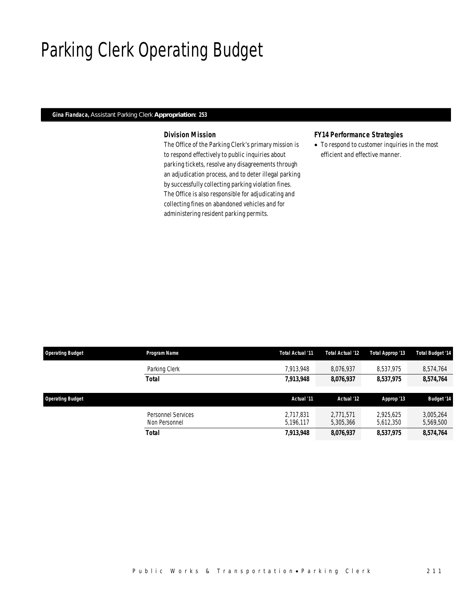# Parking Clerk Operating Budget

### *Gina Fiandaca, Assistant Parking Clerk Appropriation: 253*

## *Division Mission*

The Office of the Parking Clerk's primary mission is to respond effectively to public inquiries about parking tickets, resolve any disagreements through an adjudication process, and to deter illegal parking by successfully collecting parking violation fines. The Office is also responsible for adjudicating and collecting fines on abandoned vehicles and for administering resident parking permits.

### *FY14 Performance Strategies*

• To respond to customer inquiries in the most efficient and effective manner.

| <b>Operating Budget</b> | Program Name       | Total Actual '11 | Total Actual '12 | Total Approp '13 | <b>Total Budget '14</b> |
|-------------------------|--------------------|------------------|------------------|------------------|-------------------------|
|                         | Parking Clerk      | 7.913.948        | 8,076,937        | 8,537,975        | 8,574,764               |
|                         | <b>Total</b>       | 7,913,948        | 8,076,937        | 8,537,975        | 8,574,764               |
|                         |                    |                  |                  |                  |                         |
|                         |                    |                  |                  |                  |                         |
| <b>Operating Budget</b> |                    | Actual '11       | Actual '12       | Approp '13       | <b>Budget '14</b>       |
|                         | Personnel Services | 2.717.831        | 2.771.571        | 2.925.625        | 3,005,264               |
|                         | Non Personnel      | 5,196,117        | 5,305,366        | 5,612,350        | 5,569,500               |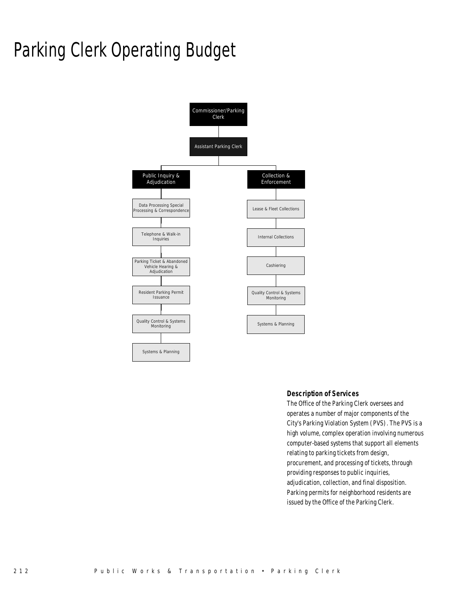# Parking Clerk Operating Budget



### *Description of Services*

The Office of the Parking Clerk oversees and operates a number of major components of the City's Parking Violation System (PVS). The PVS is a high volume, complex operation involving numerous computer-based systems that support all elements relating to parking tickets from design, procurement, and processing of tickets, through providing responses to public inquiries, adjudication, collection, and final disposition. Parking permits for neighborhood residents are issued by the Office of the Parking Clerk.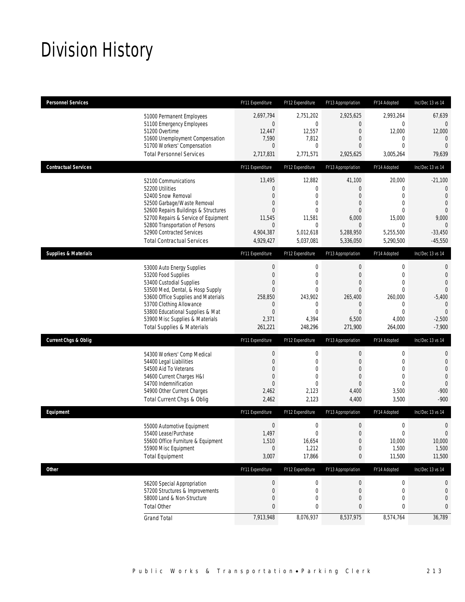# Division History

| <b>Personnel Services</b>       |                                                                                                                                                                                                                                                                                                      | FY11 Expenditure                                                                                                                  | FY12 Expenditure                                                                              | FY13 Appropriation                                                                                            | FY14 Adopted                                                                                                           | Inc/Dec 13 vs 14                                                                                                               |
|---------------------------------|------------------------------------------------------------------------------------------------------------------------------------------------------------------------------------------------------------------------------------------------------------------------------------------------------|-----------------------------------------------------------------------------------------------------------------------------------|-----------------------------------------------------------------------------------------------|---------------------------------------------------------------------------------------------------------------|------------------------------------------------------------------------------------------------------------------------|--------------------------------------------------------------------------------------------------------------------------------|
|                                 | 51000 Permanent Employees<br>51100 Emergency Employees<br>51200 Overtime<br>51600 Unemployment Compensation<br>51700 Workers' Compensation                                                                                                                                                           | 2,697,794<br>$\boldsymbol{0}$<br>12,447<br>7,590<br>$\overline{0}$                                                                | 2,751,202<br>$\overline{0}$<br>12,557<br>7,812<br>0                                           | 2,925,625<br>0<br>$\mathbf{0}$<br>0<br>0                                                                      | 2,993,264<br>$\mathbf{0}$<br>12,000<br>0<br>$\mathbf{0}$                                                               | 67,639<br>0<br>12,000<br>$\mathbf 0$<br>$\overline{0}$                                                                         |
|                                 | <b>Total Personnel Services</b>                                                                                                                                                                                                                                                                      | 2,717,831                                                                                                                         | 2,771,571                                                                                     | 2,925,625                                                                                                     | 3,005,264                                                                                                              | 79,639                                                                                                                         |
| <b>Contractual Services</b>     |                                                                                                                                                                                                                                                                                                      | FY11 Expenditure                                                                                                                  | FY12 Expenditure                                                                              | FY13 Appropriation                                                                                            | FY14 Adopted                                                                                                           | Inc/Dec 13 vs 14                                                                                                               |
|                                 | 52100 Communications<br>52200 Utilities<br>52400 Snow Removal<br>52500 Garbage/Waste Removal<br>52600 Repairs Buildings & Structures<br>52700 Repairs & Service of Equipment<br>52800 Transportation of Persons<br>52900 Contracted Services<br><b>Total Contractual Services</b>                    | 13,495<br>$\boldsymbol{0}$<br>$\overline{0}$<br>$\overline{0}$<br>$\mathbf{0}$<br>11,545<br>$\mathbf 0$<br>4,904,387<br>4,929,427 | 12,882<br>0<br>0<br>0<br>$\Omega$<br>11,581<br>$\mathbf 0$<br>5,012,618<br>5,037,081          | 41,100<br>$\boldsymbol{0}$<br>0<br>$\overline{0}$<br>0<br>6,000<br>$\mathbf 0$<br>5,288,950<br>5,336,050      | 20,000<br>$\mathbf{0}$<br>$\mathbf{0}$<br>$\mathbf{0}$<br>$\theta$<br>15,000<br>$\mathbf{0}$<br>5,255,500<br>5,290,500 | $-21,100$<br>$\overline{0}$<br>$\overline{0}$<br>$\mathbf{0}$<br>$\overline{0}$<br>9,000<br>$\theta$<br>$-33,450$<br>$-45,550$ |
| <b>Supplies &amp; Materials</b> |                                                                                                                                                                                                                                                                                                      | FY11 Expenditure                                                                                                                  | FY12 Expenditure                                                                              | FY13 Appropriation                                                                                            | FY14 Adopted                                                                                                           | Inc/Dec 13 vs 14                                                                                                               |
|                                 | 53000 Auto Energy Supplies<br>53200 Food Supplies<br>53400 Custodial Supplies<br>53500 Med, Dental, & Hosp Supply<br>53600 Office Supplies and Materials<br>53700 Clothing Allowance<br>53800 Educational Supplies & Mat<br>53900 Misc Supplies & Materials<br><b>Total Supplies &amp; Materials</b> | $\boldsymbol{0}$<br>$\boldsymbol{0}$<br>0<br>$\mathbf{0}$<br>258.850<br>$\mathbf 0$<br>$\boldsymbol{0}$<br>2,371<br>261,221       | 0<br>$\mathbf 0$<br>$\overline{0}$<br>0<br>243.902<br>0<br>$\overline{0}$<br>4,394<br>248,296 | $\boldsymbol{0}$<br>$\boldsymbol{0}$<br>0<br>$\mathbf{0}$<br>265.400<br>0<br>$\mathbf{0}$<br>6,500<br>271,900 | $\mathbf 0$<br>$\mathbf 0$<br>$\mathbf{0}$<br>$\mathbf{0}$<br>260,000<br>0<br>$\mathbf{0}$<br>4,000<br>264,000         | $\mathbf{0}$<br>$\mathbf{0}$<br>$\overline{0}$<br>$\Omega$<br>$-5,400$<br>$\theta$<br>$\overline{0}$<br>$-2,500$<br>$-7,900$   |
| <b>Current Chgs &amp; Oblig</b> |                                                                                                                                                                                                                                                                                                      | FY11 Expenditure                                                                                                                  | FY12 Expenditure                                                                              | FY13 Appropriation                                                                                            | FY14 Adopted                                                                                                           | Inc/Dec 13 vs 14                                                                                                               |
|                                 | 54300 Workers' Comp Medical<br>54400 Legal Liabilities<br>54500 Aid To Veterans<br>54600 Current Charges H&I<br>54700 Indemnification<br>54900 Other Current Charges<br>Total Current Chgs & Oblig                                                                                                   | $\boldsymbol{0}$<br>$\mathbf 0$<br>$\mathbf{0}$<br>$\overline{0}$<br>$\mathbf{0}$<br>2,462<br>2,462                               | $\mathbf 0$<br>0<br>$\overline{0}$<br>0<br>$\Omega$<br>2,123<br>2,123                         | $\boldsymbol{0}$<br>0<br>$\overline{0}$<br>$\overline{0}$<br>0<br>4,400<br>4,400                              | $\boldsymbol{0}$<br>$\mathbf{0}$<br>$\mathbf{0}$<br>$\mathbf{0}$<br>$\mathbf{0}$<br>3,500<br>3,500                     | $\mathbf{0}$<br>$\mathbf 0$<br>$\overline{0}$<br>$\mathbf{0}$<br>$\mathbf{0}$<br>$-900$<br>$-900$                              |
| Equipment                       |                                                                                                                                                                                                                                                                                                      | FY11 Expenditure                                                                                                                  | FY12 Expenditure                                                                              | FY13 Appropriation                                                                                            | FY14 Adopted                                                                                                           | Inc/Dec 13 vs 14                                                                                                               |
|                                 | 55000 Automotive Equipment<br>55400 Lease/Purchase<br>55600 Office Furniture & Equipment<br>55900 Misc Equipment<br><b>Total Equipment</b>                                                                                                                                                           | $\boldsymbol{0}$<br>1,497<br>1,510<br>$\overline{0}$<br>3,007                                                                     | 0<br>0<br>16,654<br>1,212<br>17,866                                                           | $\boldsymbol{0}$<br>$\mathbf 0$<br>$\boldsymbol{0}$<br>$\mathbf 0$<br>0                                       | $\mathbf 0$<br>$\mathbf 0$<br>10,000<br>1,500<br>11,500                                                                | $\mathbf 0$<br>$\mathbf 0$<br>10,000<br>1,500<br>11,500                                                                        |
| <b>Other</b>                    |                                                                                                                                                                                                                                                                                                      | FY11 Expenditure                                                                                                                  | FY12 Expenditure                                                                              | FY13 Appropriation                                                                                            | FY14 Adopted                                                                                                           | Inc/Dec 13 vs 14                                                                                                               |
|                                 | 56200 Special Appropriation<br>57200 Structures & Improvements<br>58000 Land & Non-Structure<br><b>Total Other</b>                                                                                                                                                                                   | $\boldsymbol{0}$<br>$\boldsymbol{0}$<br>$\boldsymbol{0}$<br>$\pmb{0}$                                                             | 0<br>0<br>0<br>0                                                                              | $\mathbf 0$<br>$\boldsymbol{0}$<br>$\mathbf 0$<br>0                                                           | $\boldsymbol{0}$<br>$\boldsymbol{0}$<br>$\mathbf 0$<br>$\bf{0}$                                                        | 0<br>$\mathbf 0$<br>$\mathbf 0$<br>0                                                                                           |
|                                 | <b>Grand Total</b>                                                                                                                                                                                                                                                                                   | 7,913,948                                                                                                                         | 8,076,937                                                                                     | 8,537,975                                                                                                     | 8,574,764                                                                                                              | 36,789                                                                                                                         |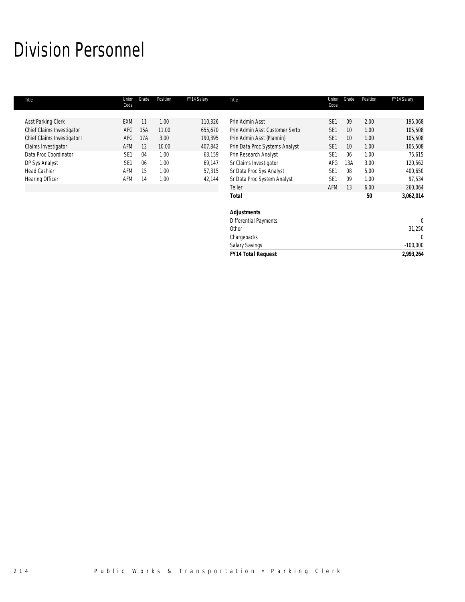# Division Personnel

| Title                       | Union<br>Code   | Grade | Position | FY14 Salary | Title                          | Union<br>Code   | Grade | Position | FY14 Salary |
|-----------------------------|-----------------|-------|----------|-------------|--------------------------------|-----------------|-------|----------|-------------|
|                             |                 |       |          |             |                                |                 |       |          |             |
| Asst Parking Clerk          | EXM             | 11    | 1.00     | 110,326     | Prin Admin Asst                | SE <sub>1</sub> | 09    | 2.00     | 195,068     |
| Chief Claims Investigator   | AFG             | 15A   | 11.00    | 655,670     | Prin Admin Asst Customer Svrtp | SE <sub>1</sub> | 10    | 1.00     | 105,508     |
| Chief Claims Investigator I | AFG             | 17A   | 3.00     | 190,395     | Prin Admin Asst (Plannin)      | SE <sub>1</sub> | 10    | 1.00     | 105,508     |
| Claims Investigator         | AFM             | 12    | 10.00    | 407,842     | Prin Data Proc Systems Analyst | SE <sub>1</sub> | 10    | 1.00     | 105,508     |
| Data Proc Coordinator       | SE <sub>1</sub> | 04    | 1.00     | 63,159      | Prin Research Analyst          | SE <sub>1</sub> | 06    | 1.00     | 75,615      |
| DP Sys Analyst              | SE <sub>1</sub> | 06    | 1.00     | 69,147      | Sr Claims Investigator         | AFG             | 13A   | 3.00     | 120,562     |
| <b>Head Cashier</b>         | AFM             | 15    | 1.00     | 57,315      | Sr Data Proc Sys Analyst       | SE <sub>1</sub> | 08    | 5.00     | 400,650     |
| Hearing Officer             | AFM             | 14    | 1.00     | 42,144      | Sr Data Proc System Analyst    | SE <sub>1</sub> | 09    | 1.00     | 97,534      |
|                             |                 |       |          |             | Teller                         | AFM             | 13    | 6.00     | 260,064     |
|                             |                 |       |          |             | <b>Total</b>                   |                 |       | 50       | 3,062,014   |
|                             |                 |       |          |             | <b>Adjustments</b>             |                 |       |          |             |
|                             |                 |       |          |             | <b>Differential Payments</b>   |                 |       |          | $\theta$    |
|                             |                 |       |          |             | Other                          |                 |       |          | 31,250      |
|                             |                 |       |          |             | Chargebacks                    |                 |       |          |             |

Salary Savings -100,000 *FY14 Total Request 2,993,264*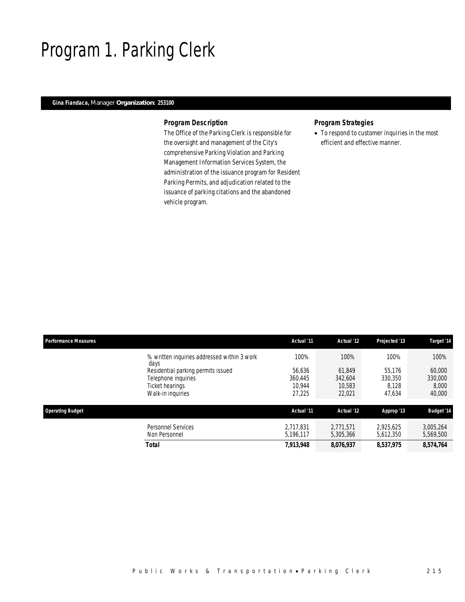# Program 1. Parking Clerk

## *Gina Fiandaca, Manager Organization: 253100*

### *Program Description*

The Office of the Parking Clerk is responsible for the oversight and management of the City's comprehensive Parking Violation and Parking Management Information Services System, the administration of the issuance program for Resident Parking Permits, and adjudication related to the issuance of parking citations and the abandoned vehicle program.

### *Program Strategies*

• To respond to customer inquiries in the most efficient and effective manner.

| <b>Performance Measures</b> |                                                                                                   | Actual '11                            | Actual '12                            | Projected '13                        | Target '14                           |
|-----------------------------|---------------------------------------------------------------------------------------------------|---------------------------------------|---------------------------------------|--------------------------------------|--------------------------------------|
|                             | % written inquiries addressed within 3 work<br>days                                               | 100%                                  | 100%                                  | 100%                                 | 100%                                 |
|                             | Residential parking permits issued<br>Telephone inquiries<br>Ticket hearings<br>Walk-in inquiries | 56,636<br>360.445<br>10.944<br>27,225 | 61.849<br>342.604<br>10.583<br>22,021 | 55.176<br>330.350<br>8.128<br>47,634 | 60,000<br>330,000<br>8,000<br>40,000 |
| <b>Operating Budget</b>     |                                                                                                   | Actual '11                            | Actual '12                            | Approp '13                           | <b>Budget '14</b>                    |
|                             | Personnel Services<br>Non Personnel                                                               | 2.717.831<br>5.196.117                | 2.771.571<br>5.305.366                | 2.925.625<br>5,612,350               | 3,005,264<br>5,569,500               |
|                             | <b>Total</b>                                                                                      | 7,913,948                             | 8,076,937                             | 8,537,975                            | 8,574,764                            |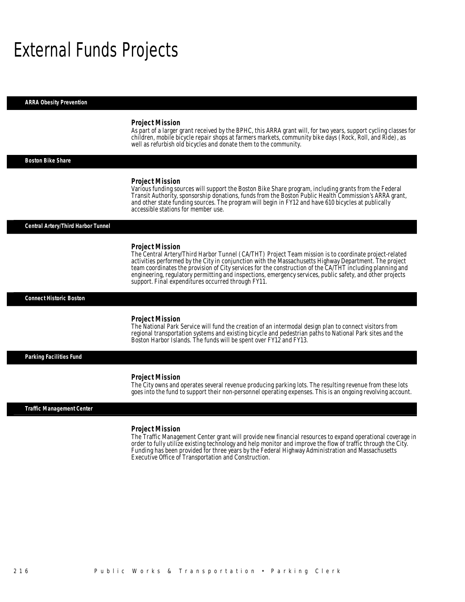# External Funds Projects

*ARRA Obesity Prevention* 

#### *Project Mission*

As part of a larger grant received by the BPHC, this ARRA grant will, for two years, support cycling classes for children, mobile bicycle repair shops at farmers markets, community bike days (Rock, Roll, and Ride), as well as refurbish old bicycles and donate them to the community.

*Boston Bike Share* 

#### *Project Mission*

Various funding sources will support the Boston Bike Share program, including grants from the Federal Transit Authority, sponsorship donations, funds from the Boston Public Health Commission's ARRA grant, and other state funding sources. The program will begin in FY12 and have 610 bicycles at publically accessible stations for member use.

#### *Central Artery/Third Harbor Tunnel*

#### *Project Mission*

The Central Artery/Third Harbor Tunnel (CA/THT) Project Team mission is to coordinate project-related activities performed by the City in conjunction with the Massachusetts Highway Department. The project team coordinates the provision of City services for the construction of the CA/THT including planning and engineering, regulatory permitting and inspections, emergency services, public safety, and other projects support. Final expenditures occurred through FY11.

*Connect Historic Boston* 

### *Project Mission*

Ì

The National Park Service will fund the creation of an intermodal design plan to connect visitors from regional transportation systems and existing bicycle and pedestrian paths to National Park sites and the Boston Harbor Islands. The funds will be spent over FY12 and FY13.

*Parking Facilities Fund* 

#### *Project Mission*

The City owns and operates several revenue producing parking lots. The resulting revenue from these lots goes into the fund to support their non-personnel operating expenses. This is an ongoing revolving account.

### *Traffic Management Center*

#### *Project Mission*

The Traffic Management Center grant will provide new financial resources to expand operational coverage in order to fully utilize existing technology and help monitor and improve the flow of traffic through the City. Funding has been provided for three years by the Federal Highway Administration and Massachusetts Executive Office of Transportation and Construction.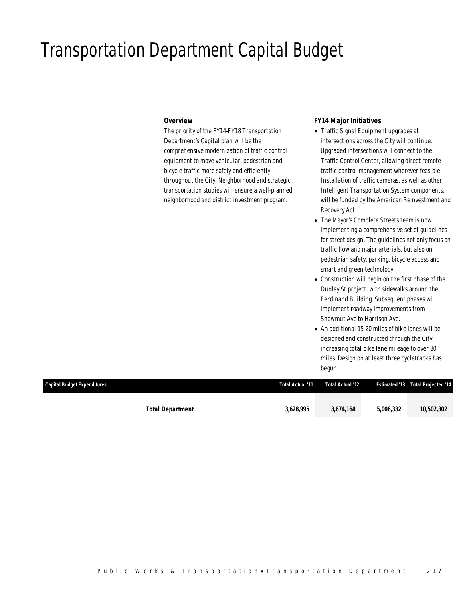## Transportation Department Capital Budget

### *Overview*

The priority of the FY14-FY18 Transportation Department's Capital plan will be the comprehensive modernization of traffic control equipment to move vehicular, pedestrian and bicycle traffic more safely and efficiently throughout the City. Neighborhood and strategic transportation studies will ensure a well-planned neighborhood and district investment program.

### *FY14 Major Initiatives*

- Traffic Signal Equipment upgrades at intersections across the City will continue. Upgraded intersections will connect to the Traffic Control Center, allowing direct remote traffic control management wherever feasible. Installation of traffic cameras, as well as other Intelligent Transportation System components, will be funded by the American Reinvestment and Recovery Act.
- The Mayor's Complete Streets team is now implementing a comprehensive set of guidelines for street design. The guidelines not only focus on traffic flow and major arterials, but also on pedestrian safety, parking, bicycle access and smart and green technology.
- Construction will begin on the first phase of the Dudley St project, with sidewalks around the Ferdinand Building. Subsequent phases will implement roadway improvements from Shawmut Ave to Harrison Ave.
- An additional 15-20 miles of bike lanes will be designed and constructed through the City, increasing total bike lane mileage to over 80 miles. Design on at least three cycletracks has begun.

| Capital Budget Expenditures | Total Actual '11 | Total Actual '12 |           | <b>Estimated '13 Total Projected '14</b> |
|-----------------------------|------------------|------------------|-----------|------------------------------------------|
| <b>Total Department</b>     | 3,628,995        | 3,674,164        | 5,006,332 | 10,502,302                               |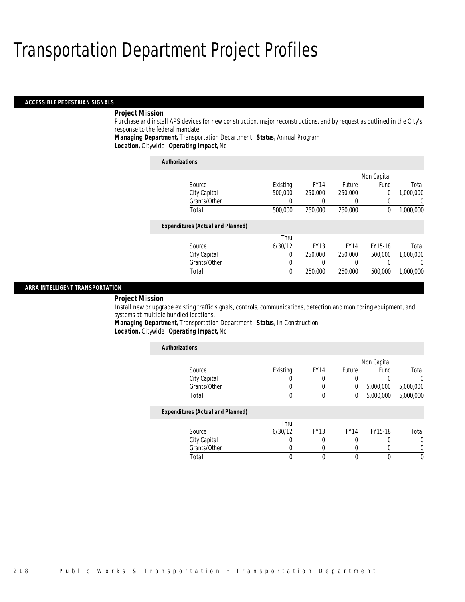#### *ACCESSIBLE PEDESTRIAN SIGNALS*

### *Project Mission*

Purchase and install APS devices for new construction, major reconstructions, and by request as outlined in the City's response to the federal mandate.

*Managing Department,* Transportation Department *Status,* Annual Program

*Location,* Citywide *Operating Impact,* No

| <b>Authorizations</b>                    |          |             |             |             |           |
|------------------------------------------|----------|-------------|-------------|-------------|-----------|
|                                          |          |             |             | Non Capital |           |
| Source                                   | Existing | <b>FY14</b> | Future      | Fund        | Total     |
| City Capital                             | 500,000  | 250,000     | 250,000     | 0           | 1,000,000 |
| Grants/Other                             | 0        |             |             | 0           | 0         |
| Total                                    | 500,000  | 250,000     | 250,000     | 0           | 1,000,000 |
| <b>Expenditures (Actual and Planned)</b> |          |             |             |             |           |
|                                          | Thru     |             |             |             |           |
| Source                                   | 6/30/12  | <b>FY13</b> | <b>FY14</b> | FY15-18     | Total     |
| City Capital                             | 0        | 250,000     | 250,000     | 500,000     | 1.000.000 |
| Grants/Other                             | 0        |             | 0           | O           | 0         |
| Total                                    | $\theta$ | 250,000     | 250,000     | 500,000     | 1.000.000 |

### *ARRA INTELLIGENT TRANSPORTATION*

#### *Project Mission*

Install new or upgrade existing traffic signals, controls, communications, detection and monitoring equipment, and systems at multiple bundled locations.

*Managing Department,* Transportation Department *Status,* In Construction*Location,* Citywide *Operating Impact,* No

| <b>Authorizations</b>                    |          |                  |             |             |           |
|------------------------------------------|----------|------------------|-------------|-------------|-----------|
|                                          |          |                  |             | Non Capital |           |
| Source                                   | Existing | FY <sub>14</sub> | Future      | Fund        | Total     |
| City Capital                             |          |                  | 0           | 0           | 0         |
| Grants/Other                             |          |                  | $\left($    | 5,000,000   | 5,000,000 |
| Total                                    | 0        | $\theta$         | 0           | 5,000,000   | 5,000,000 |
| <b>Expenditures (Actual and Planned)</b> |          |                  |             |             |           |
|                                          | Thru     |                  |             |             |           |
| Source                                   | 6/30/12  | <b>FY13</b>      | <b>FY14</b> | FY15-18     | Total     |
| City Capital                             |          |                  |             |             | 0         |
| Grants/Other                             |          |                  | $\left($    | 0           |           |
| Total                                    | 0        |                  | $\theta$    | 0           | $\Omega$  |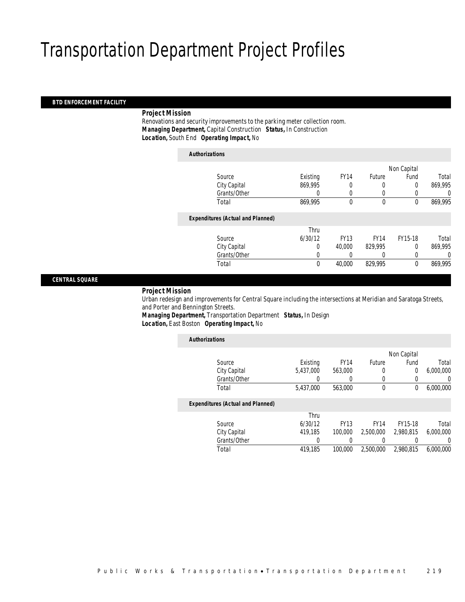### *BTD ENFORCEMENT FACILITY*

### *Project Mission*

 Renovations and security improvements to the parking meter collection room. *Managing Department,* Capital Construction *Status,* In Construction*Location,* South End *Operating Impact,* No

| <b>Authorizations</b>                    |          |             |             |             |          |
|------------------------------------------|----------|-------------|-------------|-------------|----------|
|                                          |          |             |             | Non Capital |          |
| Source                                   | Existing | <b>FY14</b> | Future      | Fund        | Total    |
| City Capital                             | 869,995  | 0           | 0           | $\Omega$    | 869,995  |
| Grants/Other                             | 0        | 0           | 0           | 0           | 0        |
| Total                                    | 869,995  | $\theta$    | $\theta$    | $\mathbf 0$ | 869,995  |
| <b>Expenditures (Actual and Planned)</b> |          |             |             |             |          |
|                                          | Thru     |             |             |             |          |
| Source                                   | 6/30/12  | <b>FY13</b> | <b>FY14</b> | FY15-18     | Total    |
| City Capital                             | 0        | 40.000      | 829,995     | $\Omega$    | 869,995  |
| Grants/Other                             | 0        | 0           | 0           | $\theta$    | $\theta$ |
| Total                                    | 0        | 40,000      | 829,995     | $\mathbf 0$ | 869,995  |

*CENTRAL SQUARE* 

#### *Project Mission*

 Urban redesign and improvements for Central Square including the intersections at Meridian and Saratoga Streets, and Porter and Bennington Streets.

*Managing Department,* Transportation Department *Status,* In Design*Location,* East Boston *Operating Impact,* No

| <b>Authorizations</b>                    |           |             |               |             |           |
|------------------------------------------|-----------|-------------|---------------|-------------|-----------|
|                                          |           |             |               | Non Capital |           |
| Source                                   | Existing  | <b>FY14</b> | <b>Future</b> | Fund        | Total     |
| City Capital                             | 5,437,000 | 563,000     | 0             | 0           | 6,000,000 |
| Grants/Other                             | 0         |             | 0             |             | 0         |
| Total                                    | 5,437,000 | 563,000     | $\mathbf 0$   | 0           | 6,000,000 |
| <b>Expenditures (Actual and Planned)</b> |           |             |               |             |           |
|                                          | Thru      |             |               |             |           |
| Source                                   | 6/30/12   | <b>FY13</b> | <b>FY14</b>   | FY15-18     | Total     |
| City Capital                             | 419.185   | 100,000     | 2.500.000     | 2.980.815   | 6.000.000 |
| Grants/Other                             | 0         |             | 0             | 0           | 0         |
| Total                                    | 419.185   | 100,000     | 2.500.000     | 2.980.815   | 6.000.000 |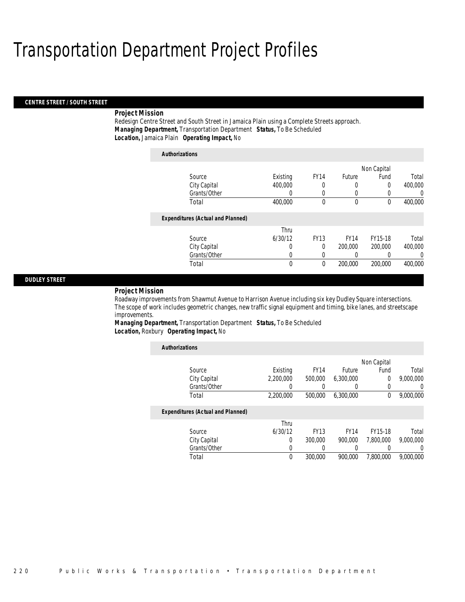#### *CENTRE STREET / SOUTH STREET*

### *Project Mission*

Redesign Centre Street and South Street in Jamaica Plain using a Complete Streets approach. *Managing Department,* Transportation Department *Status,* To Be Scheduled*Location,* Jamaica Plain *Operating Impact,* No

| <b>Authorizations</b>                    |          |             |             |             |         |
|------------------------------------------|----------|-------------|-------------|-------------|---------|
|                                          |          |             |             | Non Capital |         |
| Source                                   | Existing | <b>FY14</b> | Future      | Fund        | Total   |
| City Capital                             | 400,000  | 0           | 0           | 0           | 400,000 |
| Grants/Other                             | 0        | 0           | 0           | 0           | 0       |
| Total                                    | 400,000  | 0           | 0           | 0           | 400,000 |
| <b>Expenditures (Actual and Planned)</b> |          |             |             |             |         |
|                                          | Thru     |             |             |             |         |
| Source                                   | 6/30/12  | <b>FY13</b> | <b>FY14</b> | FY15-18     | Total   |
| City Capital                             | 0        | 0           | 200,000     | 200,000     | 400,000 |
| Grants/Other                             | 0        | 0           | 0           | 0           | 0       |
| Total                                    | 0        | 0           | 200,000     | 200,000     | 400,000 |

### *DUDLEY STREET*

#### *Project Mission*

Roadway improvements from Shawmut Avenue to Harrison Avenue including six key Dudley Square intersections. The scope of work includes geometric changes, new traffic signal equipment and timing, bike lanes, and streetscape improvements.

*Managing Department,* Transportation Department *Status,* To Be Scheduled*Location,* Roxbury *Operating Impact,* No

| <b>Authorizations</b>                    |           |             |             |             |           |
|------------------------------------------|-----------|-------------|-------------|-------------|-----------|
|                                          |           |             |             | Non Capital |           |
| Source                                   | Existing  | <b>FY14</b> | Future      | Fund        | Total     |
| City Capital                             | 2.200.000 | 500,000     | 6,300,000   | $\mathbf 0$ | 9,000,000 |
| Grants/Other                             | 0         |             |             | 0           | 0         |
| Total                                    | 2,200,000 | 500,000     | 6,300,000   | 0           | 9,000,000 |
| <b>Expenditures (Actual and Planned)</b> |           |             |             |             |           |
|                                          | Thru      |             |             |             |           |
| Source                                   | 6/30/12   | <b>FY13</b> | <b>FY14</b> | FY15-18     | Total     |
| City Capital                             | 0         | 300,000     | 900.000     | 7.800.000   | 9.000.000 |
| Grants/Other                             | 0         |             |             | 0           | 0         |
| Total                                    | 0         | 300,000     | 900,000     | 7.800.000   | 9.000.000 |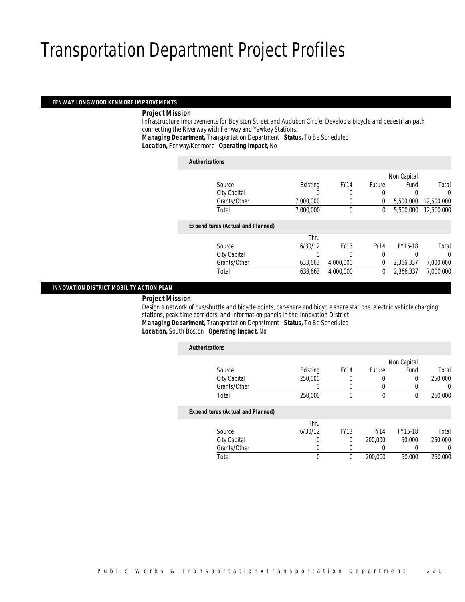#### *FENWAY LONGWOOD KENMORE IMPROVEMENTS*

### *Project Mission*

 Infrastructure improvements for Boylston Street and Audubon Circle. Develop a bicycle and pedestrian path connecting the Riverway with Fenway and Yawkey Stations.

*Managing Department,* Transportation Department *Status,* To Be Scheduled

*Location,* Fenway/Kenmore *Operating Impact,* No

| <b>Authorizations</b>                    |           |             |             |             |            |
|------------------------------------------|-----------|-------------|-------------|-------------|------------|
|                                          |           |             |             | Non Capital |            |
| Source                                   | Existing  | <b>FY14</b> | Future      | Fund        | Total      |
| City Capital                             | O         | 0           | 0           | 0           | 0          |
| Grants/Other                             | 7,000,000 | $\Omega$    | $\Omega$    | 5,500,000   | 12,500,000 |
| Total                                    | 7.000.000 | $\theta$    | 0           | 5,500,000   | 12,500,000 |
| <b>Expenditures (Actual and Planned)</b> |           |             |             |             |            |
|                                          | Thru      |             |             |             |            |
| Source                                   | 6/30/12   | <b>FY13</b> | <b>FY14</b> | FY15-18     | Total      |
| City Capital                             | 0         | 0           | 0           | 0           | 0          |
| Grants/Other                             | 633,663   | 4,000,000   | 0           | 2,366,337   | 7,000,000  |
| Total                                    | 633.663   | 4.000.000   | 0           | 2,366,337   | 7,000,000  |

### *INNOVATION DISTRICT MOBILITY ACTION PLAN*

#### *Project Mission*

 Design a network of bus/shuttle and bicycle points, car-share and bicycle share stations, electric vehicle charging stations, peak-time corridors, and information panels in the Innovation District. *Managing Department,* Transportation Department *Status,* To Be Scheduled

*Location,* South Boston *Operating Impact,* No

| <b>Authorizations</b>                    |          |             |             |             |         |
|------------------------------------------|----------|-------------|-------------|-------------|---------|
|                                          |          |             |             | Non Capital |         |
| Source                                   | Existing | <b>FY14</b> | Future      | Fund        | Total   |
| City Capital                             | 250,000  | 0           | 0           | $\Omega$    | 250,000 |
| Grants/Other                             | 0        | $\left($    | 0           | 0           | 0       |
| Total                                    | 250,000  | $\Omega$    | $\theta$    | 0           | 250,000 |
| <b>Expenditures (Actual and Planned)</b> |          |             |             |             |         |
|                                          | Thru     |             |             |             |         |
| Source                                   | 6/30/12  | <b>FY13</b> | <b>FY14</b> | FY15-18     | Total   |
| City Capital                             | 0        | $\Omega$    | 200,000     | 50,000      | 250,000 |
| Grants/Other                             | 0        | $\left($    | 0           |             | 0       |
| Total                                    | 0        | 0           | 200,000     | 50,000      | 250,000 |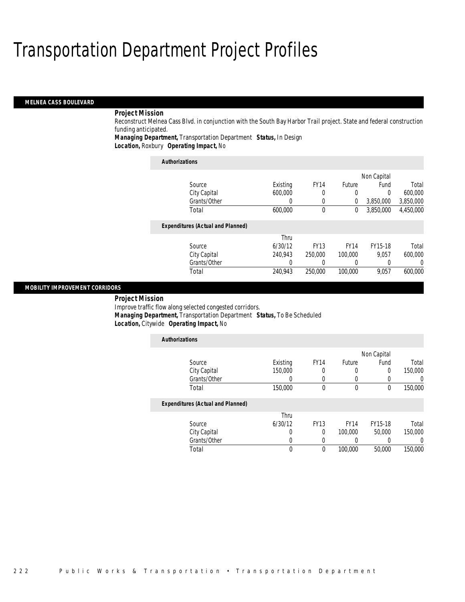#### *MELNEA CASS BOULEVARD*

### *Project Mission*

Reconstruct Melnea Cass Blvd. in conjunction with the South Bay Harbor Trail project. State and federal construction funding anticipated.

*Managing Department,* Transportation Department *Status,* In Design

*Location,* Roxbury *Operating Impact,* No

| <b>Authorizations</b>                    |          |             |             |             |           |
|------------------------------------------|----------|-------------|-------------|-------------|-----------|
|                                          |          |             |             | Non Capital |           |
| Source                                   | Existing | <b>FY14</b> | Future      | Fund        | Total     |
| City Capital                             | 600,000  | 0           | 0           | $\Omega$    | 600,000   |
| Grants/Other                             | 0        | 0           | 0           | 3,850,000   | 3,850,000 |
| Total                                    | 600,000  | $\theta$    | 0           | 3.850.000   | 4,450,000 |
| <b>Expenditures (Actual and Planned)</b> |          |             |             |             |           |
|                                          | Thru     |             |             |             |           |
| Source                                   | 6/30/12  | <b>FY13</b> | <b>FY14</b> | FY15-18     | Total     |
| City Capital                             | 240.943  | 250,000     | 100,000     | 9.057       | 600,000   |
| Grants/Other                             | 0        | 0           | 0           | 0           | 0         |
| Total                                    | 240.943  | 250,000     | 100,000     | 9.057       | 600,000   |

### *MOBILITY IMPROVEMENT CORRIDORS*

#### *Project Mission*

Improve traffic flow along selected congested corridors. *Managing Department,* Transportation Department *Status,* To Be Scheduled*Location,* Citywide *Operating Impact,* No

| <b>Authorizations</b>                    |          |             |             |             |                  |
|------------------------------------------|----------|-------------|-------------|-------------|------------------|
|                                          |          |             |             | Non Capital |                  |
| Source                                   | Existing | <b>FY14</b> | Future      | Fund        | Total            |
| City Capital                             | 150,000  | 0           | 0           | 0           | 150,000          |
| Grants/Other                             | O        | 0           | 0           | 0           | $\left( \right)$ |
| Total                                    | 150,000  | $\theta$    | 0           | 0           | 150,000          |
| <b>Expenditures (Actual and Planned)</b> |          |             |             |             |                  |
|                                          | Thru     |             |             |             |                  |
| Source                                   | 6/30/12  | <b>FY13</b> | <b>FY14</b> | FY15-18     | Total            |
| City Capital                             | 0        | $\Omega$    | 100,000     | 50,000      | 150,000          |
| Grants/Other                             | U        | 0           |             |             |                  |
| Total                                    | 0        | $\theta$    | 100,000     | 50,000      | 150,000          |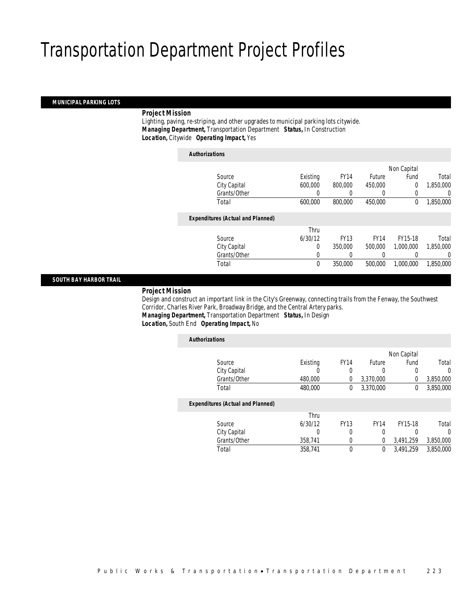## *MUNICIPAL PARKING LOTS*

### *Project Mission*

 Lighting, paving, re-striping, and other upgrades to municipal parking lots citywide. *Managing Department,* Transportation Department *Status,* In Construction*Location,* Citywide *Operating Impact,* Yes

| <b>Authorizations</b>                    |          |             |             |             |                  |
|------------------------------------------|----------|-------------|-------------|-------------|------------------|
|                                          |          |             |             | Non Capital |                  |
| Source                                   | Existing | <b>FY14</b> | Future      | Fund        | Total            |
| City Capital                             | 600,000  | 800,000     | 450,000     | $\theta$    | 1,850,000        |
| Grants/Other                             | 0        | 0           | 0           | $\Omega$    | 0                |
| Total                                    | 600,000  | 800,000     | 450,000     | 0           | 1,850,000        |
| <b>Expenditures (Actual and Planned)</b> |          |             |             |             |                  |
|                                          | Thru     |             |             |             |                  |
| Source                                   | 6/30/12  | <b>FY13</b> | <b>FY14</b> | FY15-18     | Total            |
| City Capital                             | 0        | 350,000     | 500,000     | 1.000.000   | 1.850.000        |
| Grants/Other                             | 0        | 0           |             |             | $\left( \right)$ |
| Total                                    | 0        | 350,000     | 500,000     | 1.000.000   | 1,850,000        |

### *SOUTH BAY HARBOR TRAIL*

### *Project Mission*

 Design and construct an important link in the City's Greenway, connecting trails from the Fenway, the Southwest Corridor, Charles River Park, Broadway Bridge, and the Central Artery parks. *Managing Department,* Transportation Department *Status,* In Design

### *Location,* South End *Operating Impact,* No

| <b>Authorizations</b>                    |          |             |               |             |           |
|------------------------------------------|----------|-------------|---------------|-------------|-----------|
|                                          |          |             |               | Non Capital |           |
| Source                                   | Existing | <b>FY14</b> | <b>Future</b> | Fund        | Total     |
| City Capital                             | 0        | 0           | 0             | 0           | 0         |
| Grants/Other                             | 480,000  | 0           | 3,370,000     | 0           | 3,850,000 |
| Total                                    | 480,000  | 0           | 3,370,000     | 0           | 3,850,000 |
| <b>Expenditures (Actual and Planned)</b> |          |             |               |             |           |
|                                          | Thru     |             |               |             |           |
| Source                                   | 6/30/12  | <b>FY13</b> | <b>FY14</b>   | FY15-18     | Total     |
| City Capital                             | 0        | 0           | 0             | 0           | $\Omega$  |
| Grants/Other                             | 358,741  | 0           | 0             | 3,491,259   | 3,850,000 |
| Total                                    | 358.741  | 0           | 0             | 3.491.259   | 3.850.000 |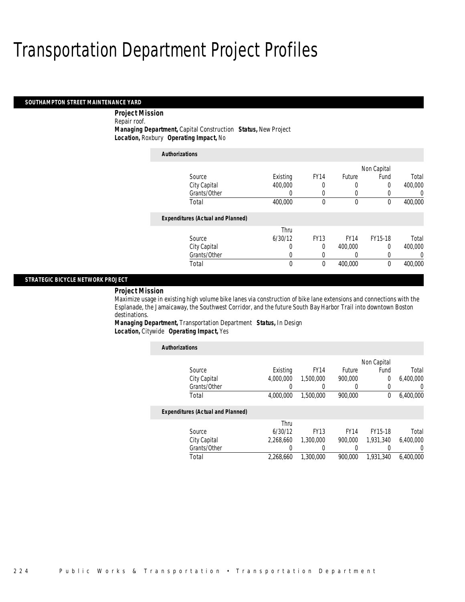#### *SOUTHAMPTON STREET MAINTENANCE YARD*

 *Project Mission* Repair roof.

*Managing Department,* Capital Construction *Status,* New Project*Location,* Roxbury *Operating Impact,* No

| <b>Authorizations</b>                    |          |             |             |             |         |
|------------------------------------------|----------|-------------|-------------|-------------|---------|
|                                          |          |             |             | Non Capital |         |
| Source                                   | Existing | <b>FY14</b> | Future      | Fund        | Total   |
| City Capital                             | 400,000  | 0           | 0           | $\Omega$    | 400,000 |
| Grants/Other                             | 0        | 0           | 0           | 0           | 0       |
| Total                                    | 400.000  | 0           | $\mathbf 0$ | 0           | 400,000 |
| <b>Expenditures (Actual and Planned)</b> |          |             |             |             |         |
|                                          | Thru     |             |             |             |         |
| Source                                   | 6/30/12  | <b>FY13</b> | <b>FY14</b> | FY15-18     | Total   |
| City Capital                             | 0        | 0           | 400,000     | $\Omega$    | 400,000 |
| Grants/Other                             | 0        | 0           | 0           | 0           | 0       |
| Total                                    | 0        | 0           | 400,000     | $\theta$    | 400,000 |

### *STRATEGIC BICYCLE NETWORK PROJECT*

*Project Mission* 

Maximize usage in existing high volume bike lanes via construction of bike lane extensions and connections with the Esplanade, the Jamaicaway, the Southwest Corridor, and the future South Bay Harbor Trail into downtown Boston destinations.

*Managing Department,* Transportation Department *Status,* In Design*Location,* Citywide *Operating Impact,* Yes

| <b>Authorizations</b>                    |           |             |             |                |           |
|------------------------------------------|-----------|-------------|-------------|----------------|-----------|
|                                          |           |             |             | Non Capital    |           |
| Source                                   | Existing  | <b>FY14</b> | Future      | Fund           | Total     |
| City Capital                             | 4.000.000 | 1,500,000   | 900.000     | $\overline{0}$ | 6,400,000 |
| Grants/Other                             |           |             |             | 0              | 0         |
| Total                                    | 4,000,000 | 1,500,000   | 900.000     | 0              | 6,400,000 |
| <b>Expenditures (Actual and Planned)</b> |           |             |             |                |           |
|                                          | Thru      |             |             |                |           |
| Source                                   | 6/30/12   | <b>FY13</b> | <b>FY14</b> | FY15-18        | Total     |
| City Capital                             | 2.268.660 | 1.300.000   | 900.000     | 1.931.340      | 6.400.000 |
| Grants/Other                             |           |             |             | 0              | 0         |
| Total                                    | 2.268.660 | 1,300,000   | 900.000     | 1.931.340      | 6.400.000 |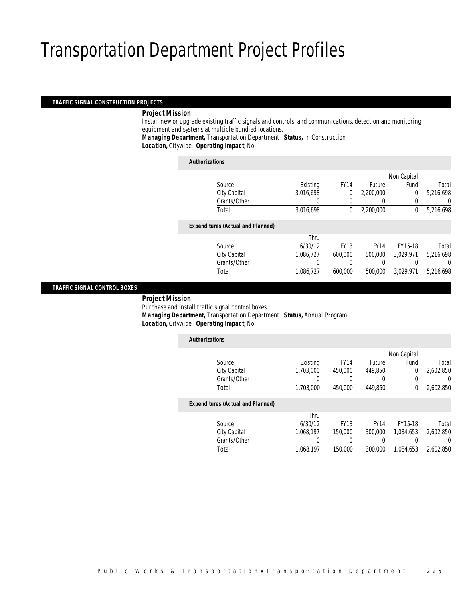#### *TRAFFIC SIGNAL CONSTRUCTION PROJECTS*

### *Project Mission*

 Install new or upgrade existing traffic signals and controls, and communications, detection and monitoring equipment and systems at multiple bundled locations.

*Managing Department,* Transportation Department *Status,* In Construction*Location,* Citywide *Operating Impact,* No

| <b>Authorizations</b>                    |           |             |                  |                |           |
|------------------------------------------|-----------|-------------|------------------|----------------|-----------|
|                                          |           |             |                  | Non Capital    |           |
| Source                                   | Existing  | <b>FY14</b> | <b>Future</b>    | Fund           | Total     |
| City Capital                             | 3,016,698 | 0           | 2.200.000        | $\overline{0}$ | 5,216,698 |
| Grants/Other                             | 0         | 0           | $\left( \right)$ | 0              | 0         |
| Total                                    | 3,016,698 | 0           | 2,200,000        | 0              | 5,216,698 |
| <b>Expenditures (Actual and Planned)</b> |           |             |                  |                |           |
|                                          | Thru      |             |                  |                |           |
| Source                                   | 6/30/12   | <b>FY13</b> | <b>FY14</b>      | FY15-18        | Total     |
| City Capital                             | 1,086,727 | 600,000     | 500,000          | 3,029,971      | 5,216,698 |
| Grants/Other                             | 0         |             | 0                |                | 0         |
| Total                                    | 1,086,727 | 600,000     | 500,000          | 3,029,971      | 5,216,698 |
|                                          |           |             |                  |                |           |

### *TRAFFIC SIGNAL CONTROL BOXES*

*Project Mission*

Purchase and install traffic signal control boxes.

 *Managing Department,* Transportation Department *Status,* Annual Program*Location,* Citywide *Operating Impact,* No

| <b>Authorizations</b>                    |           |             |             |             |                |
|------------------------------------------|-----------|-------------|-------------|-------------|----------------|
|                                          |           |             |             | Non Capital |                |
| Source                                   | Existing  | <b>FY14</b> | Future      | Fund        | Total          |
| City Capital                             | 1.703.000 | 450,000     | 449,850     | 0           | 2,602,850      |
| Grants/Other                             |           | 0           | 0           |             | $\overline{0}$ |
| Total                                    | 1,703,000 | 450,000     | 449,850     | 0           | 2,602,850      |
| <b>Expenditures (Actual and Planned)</b> |           |             |             |             |                |
|                                          | Thru      |             |             |             |                |
| Source                                   | 6/30/12   | <b>FY13</b> | <b>FY14</b> | FY15-18     | Total          |
| City Capital                             | 1,068,197 | 150,000     | 300,000     | 1.084.653   | 2,602,850      |
| Grants/Other                             | 0         | 0           | 0           |             | 0              |
| Total                                    | 1.068.197 | 150,000     | 300,000     | 1.084.653   | 2,602,850      |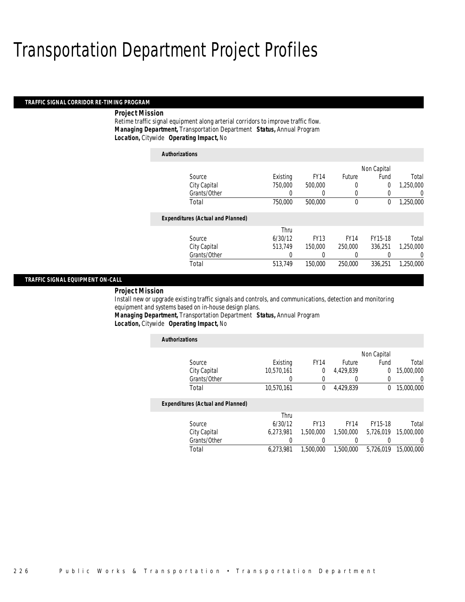#### *TRAFFIC SIGNAL CORRIDOR RE-TIMING PROGRAM*

### *Project Mission*

Retime traffic signal equipment along arterial corridors to improve traffic flow. *Managing Department,* Transportation Department *Status,* Annual Program*Location,* Citywide *Operating Impact,* No

| <b>Authorizations</b>                    |          |             |             |                |                |
|------------------------------------------|----------|-------------|-------------|----------------|----------------|
|                                          |          |             |             | Non Capital    |                |
| Source                                   | Existing | <b>FY14</b> | Future      | Fund           | Total          |
| City Capital                             | 750,000  | 500,000     | 0           | $\overline{0}$ | 1,250,000      |
| Grants/Other                             |          | 0           | 0           | 0              | 0              |
| Total                                    | 750,000  | 500,000     | 0           | 0              | 1,250,000      |
| <b>Expenditures (Actual and Planned)</b> |          |             |             |                |                |
|                                          | Thru     |             |             |                |                |
| Source                                   | 6/30/12  | <b>FY13</b> | <b>FY14</b> | FY15-18        | Total          |
| City Capital                             | 513.749  | 150,000     | 250,000     | 336.251        | 1.250.000      |
| Grants/Other                             |          |             |             |                | $\overline{0}$ |
| Total                                    | 513,749  | 150,000     | 250,000     | 336.251        | 1.250.000      |

### *TRAFFIC SIGNAL EQUIPMENT ON-CALL*

*Project Mission* 

Install new or upgrade existing traffic signals and controls, and communications, detection and monitoring equipment and systems based on in-house design plans.

*Managing Department,* Transportation Department *Status,* Annual Program

*Location,* Citywide *Operating Impact,* No

| <b>Authorizations</b>                    |            |                  |             |             |            |
|------------------------------------------|------------|------------------|-------------|-------------|------------|
|                                          |            |                  |             | Non Capital |            |
| Source                                   | Existing   | <b>FY14</b>      | Future      | Fund        | Total      |
| City Capital                             | 10.570.161 | 0                | 4.429.839   | 0           | 15,000,000 |
| Grants/Other                             | 0          | $\left( \right)$ |             | 0           | U          |
| Total                                    | 10.570.161 | 0                | 4,429,839   | 0           | 15,000,000 |
| <b>Expenditures (Actual and Planned)</b> |            |                  |             |             |            |
|                                          | Thru       |                  |             |             |            |
| Source                                   | 6/30/12    | <b>FY13</b>      | <b>FY14</b> | FY15-18     | Total      |
| City Capital                             | 6.273.981  | 1.500.000        | 1.500.000   | 5.726.019   | 15,000,000 |
| Grants/Other                             |            |                  |             |             | 0          |
| Total                                    | 6.273.981  | 1,500,000        | 1,500,000   | 5.726.019   | 15,000,000 |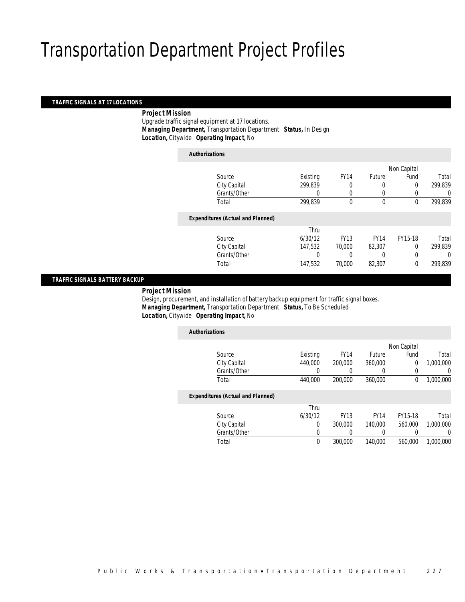### *TRAFFIC SIGNALS AT 17 LOCATIONS*

### *Project Mission*

 Upgrade traffic signal equipment at 17 locations. *Managing Department,* Transportation Department *Status,* In Design*Location,* Citywide *Operating Impact,* No

| <b>Authorizations</b>                    |          |             |               |             |         |
|------------------------------------------|----------|-------------|---------------|-------------|---------|
|                                          |          |             |               | Non Capital |         |
| Source                                   | Existing | <b>FY14</b> | <b>Future</b> | Fund        | Total   |
| City Capital                             | 299,839  |             | 0             | 0           | 299,839 |
| Grants/Other                             | 0        | 0           | 0             |             | 0       |
| Total                                    | 299,839  | 0           | $\mathbf 0$   | 0           | 299,839 |
| <b>Expenditures (Actual and Planned)</b> |          |             |               |             |         |
|                                          | Thru     |             |               |             |         |
| Source                                   | 6/30/12  | <b>FY13</b> | <b>FY14</b>   | FY15-18     | Total   |
| City Capital                             | 147,532  | 70,000      | 82,307        | 0           | 299,839 |
| Grants/Other                             | 0        |             |               | 0           | 0       |
| Total                                    | 147,532  | 70,000      | 82,307        | 0           | 299,839 |
|                                          |          |             |               |             |         |

### *TRAFFIC SIGNALS BATTERY BACKUP*

*Project Mission*

 Design, procurement, and installation of battery backup equipment for traffic signal boxes. *Managing Department,* Transportation Department *Status,* To Be Scheduled*Location,* Citywide *Operating Impact,* No

| <b>Authorizations</b>                    |          |             |             |             |           |
|------------------------------------------|----------|-------------|-------------|-------------|-----------|
|                                          |          |             |             | Non Capital |           |
| Source                                   | Existing | <b>FY14</b> | Future      | Fund        | Total     |
| City Capital                             | 440,000  | 200,000     | 360,000     | 0           | 1,000,000 |
| Grants/Other                             | 0        | 0           | 0           | 0           | 0         |
| Total                                    | 440.000  | 200,000     | 360,000     | 0           | 1,000,000 |
| <b>Expenditures (Actual and Planned)</b> |          |             |             |             |           |
|                                          | Thru     |             |             |             |           |
| Source                                   | 6/30/12  | <b>FY13</b> | <b>FY14</b> | FY15-18     | Total     |
| City Capital                             | $\Omega$ | 300,000     | 140,000     | 560,000     | 1.000.000 |
| Grants/Other                             | 0        | 0           | 0           |             | 0         |
| Total                                    | 0        | 300,000     | 140,000     | 560.000     | 1.000.000 |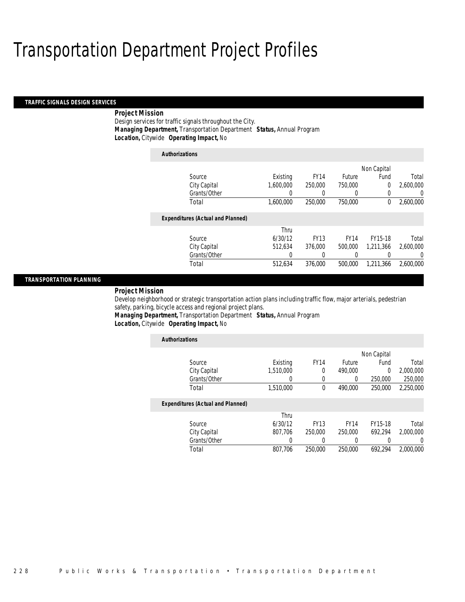*Authorizations*

#### *TRAFFIC SIGNALS DESIGN SERVICES*

### *Project Mission*

Design services for traffic signals throughout the City. *Managing Department,* Transportation Department *Status,* Annual Program*Location,* Citywide *Operating Impact,* No

| Authorizations                           |           |             |             |             |           |
|------------------------------------------|-----------|-------------|-------------|-------------|-----------|
|                                          |           |             |             | Non Capital |           |
| Source                                   | Existing  | <b>FY14</b> | Future      | Fund        | Total     |
| City Capital                             | 1.600.000 | 250,000     | 750,000     | 0           | 2,600,000 |
| Grants/Other                             | 0         | 0           | 0           | 0           | 0         |
| Total                                    | 1,600,000 | 250,000     | 750,000     | 0           | 2,600,000 |
| <b>Expenditures (Actual and Planned)</b> |           |             |             |             |           |
|                                          | Thru      |             |             |             |           |
| Source                                   | 6/30/12   | <b>FY13</b> | <b>FY14</b> | FY15-18     | Total     |
| City Capital                             | 512.634   | 376,000     | 500,000     | 1.211.366   | 2.600.000 |
| Grants/Other                             | 0         | 0           | 0           |             | $\Omega$  |
| Total                                    | 512,634   | 376,000     | 500,000     | 1,211,366   | 2,600,000 |

### *TRANSPORTATION PLANNING*

*Project Mission* 

Develop neighborhood or strategic transportation action plans including traffic flow, major arterials, pedestrian safety, parking, bicycle access and regional project plans.

*Managing Department,* Transportation Department *Status,* Annual Program*Location,* Citywide *Operating Impact,* No

| <b>Authorizations</b>                    |           |             |               |          |           |
|------------------------------------------|-----------|-------------|---------------|----------|-----------|
| Non Capital                              |           |             |               |          |           |
| Source                                   | Existing  | <b>FY14</b> | <b>Future</b> | Fund     | Total     |
| City Capital                             | 1.510.000 | $\Omega$    | 490.000       | $\theta$ | 2,000,000 |
| Grants/Other                             |           | 0           | 0             | 250,000  | 250,000   |
| Total                                    | 1,510,000 | $\theta$    | 490.000       | 250,000  | 2,250,000 |
| <b>Expenditures (Actual and Planned)</b> |           |             |               |          |           |
|                                          | Thru      |             |               |          |           |
| Source                                   | 6/30/12   | <b>FY13</b> | <b>FY14</b>   | FY15-18  | Total     |
| City Capital                             | 807,706   | 250,000     | 250,000       | 692.294  | 2,000,000 |
| Grants/Other                             | 0         |             |               |          | 0         |
| Total                                    | 807.706   | 250,000     | 250,000       | 692.294  | 2,000,000 |